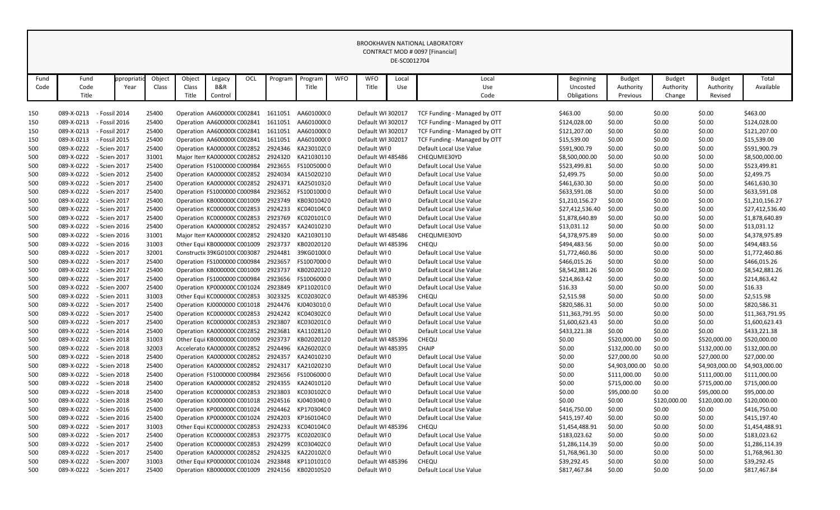| Fund       | Fund                     | ppropriati                     | Object         | Object                                                   | Legacy  | OCL | Program                                        | Program                  | <b>WFO</b> | <b>WFO</b>                             | Local | Local                                                   | <b>Beginning</b>            | <b>Budget</b>    | <b>Budget</b>    | <b>Budget</b>    | Total                       |
|------------|--------------------------|--------------------------------|----------------|----------------------------------------------------------|---------|-----|------------------------------------------------|--------------------------|------------|----------------------------------------|-------|---------------------------------------------------------|-----------------------------|------------------|------------------|------------------|-----------------------------|
| Code       | Code                     | Year                           | Class          | Class                                                    | B&R     |     |                                                | Title                    |            | Title                                  | Use   | Use                                                     | Uncosted                    | Authority        | Authority        | Authority        | Available                   |
|            | Title                    |                                |                | Title                                                    | Control |     |                                                |                          |            |                                        |       | Code                                                    | Obligations                 | Previous         | Change           | Revised          |                             |
|            |                          |                                |                |                                                          |         |     |                                                |                          |            | Default WI 302017                      |       |                                                         |                             |                  |                  |                  |                             |
| 150        | 089-X-0213               | - Fossil 2014                  | 25400          | Operation AA600000(C002841                               |         |     | 1611051                                        | AA601000(0               |            |                                        |       | TCF Funding - Managed by OTT                            | \$463.00                    | \$0.00           | \$0.00           | \$0.00           | \$463.00                    |
| 150        | 089-X-0213               | - Fossil 2016                  | 25400          | Operation AA600000(C002841                               |         |     | 1611051                                        | AA601000(0               |            | Default WI 302017                      |       | TCF Funding - Managed by OTT                            | \$124,028.00                | \$0.00           | \$0.00           | \$0.00           | \$124,028.00                |
| 150        | 089-X-0213<br>089-X-0213 | - Fossil 2017<br>- Fossil 2015 | 25400<br>25400 | Operation AA600000(C002841<br>Operation AA600000(C002841 |         |     | 1611051<br>1611051                             | AA601000(0<br>AA601000(0 |            | Default WI 302017<br>Default WI 302017 |       | TCF Funding - Managed by OTT                            | \$121,207.00                | \$0.00<br>\$0.00 | \$0.00           | \$0.00<br>\$0.00 | \$121,207.00<br>\$15,539.00 |
| 150<br>500 | 089-X-0222               | - Scien 2017                   | 25400          | Operation KA0000000 C002852                              |         |     | 2924346                                        | KA230102(0               |            | Default WI0                            |       | TCF Funding - Managed by OTT<br>Default Local Use Value | \$15,539.00<br>\$591,900.79 | \$0.00           | \$0.00           | \$0.00           | \$591,900.79                |
| 500        | 089-X-0222               | - Scien 2017                   | 31001          | Major Item KA0000000 C002852                             |         |     | 2924320                                        | KA21030110               |            | Default WI 485486                      |       | CHEQUMIE30YD                                            | \$8,500,000.00              | \$0.00           | \$0.00<br>\$0.00 | \$0.00           | \$8,500,000.00              |
| 500        | 089-X-0222               | - Scien 2017                   | 25400          | Operation FS1000000 C000984                              |         |     | 2923655                                        | FS10050000               |            | Default WI0                            |       | Default Local Use Value                                 | \$523,499.81                | \$0.00           | \$0.00           | \$0.00           | \$523,499.81                |
| 500        | 089-X-0222               | - Scien 2012                   | 25400          | Operation KA0000000 C002852                              |         |     | 2924034                                        | KA15020210               |            | Default WI0                            |       | Default Local Use Value                                 | \$2,499.75                  | \$0.00           | \$0.00           | \$0.00           | \$2,499.75                  |
| 500        | 089-X-0222               | - Scien 2017                   | 25400          | Operation KA0000000 C002852                              |         |     | 2924371                                        | KA25010320               |            | Default WI0                            |       | Default Local Use Value                                 | \$461,630.30                | \$0.00           | \$0.00           | \$0.00           | \$461,630.30                |
| 500        | 089-X-0222               | - Scien 2017                   | 25400          | Operation FS1000000 C000984                              |         |     | 2923652                                        | FS10010000               |            | Default WI0                            |       | Default Local Use Value                                 | \$633,591.08                | \$0.00           | \$0.00           | \$0.00           | \$633,591.08                |
| 500        | 089-X-0222               | - Scien 2017                   | 25400          | Operation KB000000C C001009                              |         |     | 2923749                                        | KB03010420               |            | Default WI0                            |       | Default Local Use Value                                 | \$1,210,156.27              | \$0.00           | \$0.00           | \$0.00           | \$1,210,156.27              |
| 500        | 089-X-0222               | - Scien 2017                   | 25400          | Operation KC000000C C002853                              |         |     | 2924233                                        | KC04010400               |            | Default WI0                            |       | Default Local Use Value                                 | \$27,412,536.40             | \$0.00           | \$0.00           | \$0.00           | \$27,412,536.40             |
| 500        | 089-X-0222               | - Scien 2017                   | 25400          | Operation KC000000C C002853                              |         |     | 2923769                                        | KC02010100               |            | Default WI0                            |       | Default Local Use Value                                 | \$1,878,640.89              | \$0.00           | \$0.00           | \$0.00           | \$1,878,640.89              |
| 500        | 089-X-0222               | - Scien 2016                   | 25400          | Operation KA0000000 C002852                              |         |     | 2924357                                        | KA24010210               |            | Default WI0                            |       | Default Local Use Value                                 | \$13,031.12                 | \$0.00           | \$0.00           | \$0.00           | \$13,031.12                 |
| 500        | 089-X-0222               | - Scien 2016                   | 31001          | Major Item KA0000000 C002852                             |         |     | 2924320                                        | KA21030110               |            | Default WI 485486                      |       | CHEQUMIE30YD                                            | \$4,378,975.89              | \$0.00           | \$0.00           | \$0.00           | \$4,378,975.89              |
| 500        | 089-X-0222               | - Scien 2016                   | 31003          | Other Equi KB000000C C001009                             |         |     | 2923737                                        | KB02020120               |            | Default WI 485396                      |       | CHEQU                                                   | \$494,483.56                | \$0.00           | \$0.00           | \$0.00           | \$494,483.56                |
| 500        | 089-X-0222               | - Scien 2017                   | 32001          | Constructic 39KG01000 C003087                            |         |     | 2924481                                        | 39KG0100(0               |            | Default WI0                            |       | Default Local Use Value                                 | \$1,772,460.86              | \$0.00           | \$0.00           | \$0.00           | \$1,772,460.86              |
| 500        | 089-X-0222               | - Scien 2017                   | 25400          | Operation FS1000000 C000984                              |         |     | 2923657                                        | FS10070000               |            | Default WI0                            |       | Default Local Use Value                                 | \$466,015.26                | \$0.00           | \$0.00           | \$0.00           | \$466,015.26                |
| 500        | 089-X-0222               | - Scien 2017                   | 25400          | Operation KB000000C C001009                              |         |     | 2923737                                        | KB02020120               |            | Default WI0                            |       | Default Local Use Value                                 | \$8,542,881.26              | \$0.00           | \$0.00           | \$0.00           | \$8,542,881.26              |
| 500        | 089-X-0222               | - Scien 2017                   | 25400          | Operation FS1000000 C000984                              |         |     | 2923656                                        | FS10060000               |            | Default WI0                            |       | Default Local Use Value                                 | \$214,863.42                | \$0.00           | \$0.00           | \$0.00           | \$214,863.42                |
| 500        | 089-X-0222               | - Scien 2007                   | 25400          | Operation KP000000C C001024                              |         |     | 2923849                                        | KP110201C0               |            | Default WI0                            |       | Default Local Use Value                                 | \$16.33                     | \$0.00           | \$0.00           | \$0.00           | \$16.33                     |
| 500        | 089-X-0222               | - Scien 2011                   | 31003          | Other Equi KC000000C C002853                             |         |     | 3023325                                        | KC020302C0               |            | Default WI 485396                      |       | CHEQU                                                   | \$2,515.98                  | \$0.00           | \$0.00           | \$0.00           | \$2,515.98                  |
| 500        | 089-X-0222               | - Scien 2017                   | 25400          | Operation KJ0000000 C001018                              |         |     | 2924476                                        | KJ04030100               |            | Default WI0                            |       | Default Local Use Value                                 | \$820,586.31                | \$0.00           | \$0.00           | \$0.00           | \$820,586.31                |
| 500        | 089-X-0222               | - Scien 2017                   | 25400          | Operation KC000000C C002853                              |         |     | 2924242                                        | KC040302C0               |            | Default WI0                            |       | Default Local Use Value                                 | \$11,363,791.95             | \$0.00           | \$0.00           | \$0.00           | \$11,363,791.95             |
| 500        | 089-X-0222               | - Scien 2017                   | 25400          | Operation KC000000C C002853                              |         |     | 2923807                                        | KC03020100               |            | Default WI0                            |       | Default Local Use Value                                 | \$1,600,623.43              | \$0.00           | \$0.00           | \$0.00           | \$1,600,623.43              |
| 500        | 089-X-0222               | - Scien 2014                   | 25400          | Operation KA0000000 C002852 2923681                      |         |     |                                                | KA11028120               |            | Default WI0                            |       | Default Local Use Value                                 | \$433,221.38                | \$0.00           | \$0.00           | \$0.00           | \$433,221.38                |
| 500        | 089-X-0222               | - Scien 2018                   | 31003          | Other Equi KB000000C C001009                             |         |     | 2923737                                        | KB02020120               |            | Default WI 485396                      |       | CHEQU                                                   | \$0.00                      | \$520,000.00     | \$0.00           | \$520,000.00     | \$520,000.00                |
| 500        | 089-X-0222               | - Scien 2018                   | 32003          | Accelerato KA0000000 C002852                             |         |     | 2924496 KA260202(0                             |                          |            | Default WI 485395                      |       | <b>CHAIP</b>                                            | \$0.00                      | \$132,000.00     | \$0.00           | \$132,000.00     | \$132,000.00                |
| 500        | 089-X-0222               | - Scien 2018                   | 25400          | Operation KA000000(C002852 2924357                       |         |     |                                                | KA24010210               |            | Default WI0                            |       | Default Local Use Value                                 | \$0.00                      | \$27,000.00      | \$0.00           | \$27,000.00      | \$27,000.00                 |
| 500        | 089-X-0222               | - Scien 2018                   | 25400          | Operation KA000000(C002852 2924317                       |         |     |                                                | KA21020210               |            | Default WI0                            |       | Default Local Use Value                                 | \$0.00                      | \$4,903,000.00   | \$0.00           | \$4,903,000.00   | \$4,903,000.00              |
| 500        | 089-X-0222               | - Scien 2018                   | 25400          | Operation FS1000000 C000984                              |         |     |                                                | 2923656 FS10060000       |            | Default WI0                            |       | Default Local Use Value                                 | \$0.00                      | \$111,000.00     | \$0.00           | \$111,000.00     | \$111,000.00                |
| 500        | 089-X-0222               | - Scien 2018                   | 25400          | Operation KA0000000 C002852                              |         |     | 2924355                                        | KA24010120               |            | Default WI0                            |       | Default Local Use Value                                 | \$0.00                      | \$715,000.00     | \$0.00           | \$715,000.00     | \$715,000.00                |
| 500        | 089-X-0222               | - Scien 2018                   | 25400          | Operation KC000000CC002853                               |         |     | 2923803                                        | KC030102C0               |            | Default WI0                            |       | Default Local Use Value                                 | \$0.00                      | \$95,000.00      | \$0.00           | \$95,000.00      | \$95,000.00                 |
| 500        | 089-X-0222               | - Scien 2018                   | 25400          | Operation KJ0000000 C001018                              |         |     | 2924516 KJ04030400                             |                          |            | Default WI0                            |       | Default Local Use Value                                 | \$0.00                      | \$0.00           | \$120,000.00     | \$120,000.00     | \$120,000.00                |
| 500        | 089-X-0222               | - Scien 2016                   | 25400          | Operation KP000000C C001024                              |         |     |                                                | 2924462 KP170304C0       |            | Default WI0                            |       | Default Local Use Value                                 | \$416,750.00                | \$0.00           | \$0.00           | \$0.00           | \$416,750.00                |
| 500        | 089-X-0222               | - Scien 2016                   | 25400          | Operation KP000000C C001024                              |         |     | 2924203                                        | KP160104C0               |            | Default WI0                            |       | Default Local Use Value                                 | \$415,197.40                | \$0.00           | \$0.00           | \$0.00           | \$415,197.40                |
| 500        | 089-X-0222               | - Scien 2017                   | 31003          | Other Equi KC000000C C002853 2924233                     |         |     |                                                | KC040104C0               |            | Default WI 485396                      |       | <b>CHEQU</b>                                            | \$1,454,488.91              | \$0.00           | \$0.00           | \$0.00           | \$1,454,488.91              |
| 500        | 089-X-0222               | - Scien 2017                   | 25400          | Operation KC000000CC002853 2923775                       |         |     |                                                | KC020203C0               |            | Default WI0                            |       | Default Local Use Value                                 | \$183,023.62                | \$0.00           | \$0.00           | \$0.00           | \$183,023.62                |
| 500        | 089-X-0222               | - Scien 2017                   | 25400          | Operation KC000000CC002853                               |         |     | 2924299                                        | KC030402C0               |            | Default WI0                            |       | Default Local Use Value                                 | \$1,286,114.39              | \$0.00           | \$0.00           | \$0.00           | \$1,286,114.39              |
| 500        | 089-X-0222               | - Scien 2017                   | 25400          | Operation KA0000000 C002852                              |         |     | 2924325                                        | KA220102(0               |            | Default WI0                            |       | Default Local Use Value                                 | \$1,768,961.30              | \$0.00           | \$0.00           | \$0.00           | \$1,768,961.30              |
| 500        | 089-X-0222               | - Scien <sub>1</sub> 2007      | 31003          | Other Equi KP000000C C001024                             |         |     | 2923848                                        | KP110101C0               |            | Default WI 485396                      |       | CHEQU                                                   | \$39,292.45                 | \$0.00           | \$0.00           | \$0.00           | \$39,292.45                 |
| 500        | 089-X-0222               | - Scien 2017                   | 25400          |                                                          |         |     | Operation KB000000C C001009 2924156 KB02010520 |                          |            | Default WI0                            |       | Default Local Use Value                                 | \$817,467.84                | \$0.00           | \$0.00           | \$0.00           | \$817,467.84                |

| Beginning       | <b>Budget</b>  | <b>Budget</b> | <b>Budget</b>  | Total           |
|-----------------|----------------|---------------|----------------|-----------------|
| Uncosted        | Authority      | Authority     | Authority      | Available       |
| Obligations     | Previous       | Change        | Revised        |                 |
|                 |                |               |                |                 |
| \$463.00        | \$0.00         | \$0.00        | \$0.00         | \$463.00        |
| \$124,028.00    | \$0.00         | \$0.00        | \$0.00         | \$124,028.00    |
| \$121,207.00    | \$0.00         | \$0.00        | \$0.00         | \$121,207.00    |
| \$15,539.00     | \$0.00         | \$0.00        | \$0.00         | \$15,539.00     |
| \$591,900.79    | \$0.00         | \$0.00        | \$0.00         | \$591,900.79    |
| \$8,500,000.00  | \$0.00         | \$0.00        | \$0.00         | \$8,500,000.00  |
| \$523,499.81    | \$0.00         | \$0.00        | \$0.00         | \$523,499.81    |
| \$2,499.75      | \$0.00         | \$0.00        | \$0.00         | \$2,499.75      |
| \$461,630.30    | \$0.00         | \$0.00        | \$0.00         | \$461,630.30    |
| \$633,591.08    | \$0.00         | \$0.00        | \$0.00         | \$633,591.08    |
| \$1,210,156.27  | \$0.00         | \$0.00        | \$0.00         | \$1,210,156.27  |
| \$27,412,536.40 | \$0.00         | \$0.00        | \$0.00         | \$27,412,536.40 |
| \$1,878,640.89  | \$0.00         | \$0.00        | \$0.00         | \$1,878,640.89  |
| \$13,031.12     | \$0.00         | \$0.00        | \$0.00         | \$13,031.12     |
| \$4,378,975.89  | \$0.00         | \$0.00        | \$0.00         | \$4,378,975.89  |
| \$494,483.56    | \$0.00         | \$0.00        | \$0.00         | \$494,483.56    |
| \$1,772,460.86  | \$0.00         | \$0.00        | \$0.00         | \$1,772,460.86  |
| \$466,015.26    | \$0.00         | \$0.00        | \$0.00         | \$466,015.26    |
| \$8,542,881.26  | \$0.00         | \$0.00        | \$0.00         | \$8,542,881.26  |
| \$214,863.42    | \$0.00         | \$0.00        | \$0.00         | \$214,863.42    |
| \$16.33         | \$0.00         | \$0.00        | \$0.00         | \$16.33         |
| \$2,515.98      | \$0.00         | \$0.00        | \$0.00         | \$2,515.98      |
| \$820,586.31    | \$0.00         | \$0.00        | \$0.00         | \$820,586.31    |
| \$11,363,791.95 | \$0.00         | \$0.00        | \$0.00         | \$11,363,791.95 |
| \$1,600,623.43  | \$0.00         | \$0.00        | \$0.00         | \$1,600,623.43  |
| \$433,221.38    | \$0.00         | \$0.00        | \$0.00         | \$433,221.38    |
| \$0.00          | \$520,000.00   | \$0.00        | \$520,000.00   | \$520,000.00    |
| \$0.00          | \$132,000.00   | \$0.00        | \$132,000.00   | \$132,000.00    |
| \$0.00          | \$27,000.00    | \$0.00        | \$27,000.00    | \$27,000.00     |
| \$0.00          | \$4,903,000.00 | \$0.00        | \$4,903,000.00 | \$4,903,000.00  |
| \$0.00          | \$111,000.00   | \$0.00        | \$111,000.00   | \$111,000.00    |
| \$0.00          | \$715,000.00   | \$0.00        | \$715,000.00   | \$715,000.00    |
| \$0.00          | \$95,000.00    | \$0.00        | \$95,000.00    | \$95,000.00     |
| \$0.00          | \$0.00         | \$120,000.00  | \$120,000.00   | \$120,000.00    |
| \$416,750.00    | \$0.00         | \$0.00        | \$0.00         | \$416,750.00    |
| \$415,197.40    | \$0.00         | \$0.00        | \$0.00         | \$415,197.40    |
| \$1,454,488.91  | \$0.00         | \$0.00        | \$0.00         | \$1,454,488.91  |
| \$183,023.62    | \$0.00         | \$0.00        | \$0.00         | \$183,023.62    |
| \$1,286,114.39  | \$0.00         | \$0.00        | \$0.00         | \$1,286,114.39  |
| \$1,768,961.30  | \$0.00         | \$0.00        | \$0.00         | \$1,768,961.30  |
| \$39,292.45     | \$0.00         | \$0.00        | \$0.00         | \$39,292.45     |
| \$817,467.84    | \$0.00         | \$0.00        | \$0.00         | \$817,467.84    |

## DE-SC0012704 CONTRACT MOD # 0097 [Financial] BROOKHAVEN NATIONAL LABORATORY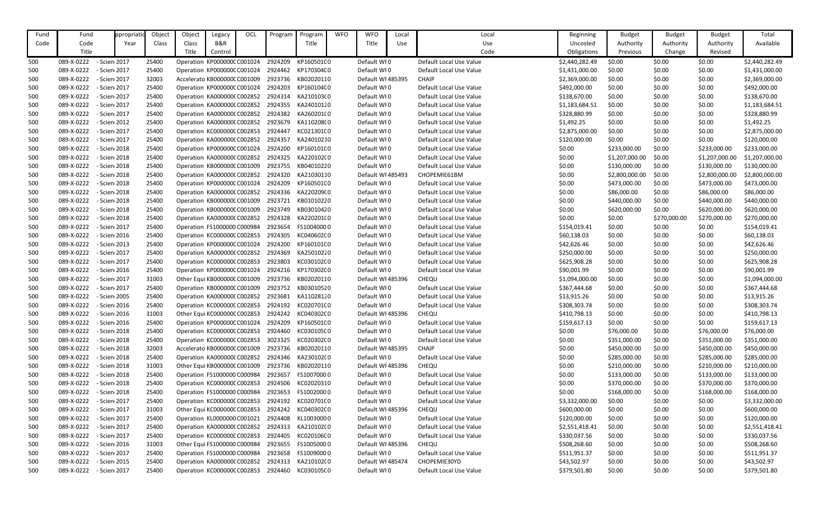| Fund | Fund       | ppropriati   | Object | Object | Legacy                       | OCL | Program                                        | Program    | <b>WFO</b> | <b>WFO</b>        | Local | Local                   | <b>Beginning</b> | <b>Budget</b>  | <b>Budget</b> | <b>Budget</b>  | Total          |
|------|------------|--------------|--------|--------|------------------------------|-----|------------------------------------------------|------------|------------|-------------------|-------|-------------------------|------------------|----------------|---------------|----------------|----------------|
| Code | Code       | Year         | Class  | Class  | B&R                          |     |                                                | Title      |            | Title             | Use   | Use                     | Uncosted         | Authority      | Authority     | Authority      | Available      |
|      | Title      |              |        | Title  | Control                      |     |                                                |            |            |                   |       | Code                    | Obligations      | Previous       | Change        | Revised        |                |
| 500  | 089-X-0222 | - Scien 2017 | 25400  |        | Operation KP000000C C001024  |     | 2924209                                        | KP160501C0 |            | Default WI0       |       | Default Local Use Value | \$2,440,282.49   | \$0.00         | \$0.00        | \$0.00         | \$2,440,282.49 |
| 500  | 089-X-0222 | - Scien 2017 | 25400  |        | Operation KP000000C C001024  |     | 2924462 KP170304C0                             |            |            | Default WI0       |       | Default Local Use Value | \$1,431,000.00   | \$0.00         | \$0.00        | \$0.00         | \$1,431,000.00 |
| 500  | 089-X-0222 | - Scien 2017 | 32003  |        | Accelerato KB000000C C001009 |     | 2923736                                        | KB02020110 |            | Default WI 485395 |       | <b>CHAIP</b>            | \$2,369,000.00   | \$0.00         | \$0.00        | \$0.00         | \$2,369,000.00 |
| 500  | 089-X-0222 | - Scien 2017 | 25400  |        | Operation KP000000C C001024  |     | 2924203                                        | KP160104C0 |            | Default WI0       |       | Default Local Use Value | \$492,000.00     | \$0.00         | \$0.00        | \$0.00         | \$492,000.00   |
| 500  | 089-X-0222 | - Scien 2017 | 25400  |        | Operation KA0000000 C002852  |     | 2924314                                        | KA210103(0 |            | Default WI0       |       | Default Local Use Value | \$138,670.00     | \$0.00         | \$0.00        | \$0.00         | \$138,670.00   |
| 500  | 089-X-0222 | - Scien 2017 | 25400  |        | Operation KA0000000 C002852  |     | 2924355                                        | KA24010120 |            | Default WI0       |       | Default Local Use Value | \$1,183,684.51   | \$0.00         | \$0.00        | \$0.00         | \$1,183,684.51 |
| 500  | 089-X-0222 | - Scien 2017 | 25400  |        | Operation KA0000000 C002852  |     | 2924382                                        | KA260201(0 |            | Default WI0       |       | Default Local Use Value | \$328,880.99     | \$0.00         | \$0.00        | \$0.00         | \$328,880.99   |
| 500  | 089-X-0222 | - Scien 2012 | 25400  |        | Operation KA0000000 C002852  |     | 2923679                                        | KA110208(0 |            | Default WI0       |       | Default Local Use Value | \$1,492.25       | \$0.00         | \$0.00        | \$0.00         | \$1,492.25     |
| 500  | 089-X-0222 | - Scien 2017 | 25400  |        | Operation KC000000C C002853  |     | 2924447                                        | KC02130100 |            | Default WI0       |       | Default Local Use Value | \$2,875,000.00   | \$0.00         | \$0.00        | \$0.00         | \$2,875,000.00 |
| 500  | 089-X-0222 | - Scien 2017 | 25400  |        | Operation KA000000(C002852   |     | 2924357                                        | KA24010210 |            | Default WI0       |       | Default Local Use Value | \$120,000.00     | \$0.00         | \$0.00        | \$0.00         | \$120,000.00   |
| 500  | 089-X-0222 | - Scien 2018 | 25400  |        | Operation KP000000C C001024  |     | 2924200                                        | KP160101C0 |            | Default WI0       |       | Default Local Use Value | \$0.00           | \$233,000.00   | \$0.00        | \$233,000.00   | \$233,000.00   |
| 500  | 089-X-0222 | - Scien 2018 | 25400  |        | Operation KA0000000 C002852  |     | 2924325                                        | KA220102(0 |            | Default WI0       |       | Default Local Use Value | \$0.00           | \$1,207,000.00 | \$0.00        | \$1,207,000.00 | \$1,207,000.00 |
| 500  | 089-X-0222 | - Scien 2018 | 25400  |        | Operation KB000000C C001009  |     | 2923755                                        | KB04010220 |            | Default WI0       |       | Default Local Use Value | \$0.00           | \$130,000.00   | \$0.00        | \$130,000.00   | \$130,000.00   |
| 500  | 089-X-0222 | - Scien 2018 | 25400  |        | Operation KA0000000 C002852  |     | 2924320                                        | KA21030110 |            | Default WI 485493 |       | CHOPEMIE61BM            | \$0.00           | \$2,800,000.00 | \$0.00        | \$2,800,000.00 | \$2,800,000.00 |
| 500  | 089-X-0222 | - Scien 2018 | 25400  |        | Operation KP000000C C001024  |     | 2924209                                        | KP160501C0 |            | Default WI0       |       | Default Local Use Value | \$0.00           | \$473,000.00   | \$0.00        | \$473,000.00   | \$473,000.00   |
| 500  | 089-X-0222 | - Scien 2018 | 25400  |        | Operation KA0000000 C002852  |     | 2924336                                        | KA220209(0 |            | Default WI0       |       | Default Local Use Value | \$0.00           | \$86,000.00    | \$0.00        | \$86,000.00    | \$86,000.00    |
| 500  | 089-X-0222 | - Scien 2018 | 25400  |        | Operation KB000000C C001009  |     | 2923721                                        | KB01010220 |            | Default WI0       |       | Default Local Use Value | \$0.00           | \$440,000.00   | \$0.00        | \$440,000.00   | \$440,000.00   |
| 500  | 089-X-0222 | - Scien 2018 | 25400  |        | Operation KB000000C C001009  |     | 2923749                                        | KB03010420 |            | Default WI0       |       | Default Local Use Value | \$0.00           | \$620,000.00   | \$0.00        | \$620,000.00   | \$620,000.00   |
| 500  | 089-X-0222 | - Scien 2018 | 25400  |        | Operation KA0000000 C002852  |     | 2924328                                        | KA220201(0 |            | Default WI0       |       | Default Local Use Value | \$0.00           | \$0.00         | \$270,000.00  | \$270,000.00   | \$270,000.00   |
| 500  | 089-X-0222 | - Scien 2017 | 25400  |        | Operation FS1000000 C000984  |     | 2923654                                        | FS10040000 |            | Default WI0       |       | Default Local Use Value | \$154,019.41     | \$0.00         | \$0.00        | \$0.00         | \$154,019.41   |
| 500  | 089-X-0222 | - Scien 2016 | 25400  |        | Operation KC000000C C002853  |     | 2924305                                        | KC040602C0 |            | Default WI0       |       | Default Local Use Value | \$60,138.03      | \$0.00         | \$0.00        | \$0.00         | \$60,138.03    |
| 500  | 089-X-0222 | - Scien 2013 | 25400  |        | Operation KP000000C C001024  |     | 2924200                                        | KP160101C0 |            | Default WI0       |       | Default Local Use Value | \$42,626.46      | \$0.00         | \$0.00        | \$0.00         | \$42,626.46    |
| 500  | 089-X-0222 | - Scien 2017 | 25400  |        | Operation KA0000000 C002852  |     | 2924369                                        | KA25010220 |            | Default WI0       |       | Default Local Use Value | \$250,000.00     | \$0.00         | \$0.00        | \$0.00         | \$250,000.00   |
| 500  | 089-X-0222 | - Scien 2017 | 25400  |        | Operation KC000000C C002853  |     | 2923803                                        | KC030102C0 |            | Default WI0       |       | Default Local Use Value | \$625,908.28     | \$0.00         | \$0.00        | \$0.00         | \$625,908.28   |
| 500  | 089-X-0222 | - Scien 2016 | 25400  |        | Operation KP000000C C001024  |     | 2924216                                        | KP170302C0 |            | Default WI0       |       | Default Local Use Value | \$90,001.99      | \$0.00         | \$0.00        | \$0.00         | \$90,001.99    |
| 500  | 089-X-0222 | - Scien 2017 | 31003  |        | Other Equi KB000000C C001009 |     | 2923736                                        | KB02020110 |            | Default WI 485396 |       | CHEQU                   | \$1,094,000.00   | \$0.00         | \$0.00        | \$0.00         | \$1,094,000.00 |
| 500  | 089-X-0222 | - Scien 2017 | 25400  |        | Operation KB000000C C001009  |     | 2923752                                        | KB03010520 |            | Default WI0       |       | Default Local Use Value | \$367,444.68     | \$0.00         | \$0.00        | \$0.00         | \$367,444.68   |
| 500  | 089-X-0222 | - Scien 2005 | 25400  |        | Operation KA0000000 C002852  |     | 2923681                                        | KA11028120 |            | Default WI0       |       | Default Local Use Value | \$13,915.26      | \$0.00         | \$0.00        | \$0.00         | \$13,915.26    |
| 500  | 089-X-0222 | - Scien 2016 | 25400  |        |                              |     | Operation KC000000C C002853 2924192 KC020701C0 |            |            | Default WI0       |       | Default Local Use Value | \$308,303.74     | \$0.00         | \$0.00        | \$0.00         | \$308,303.74   |
| 500  | 089-X-0222 | - Scien 2016 | 31003  |        | Other Equi KC000000C C002853 |     | 2924242 KC040302C0                             |            |            | Default WI 485396 |       | <b>CHEQU</b>            | \$410,798.13     | \$0.00         | \$0.00        | \$0.00         | \$410,798.13   |
| 500  | 089-X-0222 | - Scien 2016 | 25400  |        | Operation KP000000C C001024  |     | 2924209                                        | KP160501C0 |            | Default WI0       |       | Default Local Use Value | \$159,617.13     | \$0.00         | \$0.00        | \$0.00         | \$159,617.13   |
| 500  | 089-X-0222 | - Scien 2018 | 25400  |        | Operation KC000000C C002853  |     | 2924460                                        | KC030105C0 |            | Default WI0       |       | Default Local Use Value | \$0.00           | \$76,000.00    | \$0.00        | \$76,000.00    | \$76,000.00    |
| 500  | 089-X-0222 | - Scien 2018 | 25400  |        | Operation KC000000C C002853  |     | 3023325                                        | KC020302C0 |            | Default WI0       |       | Default Local Use Value | \$0.00           | \$351,000.00   | \$0.00        | \$351,000.00   | \$351,000.00   |
| 500  | 089-X-0222 | - Scien 2018 | 32003  |        | Accelerato KB000000C C001009 |     | 2923736                                        | KB02020110 |            | Default WI 485395 |       | <b>CHAIP</b>            | \$0.00           | \$450,000.00   | \$0.00        | \$450,000.00   | \$450,000.00   |
| 500  | 089-X-0222 | - Scien 2018 | 25400  |        | Operation KA000000(C002852   |     | 2924346 KA230102(0                             |            |            | Default WI0       |       | Default Local Use Value | \$0.00           | \$285,000.00   | \$0.00        | \$285,000.00   | \$285,000.00   |
| 500  | 089-X-0222 | - Scien 2018 | 31003  |        | Other Equi KB000000C C001009 |     | 2923736 KB02020110                             |            |            | Default WI 485396 |       | CHEQU                   | \$0.00           | \$210,000.00   | \$0.00        | \$210,000.00   | \$210,000.00   |
| 500  | 089-X-0222 | - Scien 2018 | 25400  |        | Operation FS1000000 C000984  |     | 2923657                                        | FS10070000 |            | Default WI0       |       | Default Local Use Value | \$0.00           | \$133,000.00   | \$0.00        | \$133,000.00   | \$133,000.00   |
| 500  | 089-X-0222 | - Scien 2018 | 25400  |        | Operation KC000000C C002853  |     | 2924506                                        | KC02020310 |            | Default WI0       |       | Default Local Use Value | \$0.00           | \$370,000.00   | \$0.00        | \$370,000.00   | \$370,000.00   |
| 500  | 089-X-0222 | - Scien 2018 | 25400  |        | Operation FS1000000 C000984  |     | 2923653                                        | FS10020000 |            | Default WI0       |       | Default Local Use Value | \$0.00           | \$168,000.00   | \$0.00        | \$168,000.00   | \$168,000.00   |
| 500  | 089-X-0222 | - Scien 2017 | 25400  |        | Operation KC000000CC002853   |     | 2924192                                        | KC020701(0 |            | Default WI0       |       | Default Local Use Value | \$3,332,000.00   | \$0.00         | \$0.00        | \$0.00         | \$3,332,000.00 |
| 500  | 089-X-0222 | - Scien 2017 | 31003  |        | Other Equi KC000000C C002853 |     | 2924242                                        | KC040302C0 |            | Default WI 485396 |       | CHEQU                   | \$600,000.00     | \$0.00         | \$0.00        | \$0.00         | \$600,000.00   |
| 500  | 089-X-0222 | - Scien 2017 | 25400  |        | Operation KL0000000 C001021  |     | 2924408 KL10030000                             |            |            | Default WI0       |       | Default Local Use Value | \$120,000.00     | \$0.00         | \$0.00        | \$0.00         | \$120,000.00   |
| 500  | 089-X-0222 | - Scien 2017 | 25400  |        | Operation KA0000000 C002852  |     | 2924313                                        | KA210102(0 |            | Default WI0       |       | Default Local Use Value | \$2,551,418.41   | \$0.00         | \$0.00        | \$0.00         | \$2,551,418.41 |
| 500  | 089-X-0222 | - Scien 2017 | 25400  |        | Operation KC000000C C002853  |     | 2924405                                        | KC020106C0 |            | Default WI0       |       | Default Local Use Value | \$330,037.56     | \$0.00         | \$0.00        | \$0.00         | \$330,037.56   |
| 500  | 089-X-0222 | - Scien 2016 | 31003  |        | Other Equi FS1000000 C000984 |     | 2923655                                        | FS10050000 |            | Default WI 485396 |       | <b>CHEQU</b>            | \$508,268.60     | \$0.00         | \$0.00        | \$0.00         | \$508,268.60   |
| 500  | 089-X-0222 | - Scien 2017 | 25400  |        | Operation FS1000000 C000984  |     | 2923658                                        | FS10090000 |            | Default WI0       |       | Default Local Use Value | \$511,951.37     | \$0.00         | \$0.00        | \$0.00         | \$511,951.37   |
| 500  | 089-X-0222 | - Scien 2015 | 25400  |        | Operation KA000000(C002852   |     | 2924313                                        | KA210102(0 |            | Default WI 485474 |       | CHOPEMIE30YD            | \$43,502.97      | \$0.00         | \$0.00        | \$0.00         | \$43,502.97    |
| 500  | 089-X-0222 | - Scien 2017 | 25400  |        |                              |     | Operation KC000000CC002853 2924460 KC030105C0  |            |            | Default WI0       |       | Default Local Use Value | \$379,501.80     | \$0.00         | \$0.00        | \$0.00         | \$379,501.80   |

| Beginning      | <b>Budget</b>  | <b>Budget</b> | <b>Budget</b>  | Total          |
|----------------|----------------|---------------|----------------|----------------|
| Uncosted       | Authority      | Authority     | Authority      | Available      |
| Obligations    | Previous       | Change        | Revised        |                |
| \$2,440,282.49 | \$0.00         | \$0.00        | \$0.00         | \$2,440,282.49 |
| \$1,431,000.00 | \$0.00         | \$0.00        | \$0.00         | \$1,431,000.00 |
| \$2,369,000.00 | \$0.00         | \$0.00        | \$0.00         | \$2,369,000.00 |
| \$492,000.00   | \$0.00         | \$0.00        | \$0.00         | \$492,000.00   |
| \$138,670.00   | \$0.00         | \$0.00        | \$0.00         | \$138,670.00   |
| \$1,183,684.51 | \$0.00         | \$0.00        | \$0.00         | \$1,183,684.51 |
| \$328,880.99   | \$0.00         | \$0.00        | \$0.00         | \$328,880.99   |
| \$1,492.25     | \$0.00         | \$0.00        | \$0.00         | \$1,492.25     |
| \$2,875,000.00 | \$0.00         | \$0.00        | \$0.00         | \$2,875,000.00 |
| \$120,000.00   | \$0.00         | \$0.00        | \$0.00         | \$120,000.00   |
| \$0.00         | \$233,000.00   | \$0.00        | \$233,000.00   | \$233,000.00   |
| \$0.00         | \$1,207,000.00 | \$0.00        | \$1,207,000.00 | \$1,207,000.00 |
| \$0.00         | \$130,000.00   | \$0.00        | \$130,000.00   | \$130,000.00   |
| \$0.00         | \$2,800,000.00 | \$0.00        | \$2,800,000.00 | \$2,800,000.00 |
| \$0.00         | \$473,000.00   | \$0.00        | \$473,000.00   | \$473,000.00   |
| \$0.00         | \$86,000.00    | \$0.00        | \$86,000.00    | \$86,000.00    |
| \$0.00         | \$440,000.00   | \$0.00        | \$440,000.00   | \$440,000.00   |
| \$0.00         | \$620,000.00   | \$0.00        | \$620,000.00   | \$620,000.00   |
| \$0.00         | \$0.00         | \$270,000.00  | \$270,000.00   | \$270,000.00   |
| \$154,019.41   | \$0.00         | \$0.00        | \$0.00         | \$154,019.41   |
| \$60,138.03    | \$0.00         | \$0.00        | \$0.00         | \$60,138.03    |
| \$42,626.46    | \$0.00         | \$0.00        | \$0.00         | \$42,626.46    |
| \$250,000.00   | \$0.00         | \$0.00        | \$0.00         | \$250,000.00   |
| \$625,908.28   | \$0.00         | \$0.00        | \$0.00         | \$625,908.28   |
| \$90,001.99    | \$0.00         | \$0.00        | \$0.00         | \$90,001.99    |
| \$1,094,000.00 | \$0.00         | \$0.00        | \$0.00         | \$1,094,000.00 |
| \$367,444.68   | \$0.00         | \$0.00        | \$0.00         | \$367,444.68   |
| \$13,915.26    | \$0.00         | \$0.00        | \$0.00         | \$13,915.26    |
| \$308,303.74   | \$0.00         | \$0.00        | \$0.00         | \$308,303.74   |
| \$410,798.13   | \$0.00         | \$0.00        | \$0.00         | \$410,798.13   |
| \$159,617.13   | \$0.00         | \$0.00        | \$0.00         | \$159,617.13   |
| \$0.00         | \$76,000.00    | \$0.00        | \$76,000.00    | \$76,000.00    |
| \$0.00         | \$351,000.00   | \$0.00        | \$351,000.00   | \$351,000.00   |
| \$0.00         | \$450,000.00   | \$0.00        | \$450,000.00   | \$450,000.00   |
| \$0.00         | \$285,000.00   | \$0.00        | \$285,000.00   | \$285,000.00   |
| \$0.00         | \$210,000.00   | \$0.00        | \$210,000.00   | \$210,000.00   |
| \$0.00         | \$133,000.00   | \$0.00        | \$133,000.00   | \$133,000.00   |
| \$0.00         | \$370,000.00   | \$0.00        | \$370,000.00   | \$370,000.00   |
| \$0.00         | \$168,000.00   | \$0.00        | \$168,000.00   | \$168,000.00   |
| \$3,332,000.00 | \$0.00         | \$0.00        | \$0.00         | \$3,332,000.00 |
| \$600,000.00   | \$0.00         | \$0.00        | \$0.00         | \$600,000.00   |
| \$120,000.00   | \$0.00         | \$0.00        | \$0.00         | \$120,000.00   |
| \$2,551,418.41 | \$0.00         | \$0.00        | \$0.00         | \$2,551,418.41 |
| \$330,037.56   | \$0.00         | \$0.00        | \$0.00         | \$330,037.56   |
| \$508,268.60   | \$0.00         | \$0.00        | \$0.00         | \$508,268.60   |
| \$511,951.37   | \$0.00         | \$0.00        | \$0.00         | \$511,951.37   |
| \$43,502.97    | \$0.00         | \$0.00        | \$0.00         | \$43,502.97    |
| \$379,501.80   | \$0.00         | \$0.00        | \$0.00         | \$379,501.80   |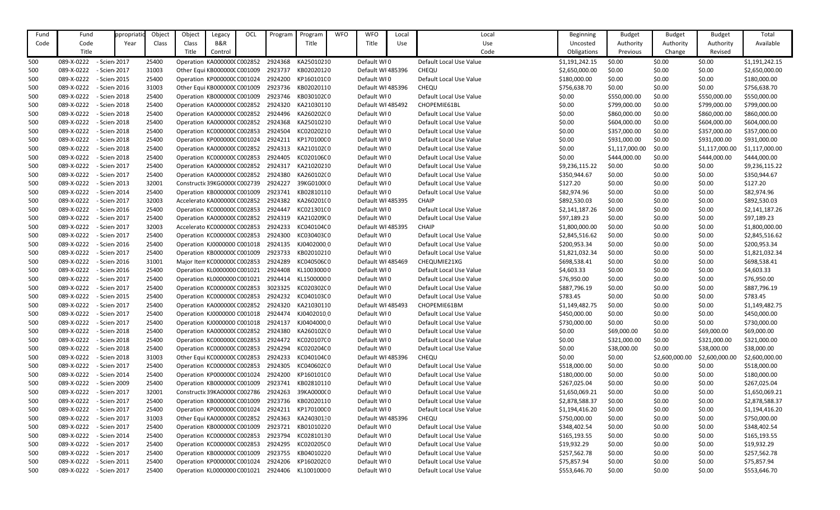| Fund | Fund       | ppropriatio  | Object | Object | Legacy                              | OCL | Program            | Program    | <b>WFO</b> | <b>WFO</b>        | Local | Local                   | <b>Beginning</b> | <b>Budget</b>  | <b>Budget</b>  | <b>Budget</b>  | Total          |
|------|------------|--------------|--------|--------|-------------------------------------|-----|--------------------|------------|------------|-------------------|-------|-------------------------|------------------|----------------|----------------|----------------|----------------|
| Code | Code       | Year         | Class  | Class  | B&R                                 |     |                    | Title      |            | Title             | Use   | Use                     | Uncosted         | Authority      | Authority      | Authority      | Available      |
|      | Title      |              |        | Title  | Control                             |     |                    |            |            |                   |       | Code                    | Obligations      | Previous       | Change         | Revised        |                |
| 500  | 089-X-0222 | - Scien 2017 | 25400  |        | Operation KA000000(C002852          |     | 2924368            | KA25010210 |            | Default WI0       |       | Default Local Use Value | \$1,191,242.15   | \$0.00         | \$0.00         | \$0.00         | \$1,191,242.15 |
| 500  | 089-X-0222 | - Scien 2017 | 31003  |        | Other Equi KB000000C C001009        |     | 2923737            | KB02020120 |            | Default WI 485396 |       | CHEQU                   | \$2,650,000.00   | \$0.00         | \$0.00         | \$0.00         | \$2,650,000.00 |
| 500  | 089-X-0222 | - Scien 2015 | 25400  |        | Operation KP000000C C001024         |     | 2924200            | KP160101C0 |            | Default WI0       |       | Default Local Use Value | \$180,000.00     | \$0.00         | \$0.00         | \$0.00         | \$180,000.00   |
| 500  | 089-X-0222 | - Scien 2016 | 31003  |        | Other Equi KB000000C C001009        |     | 2923736            | KB02020110 |            | Default WI 485396 |       | CHEQU                   | \$756,638.70     | \$0.00         | \$0.00         | \$0.00         | \$756,638.70   |
| 500  | 089-X-0222 | - Scien 2018 | 25400  |        | Operation KB000000C C001009         |     | 2923746            | KB030102(0 |            | Default WI0       |       | Default Local Use Value | \$0.00           | \$550,000.00   | \$0.00         | \$550,000.00   | \$550,000.00   |
| 500  | 089-X-0222 | - Scien 2018 | 25400  |        | Operation KA0000000 C002852         |     | 2924320            | KA21030110 |            | Default WI 485492 |       | CHOPEMIE61BL            | \$0.00           | \$799,000.00   | \$0.00         | \$799,000.00   | \$799,000.00   |
| 500  | 089-X-0222 | - Scien 2018 | 25400  |        | Operation KA0000000 C002852         |     | 2924496 KA260202(0 |            |            | Default WI0       |       | Default Local Use Value | \$0.00           | \$860,000.00   | \$0.00         | \$860,000.00   | \$860,000.00   |
| 500  | 089-X-0222 | - Scien 2018 | 25400  |        | Operation KA0000000 C002852         |     | 2924368            | KA25010210 |            | Default WI0       |       | Default Local Use Value | \$0.00           | \$604,000.00   | \$0.00         | \$604,000.00   | \$604,000.00   |
| 500  | 089-X-0222 | - Scien 2018 | 25400  |        | Operation KC000000C C002853         |     | 2924504            | KC02020210 |            | Default WI0       |       | Default Local Use Value | \$0.00           | \$357,000.00   | \$0.00         | \$357,000.00   | \$357,000.00   |
| 500  | 089-X-0222 | - Scien 2018 | 25400  |        | Operation KP000000C C001024         |     | 2924211            | KP170100C0 |            | Default WI0       |       | Default Local Use Value | \$0.00           | \$931,000.00   | \$0.00         | \$931,000.00   | \$931,000.00   |
| 500  | 089-X-0222 | - Scien 2018 | 25400  |        | Operation KA0000000 C002852         |     | 2924313            | KA210102(0 |            | Default WI0       |       | Default Local Use Value | \$0.00           | \$1,117,000.00 | \$0.00         | \$1,117,000.00 | \$1,117,000.00 |
| 500  | 089-X-0222 | - Scien 2018 | 25400  |        | Operation KC000000CC002853          |     | 2924405            | KC020106C0 |            | Default WI0       |       | Default Local Use Value | \$0.00           | \$444,000.00   | \$0.00         | \$444,000.00   | \$444,000.00   |
| 500  | 089-X-0222 | - Scien 2017 | 25400  |        | Operation KA0000000 C002852         |     | 2924317            | KA21020210 |            | Default WI0       |       | Default Local Use Value | \$9,236,115.22   | \$0.00         | \$0.00         | \$0.00         | \$9,236,115.22 |
| 500  | 089-X-0222 | - Scien 2017 | 25400  |        | Operation KA0000000 C002852         |     | 2924380            | KA260102(0 |            | Default WI0       |       | Default Local Use Value | \$350,944.67     | \$0.00         | \$0.00         | \$0.00         | \$350,944.67   |
| 500  | 089-X-0222 | - Scien 2013 | 32001  |        | Constructic 39KG0000(C002739        |     | 2924227            | 39KG0100(0 |            | Default WI0       |       | Default Local Use Value | \$127.20         | \$0.00         | \$0.00         | \$0.00         | \$127.20       |
| 500  | 089-X-0222 | - Scien 2014 | 25400  |        | Operation KB000000C C001009         |     | 2923741            | KB02810110 |            | Default WI0       |       | Default Local Use Value | \$82,974.96      | \$0.00         | \$0.00         | \$0.00         | \$82,974.96    |
| 500  | 089-X-0222 | - Scien 2017 | 32003  |        | Accelerato KA0000000 C002852        |     | 2924382            | KA260201(0 |            | Default WI 485395 |       | <b>CHAIP</b>            | \$892,530.03     | \$0.00         | \$0.00         | \$0.00         | \$892,530.03   |
| 500  | 089-X-0222 | - Scien 2016 | 25400  |        | Operation KC000000C C002853         |     | 2924447            | KC021301(0 |            | Default WI0       |       | Default Local Use Value | \$2,141,187.26   | \$0.00         | \$0.00         | \$0.00         | \$2,141,187.26 |
| 500  | 089-X-0222 | - Scien 2017 | 25400  |        | Operation KA0000000 C002852         |     | 2924319            | KA210209(0 |            | Default WI0       |       | Default Local Use Value | \$97,189.23      | \$0.00         | \$0.00         | \$0.00         | \$97,189.23    |
| 500  | 089-X-0222 | - Scien 2017 | 32003  |        | Accelerato KC000000C C002853        |     | 2924233            | KC040104C0 |            | Default WI 485395 |       | <b>CHAIP</b>            | \$1,800,000.00   | \$0.00         | \$0.00         | \$0.00         | \$1,800,000.00 |
| 500  | 089-X-0222 | - Scien 2017 | 25400  |        | Operation KC000000C C002853         |     | 2924300            | KC030403C0 |            | Default WI0       |       | Default Local Use Value | \$2,845,516.62   | \$0.00         | \$0.00         | \$0.00         | \$2,845,516.62 |
| 500  | 089-X-0222 | - Scien 2016 | 25400  |        | Operation KJ0000000 C001018         |     | 2924135            | KJ04020000 |            | Default WI0       |       | Default Local Use Value | \$200,953.34     | \$0.00         | \$0.00         | \$0.00         | \$200,953.34   |
| 500  | 089-X-0222 | - Scien 2017 | 25400  |        | Operation KB000000C C001009         |     | 2923733            | KB02010210 |            | Default WI0       |       | Default Local Use Value | \$1,821,032.34   | \$0.00         | \$0.00         | \$0.00         | \$1,821,032.34 |
| 500  | 089-X-0222 | - Scien 2016 | 31001  |        | Major Item KC000000C C002853        |     | 2924289            | KC040506C0 |            | Default WI 485469 |       | CHEQUMIE21XG            | \$698,538.41     | \$0.00         | \$0.00         | \$0.00         | \$698,538.41   |
| 500  | 089-X-0222 | - Scien 2016 | 25400  |        | Operation KL0000000 C001021         |     | 2924408            | KL10030000 |            | Default WI0       |       | Default Local Use Value | \$4,603.33       | \$0.00         | \$0.00         | \$0.00         | \$4,603.33     |
| 500  | 089-X-0222 | - Scien 2017 | 25400  |        | Operation KL0000000 C001021         |     | 2924414 KL15000000 |            |            | Default WI0       |       | Default Local Use Value | \$76,950.00      | \$0.00         | \$0.00         | \$0.00         | \$76,950.00    |
| 500  | 089-X-0222 | - Scien 2017 | 25400  |        | Operation KC000000C C002853         |     | 3023325            | KC020302C0 |            | Default WI0       |       | Default Local Use Value | \$887,796.19     | \$0.00         | \$0.00         | \$0.00         | \$887,796.19   |
| 500  | 089-X-0222 | - Scien 2015 | 25400  |        | Operation KC000000C C002853         |     | 2924232            | KC04010300 |            | Default WI0       |       | Default Local Use Value | \$783.45         | \$0.00         | \$0.00         | \$0.00         | \$783.45       |
| 500  | 089-X-0222 | - Scien 2017 | 25400  |        | Operation KA0000000 C002852 2924320 |     |                    | KA21030110 |            | Default WI 485493 |       | CHOPEMIE61BM            | \$1,149,482.75   | \$0.00         | \$0.00         | \$0.00         | \$1,149,482.75 |
| 500  | 089-X-0222 | - Scien 2017 | 25400  |        | Operation KJ0000000 C001018         |     | 2924474            | KJ04020100 |            | Default WI0       |       | Default Local Use Value | \$450,000.00     | \$0.00         | \$0.00         | \$0.00         | \$450,000.00   |
| 500  | 089-X-0222 | - Scien 2017 | 25400  |        | Operation KJ0000000 C001018         |     | 2924137            | KJ04040000 |            | Default WI0       |       | Default Local Use Value | \$730,000.00     | \$0.00         | \$0.00         | \$0.00         | \$730,000.00   |
| 500  | 089-X-0222 | - Scien 2018 | 25400  |        | Operation KA0000000 C002852         |     | 2924380            | KA260102(0 |            | Default WI0       |       | Default Local Use Value | \$0.00           | \$69,000.00    | \$0.00         | \$69,000.00    | \$69,000.00    |
| 500  | 089-X-0222 | - Scien 2018 | 25400  |        | Operation KC000000C C002853         |     | 2924472            | KC02010700 |            | Default WI0       |       | Default Local Use Value | \$0.00           | \$321,000.00   | \$0.00         | \$321,000.00   | \$321,000.00   |
| 500  | 089-X-0222 | - Scien 2018 | 25400  |        | Operation KC000000C C002853         |     | 2924294            | KC020204C0 |            | Default WI0       |       | Default Local Use Value | \$0.00           | \$38,000.00    | \$0.00         | \$38,000.00    | \$38,000.00    |
| 500  | 089-X-0222 | - Scien 2018 | 31003  |        | Other Equi KC000000C C002853        |     | 2924233            | KC040104C0 |            | Default WI 485396 |       | <b>CHEQU</b>            | \$0.00           | \$0.00         | \$2,600,000.00 | \$2,600,000.00 | \$2,600,000.00 |
| 500  | 089-X-0222 | - Scien 2017 | 25400  |        | Operation KC000000CC002853          |     | 2924305            | KC040602C0 |            | Default WI0       |       | Default Local Use Value | \$518,000.00     | \$0.00         | \$0.00         | \$0.00         | \$518,000.00   |
| 500  | 089-X-0222 | - Scien 2014 | 25400  |        | Operation KP000000C C001024         |     | 2924200            | KP160101C0 |            | Default WI0       |       | Default Local Use Value | \$180,000.00     | \$0.00         | \$0.00         | \$0.00         | \$180,000.00   |
| 500  | 089-X-0222 | - Scien 2009 | 25400  |        | Operation KB000000C C001009         |     | 2923741            | KB02810110 |            | Default WI0       |       | Default Local Use Value | \$267,025.04     | \$0.00         | \$0.00         | \$0.00         | \$267,025.04   |
| 500  | 089-X-0222 | - Scien 2017 | 32001  |        | Constructic 39KA00000 C002786       |     | 2924263            | 39KA000000 |            | Default WI0       |       | Default Local Use Value | \$1,650,069.21   | \$0.00         | \$0.00         | \$0.00         | \$1,650,069.21 |
| 500  | 089-X-0222 | - Scien 2017 | 25400  |        | Operation KB000000C C001009         |     | 2923736            | KB02020110 |            | Default WI0       |       | Default Local Use Value | \$2,878,588.37   | \$0.00         | \$0.00         | \$0.00         | \$2,878,588.37 |
| 500  | 089-X-0222 | - Scien 2017 | 25400  |        | Operation KP000000C C001024         |     | 2924211            | KP170100C0 |            | Default WI0       |       | Default Local Use Value | \$1,194,416.20   | \$0.00         | \$0.00         | \$0.00         | \$1,194,416.20 |
| 500  | 089-X-0222 | - Scien 2017 | 31003  |        | Other Equi KA000000(C002852         |     | 2924363            | KA24030130 |            | Default WI 485396 |       | <b>CHEQU</b>            | \$750,000.00     | \$0.00         | \$0.00         | \$0.00         | \$750,000.00   |
| 500  | 089-X-0222 | - Scien 2017 | 25400  |        | Operation KB000000C C001009         |     | 2923721            | KB01010220 |            | Default WI0       |       | Default Local Use Value | \$348,402.54     | \$0.00         | \$0.00         | \$0.00         | \$348,402.54   |
| 500  | 089-X-0222 | - Scien 2014 | 25400  |        | Operation KC000000C C002853         |     | 2923794            | KC02810130 |            | Default WI0       |       | Default Local Use Value | \$165,193.55     | \$0.00         | \$0.00         | \$0.00         | \$165,193.55   |
| 500  | 089-X-0222 | - Scien 2017 | 25400  |        | Operation KC000000C C002853         |     | 2924295            | KC020205C0 |            | Default WI0       |       | Default Local Use Value | \$19,932.29      | \$0.00         | \$0.00         | \$0.00         | \$19,932.29    |
| 500  | 089-X-0222 | - Scien 2017 | 25400  |        | Operation KB000000C C001009         |     | 2923755            | KB04010220 |            | Default WI0       |       | Default Local Use Value | \$257,562.78     | \$0.00         | \$0.00         | \$0.00         | \$257,562.78   |
| 500  | 089-X-0222 | - Scien 2011 | 25400  |        | Operation KP000000C C001024         |     | 2924206            | KP160202C0 |            | Default WI0       |       | Default Local Use Value | \$75,857.94      | \$0.00         | \$0.00         | \$0.00         | \$75,857.94    |
| 500  | 089-X-0222 | - Scien 2017 | 25400  |        | Operation KL0000000 C001021         |     | 2924406 KL10010000 |            |            | Default WI0       |       | Default Local Use Value | \$553,646.70     | \$0.00         | \$0.00         | \$0.00         | \$553,646.70   |
|      |            |              |        |        |                                     |     |                    |            |            |                   |       |                         |                  |                |                |                |                |

| Beginning      | <b>Budget</b>  | <b>Budget</b>  | <b>Budget</b>  | Total          |
|----------------|----------------|----------------|----------------|----------------|
| Uncosted       | Authority      | Authority      | Authority      | Available      |
| Obligations    | Previous       | Change         | Revised        |                |
| \$1,191,242.15 | \$0.00         | \$0.00         | \$0.00         | \$1,191,242.15 |
| \$2,650,000.00 | \$0.00         | \$0.00         | \$0.00         | \$2,650,000.00 |
| \$180,000.00   | \$0.00         | \$0.00         | \$0.00         | \$180,000.00   |
| \$756,638.70   | \$0.00         | \$0.00         | \$0.00         | \$756,638.70   |
| \$0.00         | \$550,000.00   | \$0.00         | \$550,000.00   | \$550,000.00   |
| \$0.00         | \$799,000.00   | \$0.00         | \$799,000.00   | \$799,000.00   |
| \$0.00         | \$860,000.00   | \$0.00         | \$860,000.00   | \$860,000.00   |
| \$0.00         | \$604,000.00   | \$0.00         | \$604,000.00   | \$604,000.00   |
| \$0.00         | \$357,000.00   | \$0.00         | \$357,000.00   | \$357,000.00   |
| \$0.00         | \$931,000.00   | \$0.00         | \$931,000.00   | \$931,000.00   |
| \$0.00         | \$1,117,000.00 | \$0.00         | \$1,117,000.00 | \$1,117,000.00 |
| \$0.00         | \$444,000.00   | \$0.00         | \$444,000.00   | \$444,000.00   |
| \$9,236,115.22 | \$0.00         | \$0.00         | \$0.00         | \$9,236,115.22 |
| \$350,944.67   | \$0.00         | \$0.00         | \$0.00         | \$350,944.67   |
| \$127.20       | \$0.00         | \$0.00         | \$0.00         | \$127.20       |
| \$82,974.96    | \$0.00         | \$0.00         | \$0.00         | \$82,974.96    |
| \$892,530.03   | \$0.00         | \$0.00         | \$0.00         | \$892,530.03   |
| \$2,141,187.26 | \$0.00         | \$0.00         | \$0.00         | \$2,141,187.26 |
| \$97,189.23    | \$0.00         | \$0.00         | \$0.00         | \$97,189.23    |
| \$1,800,000.00 | \$0.00         | \$0.00         | \$0.00         | \$1,800,000.00 |
| \$2,845,516.62 | \$0.00         | \$0.00         | \$0.00         | \$2,845,516.62 |
| \$200,953.34   | \$0.00         | \$0.00         | \$0.00         | \$200,953.34   |
| \$1,821,032.34 | \$0.00         | \$0.00         | \$0.00         | \$1,821,032.34 |
| \$698,538.41   | \$0.00         | \$0.00         | \$0.00         | \$698,538.41   |
| \$4,603.33     | \$0.00         | \$0.00         | \$0.00         | \$4,603.33     |
| \$76,950.00    | \$0.00         | \$0.00         | \$0.00         | \$76,950.00    |
| \$887,796.19   | \$0.00         | \$0.00         | \$0.00         | \$887,796.19   |
| \$783.45       | \$0.00         | \$0.00         | \$0.00         | \$783.45       |
| \$1,149,482.75 | \$0.00         | \$0.00         | \$0.00         | \$1,149,482.75 |
| \$450,000.00   | \$0.00         | \$0.00         | \$0.00         | \$450,000.00   |
| \$730,000.00   | \$0.00         | \$0.00         | \$0.00         | \$730,000.00   |
| \$0.00         | \$69,000.00    | \$0.00         | \$69,000.00    | \$69,000.00    |
| \$0.00         | \$321,000.00   | \$0.00         | \$321,000.00   | \$321,000.00   |
| \$0.00         | \$38,000.00    | \$0.00         | \$38,000.00    | \$38,000.00    |
| \$0.00         | \$0.00         | \$2,600,000.00 | \$2,600,000.00 | \$2,600,000.00 |
| \$518,000.00   | \$0.00         | \$0.00         | \$0.00         | \$518,000.00   |
| \$180,000.00   | \$0.00         | \$0.00         | \$0.00         | \$180,000.00   |
| \$267,025.04   | \$0.00         | \$0.00         | \$0.00         | \$267,025.04   |
| \$1,650,069.21 | \$0.00         | \$0.00         | \$0.00         | \$1,650,069.21 |
| \$2,878,588.37 | \$0.00         | \$0.00         | \$0.00         | \$2,878,588.37 |
| \$1,194,416.20 | \$0.00         | \$0.00         | \$0.00         | \$1,194,416.20 |
| \$750,000.00   | \$0.00         | \$0.00         | \$0.00         | \$750,000.00   |
| \$348,402.54   | \$0.00         | \$0.00         | \$0.00         | \$348,402.54   |
| \$165,193.55   | \$0.00         | \$0.00         | \$0.00         | \$165,193.55   |
| \$19,932.29    | \$0.00         | \$0.00         | \$0.00         | \$19,932.29    |
| \$257,562.78   | \$0.00         | \$0.00         | \$0.00         | \$257,562.78   |
| \$75,857.94    | \$0.00         | \$0.00         | \$0.00         | \$75,857.94    |
| \$553,646.70   | \$0.00         | \$0.00         | \$0.00         | \$553,646.70   |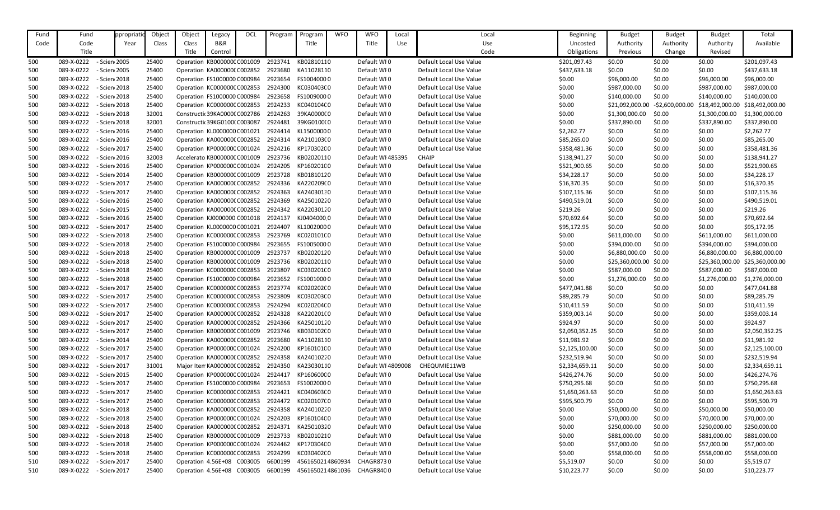| Fund | Fund       | ppropriat    | Object | Object                               | Legacy                        | OCL | Program | Program                                        | <b>WFO</b> | <b>WFO</b>         | Local | Local                   | Beginning      | <b>Budget</b>          | <b>Budget</b>    | <b>Budget</b>   | Total           |
|------|------------|--------------|--------|--------------------------------------|-------------------------------|-----|---------|------------------------------------------------|------------|--------------------|-------|-------------------------|----------------|------------------------|------------------|-----------------|-----------------|
| Code | Code       | Year         | Class  | Class                                | B&R                           |     |         | Title                                          |            | Title              | Use   | Use                     | Uncosted       | Authority              | Authority        | Authority       | Available       |
|      | Title      |              |        | Title                                | Control                       |     |         |                                                |            |                    |       | Code                    | Obligations    | Previous               | Change           | Revised         |                 |
| 500  | 089-X-0222 | - Scien 2005 | 25400  | Operation KB000000C C001009          |                               |     | 2923741 | KB02810110                                     |            | Default WI0        |       | Default Local Use Value | \$201,097.43   | \$0.00                 | \$0.00           | \$0.00          | \$201,097.43    |
| 500  | 089-X-0222 | - Scien 2005 | 25400  | Operation KA0000000 C002852          |                               |     | 2923680 | KA11028110                                     |            | Default WI0        |       | Default Local Use Value | \$437,633.18   | \$0.00                 | \$0.00           | \$0.00          | \$437,633.18    |
| 500  | 089-X-0222 | - Scien 2018 | 25400  | Operation FS1000000 C000984          |                               |     | 2923654 | FS10040000                                     |            | Default WI0        |       | Default Local Use Value | \$0.00         | \$96,000.00            | \$0.00           | \$96,000.00     | \$96,000.00     |
| 500  | 089-X-0222 | - Scien 2018 | 25400  | Operation KC000000C C002853          |                               |     | 2924300 | KC030403C0                                     |            | Default WI0        |       | Default Local Use Value | \$0.00         | \$987,000.00           | \$0.00           | \$987,000.00    | \$987,000.00    |
| 500  | 089-X-0222 | - Scien 2018 | 25400  | Operation FS1000000 C000984          |                               |     | 2923658 | FS10090000                                     |            | Default WI0        |       | Default Local Use Value | \$0.00         | \$140,000.00           | \$0.00           | \$140,000.00    | \$140,000.00    |
| 500  | 089-X-0222 | - Scien 2018 | 25400  | Operation KC000000C C002853          |                               |     | 2924233 | KC040104C0                                     |            | Default WI0        |       | Default Local Use Value | \$0.00         | \$21,092,000.00        | $-52,600,000.00$ | \$18,492,000.00 | \$18,492,000.00 |
| 500  | 089-X-0222 | - Scien 2018 | 32001  |                                      | Constructic 39KA00000 C002786 |     | 2924263 | 39KA0000000                                    |            | Default WI0        |       | Default Local Use Value | \$0.00         | \$1,300,000.00         | \$0.00           | \$1,300,000.00  | \$1,300,000.00  |
| 500  | 089-X-0222 | - Scien 2018 | 32001  | Constructic 39KG01000 C003087        |                               |     | 2924481 | 39KG0100(0                                     |            | Default WI0        |       | Default Local Use Value | \$0.00         | \$337,890.00           | \$0.00           | \$337,890.00    | \$337,890.00    |
| 500  | 089-X-0222 | - Scien 2016 | 25400  | Operation KL0000000 C001021          |                               |     | 2924414 | KL15000000                                     |            | Default WI0        |       | Default Local Use Value | \$2,262.77     | \$0.00                 | \$0.00           | \$0.00          | \$2,262.77      |
| 500  | 089-X-0222 | - Scien 2016 | 25400  | Operation KA0000000 C002852          |                               |     | 2924314 | KA210103(0                                     |            | Default WI0        |       | Default Local Use Value | \$85,265.00    | \$0.00                 | \$0.00           | \$0.00          | \$85,265.00     |
| 500  | 089-X-0222 | - Scien 2017 | 25400  | Operation KP000000C C001024          |                               |     |         | 2924216 KP170302C0                             |            | Default WI0        |       | Default Local Use Value | \$358,481.36   | \$0.00                 | \$0.00           | \$0.00          | \$358,481.36    |
| 500  | 089-X-0222 | - Scien 2016 | 32003  |                                      | Accelerato KB000000C C001009  |     | 2923736 | KB02020110                                     |            | Default WI 485395  |       | <b>CHAIP</b>            | \$138,941.27   | \$0.00                 | \$0.00           | \$0.00          | \$138,941.27    |
| 500  | 089-X-0222 | - Scien 2016 | 25400  | Operation KP000000C C001024          |                               |     | 2924205 | KP160201C0                                     |            | Default WI0        |       | Default Local Use Value | \$521,900.65   | \$0.00                 | \$0.00           | \$0.00          | \$521,900.65    |
| 500  | 089-X-0222 | - Scien 2014 | 25400  | Operation KB000000C C001009          |                               |     | 2923728 | KB01810120                                     |            | Default WI0        |       | Default Local Use Value | \$34,228.17    | \$0.00                 | \$0.00           | \$0.00          | \$34,228.17     |
| 500  | 089-X-0222 | - Scien 2017 | 25400  | Operation KA0000000 C002852          |                               |     | 2924336 | KA220209(0                                     |            | Default WI0        |       | Default Local Use Value | \$16,370.35    | \$0.00                 | \$0.00           | \$0.00          | \$16,370.35     |
| 500  | 089-X-0222 | - Scien 2017 | 25400  | Operation KA0000000 C002852          |                               |     | 2924363 | KA24030130                                     |            | Default WI0        |       | Default Local Use Value | \$107,115.36   | \$0.00                 | \$0.00           | \$0.00          | \$107,115.36    |
| 500  | 089-X-0222 | - Scien 2016 | 25400  | Operation KA0000000 C002852          |                               |     | 2924369 | KA25010220                                     |            | Default WI0        |       | Default Local Use Value | \$490,519.01   | \$0.00                 | \$0.00           | \$0.00          | \$490,519.01    |
| 500  | 089-X-0222 | - Scien 2015 | 25400  | Operation KA0000000 C002852          |                               |     | 2924342 | KA22030120                                     |            | Default WI0        |       | Default Local Use Value | \$219.26       | \$0.00                 | \$0.00           | \$0.00          | \$219.26        |
| 500  | 089-X-0222 | - Scien 2016 | 25400  | Operation KJ0000000 C001018          |                               |     | 2924137 | KJ04040000                                     |            | Default WI0        |       | Default Local Use Value | \$70,692.64    | \$0.00                 | \$0.00           | \$0.00          | \$70,692.64     |
| 500  | 089-X-0222 | - Scien 2017 | 25400  | Operation KL0000000 C001021          |                               |     | 2924407 | KL10020000                                     |            | Default WI0        |       | Default Local Use Value | \$95,172.95    | \$0.00                 | \$0.00           | \$0.00          | \$95,172.95     |
| 500  | 089-X-0222 | - Scien 2018 | 25400  | Operation KC000000C C002853          |                               |     | 2923769 | KC020101C0                                     |            | Default WI0        |       | Default Local Use Value | \$0.00         | \$611,000.00           | \$0.00           | \$611,000.00    | \$611,000.00    |
| 500  | 089-X-0222 | - Scien 2018 | 25400  | Operation FS1000000 C000984          |                               |     | 2923655 | FS10050000                                     |            | Default WI0        |       | Default Local Use Value | \$0.00         | \$394,000.00           | \$0.00           | \$394,000.00    | \$394,000.00    |
| 500  | 089-X-0222 | - Scien 2018 | 25400  | Operation KB000000C C001009          |                               |     | 2923737 | KB02020120                                     |            | Default WI0        |       | Default Local Use Value | \$0.00         | \$6,880,000.00         | \$0.00           | \$6,880,000.00  | \$6,880,000.00  |
| 500  | 089-X-0222 | - Scien 2018 | 25400  | Operation KB000000C C001009          |                               |     | 2923736 | KB02020110                                     |            | Default WI0        |       | Default Local Use Value | \$0.00         | \$25,360,000.00 \$0.00 |                  | \$25,360,000.00 | \$25,360,000.00 |
| 500  | 089-X-0222 | - Scien 2018 | 25400  | Operation KC000000C C002853          |                               |     | 2923807 | KC03020100                                     |            | Default WI0        |       | Default Local Use Value | \$0.00         | \$587,000.00           | \$0.00           | \$587,000.00    | \$587,000.00    |
| 500  | 089-X-0222 | - Scien 2018 | 25400  | Operation FS1000000 C000984          |                               |     | 2923652 | FS10010000                                     |            | Default WI0        |       | Default Local Use Value | \$0.00         | \$1,276,000.00         | \$0.00           | \$1,276,000.00  | \$1,276,000.00  |
| 500  | 089-X-0222 | - Scien 2017 | 25400  | Operation KC000000C C002853          |                               |     | 2923774 | KC020202C0                                     |            | Default WI0        |       | Default Local Use Value | \$477,041.88   | \$0.00                 | \$0.00           | \$0.00          | \$477,041.88    |
| 500  | 089-X-0222 | - Scien 2017 | 25400  | Operation KC000000C C002853          |                               |     | 2923809 | KC030203C0                                     |            | Default WI0        |       | Default Local Use Value | \$89,285.79    | \$0.00                 | \$0.00           | \$0.00          | \$89,285.79     |
| 500  | 089-X-0222 | - Scien 2017 | 25400  | Operation KC000000C C002853          |                               |     | 2924294 | KC020204C0                                     |            | Default WI0        |       | Default Local Use Value | \$10,411.59    | \$0.00                 | \$0.00           | \$0.00          | \$10,411.59     |
| 500  | 089-X-0222 | - Scien 2017 | 25400  | Operation KA0000000 C002852 2924328  |                               |     |         | KA220201(0                                     |            | Default WI0        |       | Default Local Use Value | \$359,003.14   | \$0.00                 | \$0.00           | \$0.00          | \$359,003.14    |
| 500  | 089-X-0222 | - Scien 2017 | 25400  | Operation KA0000000 C002852          |                               |     |         | 2924366 KA25010120                             |            | Default WI0        |       | Default Local Use Value | \$924.97       | \$0.00                 | \$0.00           | \$0.00          | \$924.97        |
| 500  | 089-X-0222 | - Scien 2017 | 25400  | Operation KB000000C C001009          |                               |     | 2923746 | KB030102(0                                     |            | Default WI0        |       | Default Local Use Value | \$2,050,352.25 | \$0.00                 | \$0.00           | \$0.00          | \$2,050,352.25  |
| 500  | 089-X-0222 | - Scien 2014 | 25400  | Operation KA0000000 C002852 2923680  |                               |     |         | KA11028110                                     |            | Default WI0        |       | Default Local Use Value | \$11,981.92    | \$0.00                 | \$0.00           | \$0.00          | \$11,981.92     |
| 500  | 089-X-0222 | - Scien 2017 | 25400  | Operation KP000000C C001024          |                               |     | 2924200 | KP160101C0                                     |            | Default WI0        |       | Default Local Use Value | \$2,125,100.00 | \$0.00                 | \$0.00           | \$0.00          | \$2,125,100.00  |
| 500  | 089-X-0222 | - Scien 2017 | 25400  |                                      |                               |     |         | Operation KA000000(C002852 2924358 KA24010220  |            | Default WI0        |       | Default Local Use Value | \$232,519.94   | \$0.00                 | \$0.00           | \$0.00          | \$232,519.94    |
| 500  | 089-X-0222 | - Scien 2017 | 31001  | Major Item KA0000000 C002852 2924350 |                               |     |         | KA23030110                                     |            | Default WI 4809008 |       | CHEQUMIE11WB            | \$2,334,659.11 | \$0.00                 | \$0.00           | \$0.00          | \$2,334,659.11  |
| 500  | 089-X-0222 | - Scien 2015 | 25400  | Operation KP000000C C001024 2924417  |                               |     |         | KP160600C0                                     |            | Default WI0        |       | Default Local Use Value | \$426,274.76   | \$0.00                 | \$0.00           | \$0.00          | \$426,274.76    |
| 500  | 089-X-0222 | - Scien 2017 | 25400  | Operation FS1000000 C000984 2923653  |                               |     |         | FS10020000                                     |            | Default WI0        |       | Default Local Use Value | \$750,295.68   | \$0.00                 | \$0.00           | \$0.00          | \$750,295.68    |
| 500  | 089-X-0222 | - Scien 2017 | 25400  | Operation KC000000CC002853           |                               |     | 2924421 | KC040603C0                                     |            | Default WI0        |       | Default Local Use Value | \$1,650,263.63 | \$0.00                 | \$0.00           | \$0.00          | \$1,650,263.63  |
| 500  | 089-X-0222 | - Scien 2017 | 25400  | Operation KC000000CC002853           |                               |     | 2924472 | KC020107C0                                     |            | Default WI0        |       | Default Local Use Value | \$595,500.79   | \$0.00                 | \$0.00           | \$0.00          | \$595,500.79    |
| 500  | 089-X-0222 | - Scien 2018 | 25400  | Operation KA0000000 C002852          |                               |     | 2924358 | KA24010220                                     |            | Default WI0        |       | Default Local Use Value | \$0.00         | \$50,000.00            | \$0.00           | \$50,000.00     | \$50,000.00     |
| 500  | 089-X-0222 | - Scien 2018 | 25400  | Operation KP000000C C001024 2924203  |                               |     |         | KP160104C0                                     |            | Default WI0        |       | Default Local Use Value | \$0.00         | \$70,000.00            | \$0.00           | \$70,000.00     | \$70,000.00     |
| 500  | 089-X-0222 | - Scien 2018 | 25400  |                                      |                               |     |         | Operation KA000000(C002852 2924371 KA25010320  |            | Default WI0        |       | Default Local Use Value | \$0.00         | \$250,000.00           | \$0.00           | \$250,000.00    | \$250,000.00    |
| 500  | 089-X-0222 | - Scien 2018 | 25400  | Operation KB000000C C001009          |                               |     | 2923733 | KB02010210                                     |            | Default WI0        |       | Default Local Use Value | \$0.00         | \$881,000.00           | \$0.00           | \$881,000.00    | \$881,000.00    |
| 500  | 089-X-0222 | - Scien 2018 | 25400  |                                      |                               |     |         | Operation KP000000C C001024 2924462 KP170304C0 |            | Default WI0        |       | Default Local Use Value | \$0.00         | \$57,000.00            | \$0.00           | \$57,000.00     | \$57,000.00     |
| 500  | 089-X-0222 | - Scien 2018 | 25400  | Operation KC000000C C002853          |                               |     | 2924299 | KC030402C0                                     |            | Default WI0        |       | Default Local Use Value | \$0.00         | \$558,000.00           | \$0.00           | \$558,000.00    | \$558,000.00    |
| 510  | 089-X-0222 | - Scien 2017 | 25400  | Operation 4.56E+08 C003005           |                               |     | 6600199 | 4561650214860934                               |            | CHAGR8730          |       | Default Local Use Value | \$5,519.07     | \$0.00                 | \$0.00           | \$0.00          | \$5,519.07      |
| 510  | 089-X-0222 | - Scien 2017 | 25400  | Operation 4.56E+08 C003005 6600199   |                               |     |         | 4561650214861036                               |            | CHAGR8400          |       | Default Local Use Value | \$10,223.77    | \$0.00                 | \$0.00           | \$0.00          | \$10,223.77     |
|      |            |              |        |                                      |                               |     |         |                                                |            |                    |       |                         |                |                        |                  |                 |                 |

| Beginning      | <b>Budget</b>   | <b>Budget</b>    | <b>Budget</b>   | Total           |
|----------------|-----------------|------------------|-----------------|-----------------|
| Uncosted       | Authority       | Authority        | Authority       | Available       |
| Obligations    | Previous        | Change           | Revised         |                 |
| \$201,097.43   | \$0.00          | \$0.00           | \$0.00          | \$201,097.43    |
| \$437,633.18   | \$0.00          | \$0.00           | \$0.00          | \$437,633.18    |
| \$0.00         | \$96,000.00     | \$0.00           | \$96,000.00     | \$96,000.00     |
| \$0.00         | \$987,000.00    | \$0.00           | \$987,000.00    | \$987,000.00    |
| \$0.00         | \$140,000.00    | \$0.00           | \$140,000.00    | \$140,000.00    |
| \$0.00         | \$21,092,000.00 | $-52,600,000.00$ | \$18,492,000.00 | \$18,492,000.00 |
| \$0.00         | \$1,300,000.00  | \$0.00           | \$1,300,000.00  | \$1,300,000.00  |
| \$0.00         | \$337,890.00    | \$0.00           | \$337,890.00    | \$337,890.00    |
| \$2,262.77     | \$0.00          | \$0.00           | \$0.00          | \$2,262.77      |
| \$85,265.00    | \$0.00          | \$0.00           | \$0.00          | \$85,265.00     |
| \$358,481.36   | \$0.00          | \$0.00           | \$0.00          | \$358,481.36    |
| \$138,941.27   | \$0.00          | \$0.00           | \$0.00          | \$138,941.27    |
| \$521,900.65   | \$0.00          | \$0.00           | \$0.00          | \$521,900.65    |
| \$34,228.17    | \$0.00          | \$0.00           | \$0.00          | \$34,228.17     |
| \$16,370.35    | \$0.00          | \$0.00           | \$0.00          | \$16,370.35     |
| \$107,115.36   | \$0.00          | \$0.00           | \$0.00          | \$107,115.36    |
| \$490,519.01   | \$0.00          | \$0.00           | \$0.00          | \$490,519.01    |
| \$219.26       | \$0.00          | \$0.00           | \$0.00          | \$219.26        |
| \$70,692.64    | \$0.00          | \$0.00           | \$0.00          | \$70,692.64     |
| \$95,172.95    | \$0.00          | \$0.00           | \$0.00          | \$95,172.95     |
| \$0.00         | \$611,000.00    | \$0.00           | \$611,000.00    | \$611,000.00    |
| \$0.00         | \$394,000.00    | \$0.00           | \$394,000.00    | \$394,000.00    |
| \$0.00         | \$6,880,000.00  | \$0.00           | \$6,880,000.00  | \$6,880,000.00  |
| \$0.00         | \$25,360,000.00 | \$0.00           | \$25,360,000.00 | \$25,360,000.00 |
| \$0.00         | \$587,000.00    | \$0.00           | \$587,000.00    | \$587,000.00    |
| \$0.00         | \$1,276,000.00  | \$0.00           | \$1,276,000.00  | \$1,276,000.00  |
| \$477,041.88   | \$0.00          | \$0.00           | \$0.00          | \$477,041.88    |
| \$89,285.79    | \$0.00          | \$0.00           | \$0.00          | \$89,285.79     |
| \$10,411.59    | \$0.00          | \$0.00           | \$0.00          | \$10,411.59     |
| \$359,003.14   | \$0.00          | \$0.00           | \$0.00          | \$359,003.14    |
| \$924.97       | \$0.00          | \$0.00           | \$0.00          | \$924.97        |
| \$2,050,352.25 | \$0.00          | \$0.00           | \$0.00          | \$2,050,352.25  |
| \$11,981.92    | \$0.00          | \$0.00           | \$0.00          | \$11,981.92     |
| \$2,125,100.00 | \$0.00          | \$0.00           | \$0.00          | \$2,125,100.00  |
| \$232,519.94   | \$0.00          | \$0.00           | \$0.00          | \$232,519.94    |
| \$2,334,659.11 | \$0.00          | \$0.00           | \$0.00          | \$2,334,659.11  |
| \$426,274.76   | \$0.00          | \$0.00           | \$0.00          | \$426,274.76    |
| \$750,295.68   | \$0.00          | \$0.00           | \$0.00          | \$750,295.68    |
| \$1,650,263.63 | \$0.00          | \$0.00           | \$0.00          | \$1,650,263.63  |
| \$595,500.79   | \$0.00          | \$0.00           | \$0.00          | \$595,500.79    |
| \$0.00         | \$50,000.00     | \$0.00           | \$50,000.00     | \$50,000.00     |
| \$0.00         | \$70,000.00     | \$0.00           | \$70,000.00     | \$70,000.00     |
| \$0.00         | \$250,000.00    | \$0.00           | \$250,000.00    | \$250,000.00    |
| \$0.00         | \$881,000.00    | \$0.00           | \$881,000.00    | \$881,000.00    |
| \$0.00         | \$57,000.00     | \$0.00           | \$57,000.00     | \$57,000.00     |
| \$0.00         | \$558,000.00    | \$0.00           | \$558,000.00    | \$558,000.00    |
| \$5,519.07     | \$0.00          | \$0.00           | \$0.00          | \$5,519.07      |
| \$10,223.77    | \$0.00          | \$0.00           | \$0.00          | \$10,223.77     |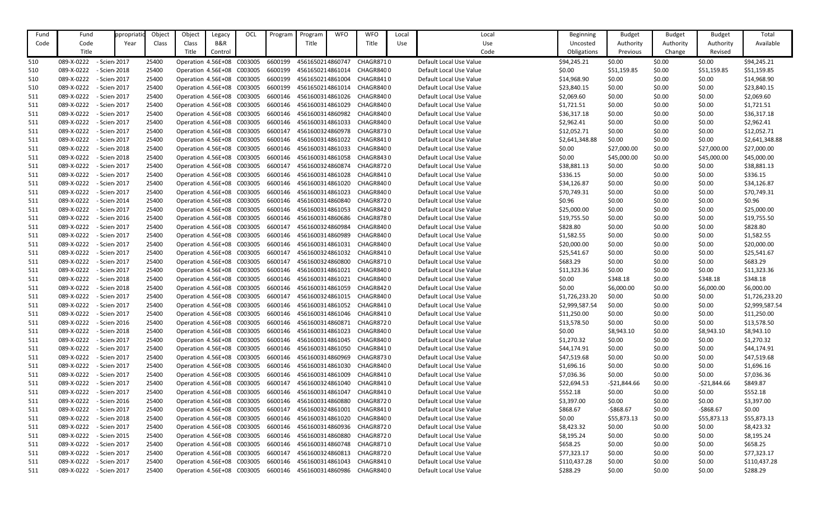| Fund | Fund       | ppropriat    | Object | Object             | Legacy                     | OCL                                | Program | Program          | <b>WFO</b> | <b>WFO</b>       | Local | Local                   | <b>Beginning</b> | <b>Budget</b> | <b>Budget</b> | <b>Budget</b> | Total          |
|------|------------|--------------|--------|--------------------|----------------------------|------------------------------------|---------|------------------|------------|------------------|-------|-------------------------|------------------|---------------|---------------|---------------|----------------|
| Code | Code       | Year         | Class  | Class              | B&R                        |                                    |         | Title            |            | Title            | Use   | Use                     | Uncosted         | Authority     | Authority     | Authority     | Available      |
|      | Title      |              |        | Title              | Control                    |                                    |         |                  |            |                  |       | Code                    | Obligations      | Previous      | Change        | Revised       |                |
| 510  | 089-X-0222 | - Scien 2017 | 25400  |                    | Operation 4.56E+08 C003005 |                                    | 6600199 | 4561650214860747 |            | <b>CHAGR8710</b> |       | Default Local Use Value | \$94,245.21      | \$0.00        | \$0.00        | \$0.00        | \$94,245.21    |
| 510  | 089-X-0222 | - Scien 2018 | 25400  |                    | Operation 4.56E+08 C003005 |                                    | 6600199 | 4561650214861014 |            | CHAGR8400        |       | Default Local Use Value | \$0.00           | \$51,159.85   | \$0.00        | \$51,159.85   | \$51,159.85    |
| 510  | 089-X-0222 | - Scien 2017 | 25400  | Operation 4.56E+08 |                            | C003005                            | 6600199 | 4561650214861004 |            | CHAGR8410        |       | Default Local Use Value | \$14,968.90      | \$0.00        | \$0.00        | \$0.00        | \$14,968.90    |
|      | 089-X-0222 | - Scien 2017 | 25400  |                    | Operation 4.56E+08 C003005 |                                    | 6600199 | 4561650214861014 |            | CHAGR8400        |       | Default Local Use Value | \$23,840.15      | \$0.00        | \$0.00        | \$0.00        | \$23,840.15    |
| 510  |            |              |        |                    |                            |                                    |         |                  |            | CHAGR8400        |       |                         |                  |               |               |               |                |
| 511  | 089-X-0222 | - Scien 2017 | 25400  | Operation 4.56E+08 |                            | C003005                            | 6600146 | 4561600314861026 |            |                  |       | Default Local Use Value | \$2,069.60       | \$0.00        | \$0.00        | \$0.00        | \$2,069.60     |
| 511  | 089-X-0222 | - Scien 2017 | 25400  |                    | Operation 4.56E+08 C003005 |                                    | 6600146 | 4561600314861029 |            | CHAGR8400        |       | Default Local Use Value | \$1,721.51       | \$0.00        | \$0.00        | \$0.00        | \$1,721.51     |
| 511  | 089-X-0222 | - Scien 2017 | 25400  |                    | Operation 4.56E+08 C003005 |                                    | 6600146 | 4561600314860982 |            | CHAGR8400        |       | Default Local Use Value | \$36,317.18      | \$0.00        | \$0.00        | \$0.00        | \$36,317.18    |
| 511  | 089-X-0222 | - Scien 2017 | 25400  |                    | Operation 4.56E+08 C003005 |                                    | 6600146 | 4561600314861033 |            | CHAGR8400        |       | Default Local Use Value | \$2,962.41       | \$0.00        | \$0.00        | \$0.00        | \$2,962.41     |
| 511  | 089-X-0222 | - Scien 2017 | 25400  |                    | Operation 4.56E+08 C003005 |                                    | 6600147 | 4561600324860978 |            | CHAGR8730        |       | Default Local Use Value | \$12,052.71      | \$0.00        | \$0.00        | \$0.00        | \$12,052.71    |
| 511  | 089-X-0222 | - Scien 2017 | 25400  |                    | Operation 4.56E+08 C003005 |                                    | 6600146 | 4561600314861022 |            | CHAGR8410        |       | Default Local Use Value | \$2,641,348.88   | \$0.00        | \$0.00        | \$0.00        | \$2,641,348.88 |
| 511  | 089-X-0222 | - Scien 2018 | 25400  |                    | Operation 4.56E+08 C003005 |                                    | 6600146 | 4561600314861033 |            | CHAGR8400        |       | Default Local Use Value | \$0.00           | \$27,000.00   | \$0.00        | \$27,000.00   | \$27,000.00    |
| 511  | 089-X-0222 | - Scien 2018 | 25400  | Operation 4.56E+08 |                            | C003005                            | 6600146 | 4561600314861058 |            | CHAGR8430        |       | Default Local Use Value | \$0.00           | \$45,000.00   | \$0.00        | \$45,000.00   | \$45,000.00    |
| 511  | 089-X-0222 | - Scien 2017 | 25400  |                    | Operation 4.56E+08 C003005 |                                    | 6600147 | 4561600324860874 |            | CHAGR8720        |       | Default Local Use Value | \$38,881.13      | \$0.00        | \$0.00        | \$0.00        | \$38,881.13    |
| 511  | 089-X-0222 | - Scien 2017 | 25400  |                    | Operation 4.56E+08 C003005 |                                    | 6600146 | 4561600314861028 |            | CHAGR8410        |       | Default Local Use Value | \$336.15         | \$0.00        | \$0.00        | \$0.00        | \$336.15       |
| 511  | 089-X-0222 | - Scien 2017 | 25400  |                    | Operation 4.56E+08 C003005 |                                    | 6600146 | 4561600314861020 |            | CHAGR8400        |       | Default Local Use Value | \$34,126.87      | \$0.00        | \$0.00        | \$0.00        | \$34,126.87    |
| 511  | 089-X-0222 | - Scien 2017 | 25400  |                    | Operation 4.56E+08 C003005 |                                    | 6600146 | 4561600314861023 |            | CHAGR8400        |       | Default Local Use Value | \$70,749.31      | \$0.00        | \$0.00        | \$0.00        | \$70,749.31    |
| 511  | 089-X-0222 | - Scien 2014 | 25400  | Operation 4.56E+08 |                            | C003005                            | 6600146 | 4561600314860840 |            | CHAGR8720        |       | Default Local Use Value | \$0.96           | \$0.00        | \$0.00        | \$0.00        | \$0.96         |
| 511  | 089-X-0222 | - Scien 2017 | 25400  |                    | Operation 4.56E+08 C003005 |                                    | 6600146 | 4561600314861053 |            | CHAGR8420        |       | Default Local Use Value | \$25,000.00      | \$0.00        | \$0.00        | \$0.00        | \$25,000.00    |
| 511  | 089-X-0222 | - Scien 2016 | 25400  |                    | Operation 4.56E+08 C003005 |                                    | 6600146 | 4561600314860686 |            | CHAGR8780        |       | Default Local Use Value | \$19,755.50      | \$0.00        | \$0.00        | \$0.00        | \$19,755.50    |
| 511  | 089-X-0222 | - Scien 2017 | 25400  |                    | Operation 4.56E+08 C003005 |                                    | 6600147 | 4561600324860984 |            | CHAGR8400        |       | Default Local Use Value | \$828.80         | \$0.00        | \$0.00        | \$0.00        | \$828.80       |
| 511  | 089-X-0222 | - Scien 2017 | 25400  |                    | Operation 4.56E+08 C003005 |                                    | 6600146 | 4561600314860989 |            | CHAGR8400        |       | Default Local Use Value | \$1,582.55       | \$0.00        | \$0.00        | \$0.00        | \$1,582.55     |
| 511  | 089-X-0222 | - Scien 2017 | 25400  | Operation 4.56E+08 |                            | C003005                            | 6600146 | 4561600314861031 |            | CHAGR8400        |       | Default Local Use Value | \$20,000.00      | \$0.00        | \$0.00        | \$0.00        | \$20,000.00    |
| 511  | 089-X-0222 | - Scien 2017 | 25400  |                    | Operation 4.56E+08 C003005 |                                    | 6600147 | 4561600324861032 |            | CHAGR8410        |       | Default Local Use Value | \$25,541.67      | \$0.00        | \$0.00        | \$0.00        | \$25,541.67    |
| 511  | 089-X-0222 | - Scien 2017 | 25400  |                    | Operation 4.56E+08 C003005 |                                    | 6600147 | 4561600324860800 |            | CHAGR8710        |       | Default Local Use Value | \$683.29         | \$0.00        | \$0.00        | \$0.00        | \$683.29       |
| 511  | 089-X-0222 | - Scien 2017 | 25400  |                    | Operation 4.56E+08 C003005 |                                    | 6600146 | 4561600314861021 |            | CHAGR8400        |       | Default Local Use Value | \$11,323.36      | \$0.00        | \$0.00        | \$0.00        | \$11,323.36    |
| 511  | 089-X-0222 | - Scien 2018 | 25400  |                    | Operation 4.56E+08 C003005 |                                    | 6600146 | 4561600314861021 |            | CHAGR8400        |       | Default Local Use Value | \$0.00           | \$348.18      | \$0.00        | \$348.18      | \$348.18       |
| 511  | 089-X-0222 | - Scien 2018 | 25400  | Operation 4.56E+08 |                            | C003005                            | 6600146 | 4561600314861059 |            | CHAGR8420        |       | Default Local Use Value | \$0.00           | \$6,000.00    | \$0.00        | \$6,000.00    | \$6,000.00     |
| 511  | 089-X-0222 | - Scien 2017 | 25400  |                    | Operation 4.56E+08 C003005 |                                    | 6600147 | 4561600324861015 |            | CHAGR8400        |       | Default Local Use Value | \$1,726,233.20   | \$0.00        | \$0.00        | \$0.00        | \$1,726,233.20 |
| 511  | 089-X-0222 | - Scien 2017 | 25400  |                    | Operation 4.56E+08 C003005 |                                    | 6600146 | 4561600314861052 |            | CHAGR8410        |       | Default Local Use Value | \$2,999,587.54   | \$0.00        | \$0.00        | \$0.00        | \$2,999,587.54 |
| 511  | 089-X-0222 | - Scien 2017 | 25400  |                    | Operation 4.56E+08 C003005 |                                    | 6600146 | 4561600314861046 |            | CHAGR8410        |       | Default Local Use Value | \$11,250.00      | \$0.00        | \$0.00        | \$0.00        | \$11,250.00    |
| 511  | 089-X-0222 | - Scien 2016 | 25400  |                    | Operation 4.56E+08 C003005 |                                    | 6600146 | 4561600314860871 |            | CHAGR8720        |       | Default Local Use Value | \$13,578.50      | \$0.00        | \$0.00        | \$0.00        | \$13,578.50    |
| 511  | 089-X-0222 | - Scien 2018 | 25400  |                    | Operation 4.56E+08 C003005 |                                    | 6600146 | 4561600314861023 |            | CHAGR8400        |       | Default Local Use Value | \$0.00           | \$8,943.10    | \$0.00        | \$8,943.10    | \$8,943.10     |
| 511  | 089-X-0222 | - Scien 2017 | 25400  |                    | Operation 4.56E+08 C003005 |                                    | 6600146 | 4561600314861045 |            | CHAGR8400        |       | Default Local Use Value | \$1,270.32       | \$0.00        | \$0.00        | \$0.00        | \$1,270.32     |
| 511  | 089-X-0222 | - Scien 2017 | 25400  |                    | Operation 4.56E+08 C003005 |                                    | 6600146 | 4561600314861050 |            | CHAGR8410        |       | Default Local Use Value | \$44,174.91      | \$0.00        | \$0.00        | \$0.00        | \$44,174.91    |
| 511  | 089-X-0222 | - Scien 2017 | 25400  |                    | Operation 4.56E+08 C003005 |                                    | 6600146 | 4561600314860969 |            | CHAGR8730        |       | Default Local Use Value | \$47,519.68      | \$0.00        | \$0.00        | \$0.00        | \$47,519.68    |
| 511  | 089-X-0222 | - Scien 2017 | 25400  |                    | Operation 4.56E+08 C003005 |                                    | 6600146 | 4561600314861030 |            | CHAGR8400        |       | Default Local Use Value | \$1,696.16       | \$0.00        | \$0.00        | \$0.00        | \$1,696.16     |
| 511  | 089-X-0222 | - Scien 2017 | 25400  |                    | Operation 4.56E+08 C003005 |                                    | 6600146 | 4561600314861009 |            | CHAGR8410        |       | Default Local Use Value | \$7,036.36       | \$0.00        | \$0.00        | \$0.00        | \$7,036.36     |
| 511  | 089-X-0222 | - Scien 2017 | 25400  |                    | Operation 4.56E+08 C003005 |                                    | 6600147 | 4561600324861040 |            | CHAGR8410        |       | Default Local Use Value | \$22,694.53      | -\$21,844.66  | \$0.00        | $-521,844.66$ | \$849.87       |
| 511  | 089-X-0222 | - Scien 2017 | 25400  |                    | Operation 4.56E+08 C003005 |                                    | 6600146 | 4561600314861047 |            | CHAGR8410        |       | Default Local Use Value | \$552.18         | \$0.00        | \$0.00        | \$0.00        | \$552.18       |
| 511  | 089-X-0222 | - Scien 2016 | 25400  |                    | Operation 4.56E+08 C003005 |                                    | 6600146 | 4561600314860880 |            | CHAGR8720        |       | Default Local Use Value | \$3,397.00       | \$0.00        | \$0.00        | \$0.00        | \$3,397.00     |
| 511  | 089-X-0222 | - Scien 2017 | 25400  |                    | Operation 4.56E+08 C003005 |                                    | 6600147 | 4561600324861001 |            | CHAGR8410        |       | Default Local Use Value | \$868.67         | $-5868.67$    | \$0.00        | $-5868.67$    | \$0.00         |
|      |            | - Scien 2018 |        |                    |                            |                                    |         |                  |            | CHAGR8400        |       |                         |                  |               |               |               |                |
| 511  | 089-X-0222 |              | 25400  |                    | Operation 4.56E+08 C003005 |                                    | 6600146 | 4561600314861020 |            |                  |       | Default Local Use Value | \$0.00           | \$55,873.13   | \$0.00        | \$55,873.13   | \$55,873.13    |
| 511  | 089-X-0222 | - Scien 2017 | 25400  |                    | Operation 4.56E+08 C003005 |                                    | 6600146 | 4561600314860936 |            | CHAGR8720        |       | Default Local Use Value | \$8,423.32       | \$0.00        | \$0.00        | \$0.00        | \$8,423.32     |
| 511  | 089-X-0222 | - Scien 2015 | 25400  |                    | Operation 4.56E+08 C003005 |                                    | 6600146 | 4561600314860880 |            | CHAGR8720        |       | Default Local Use Value | \$8,195.24       | \$0.00        | \$0.00        | \$0.00        | \$8,195.24     |
| 511  | 089-X-0222 | - Scien 2017 | 25400  |                    | Operation 4.56E+08 C003005 |                                    | 6600146 | 4561600314860748 |            | CHAGR8710        |       | Default Local Use Value | \$658.25         | \$0.00        | \$0.00        | \$0.00        | \$658.25       |
| 511  | 089-X-0222 | - Scien 2017 | 25400  |                    | Operation 4.56E+08 C003005 |                                    | 6600147 | 4561600324860813 |            | CHAGR8720        |       | Default Local Use Value | \$77,323.17      | \$0.00        | \$0.00        | \$0.00        | \$77,323.17    |
| 511  | 089-X-0222 | - Scien 2017 | 25400  |                    | Operation 4.56E+08 C003005 |                                    | 6600146 | 4561600314861043 |            | CHAGR8410        |       | Default Local Use Value | \$110,437.28     | \$0.00        | \$0.00        | \$0.00        | \$110,437.28   |
| 511  | 089-X-0222 | - Scien 2017 | 25400  |                    |                            | Operation 4.56E+08 C003005 6600146 |         | 4561600314860986 |            | CHAGR8400        |       | Default Local Use Value | \$288.29         | \$0.00        | \$0.00        | \$0.00        | \$288.29       |

| Beginning              | <b>Budget</b>         | <b>Budget</b>    | <b>Budget</b>         | Total                     |
|------------------------|-----------------------|------------------|-----------------------|---------------------------|
| Uncosted               | Authority             | Authority        | Authority             | Available                 |
| Obligations            | Previous              | Change           | Revised               |                           |
| \$94,245.21            | \$0.00                | \$0.00           | \$0.00                | \$94,245.21               |
| \$0.00                 | \$51,159.85           | \$0.00           | \$51,159.85           | \$51,159.85               |
| \$14,968.90            | \$0.00                | \$0.00           | \$0.00                | \$14,968.90               |
| \$23,840.15            | \$0.00                | \$0.00           | \$0.00                | \$23,840.15               |
| \$2,069.60             | \$0.00                | \$0.00           | \$0.00                | \$2,069.60                |
| \$1,721.51             | \$0.00                | \$0.00           | \$0.00                | \$1,721.51                |
| \$36,317.18            | \$0.00                | \$0.00           | \$0.00                | \$36,317.18               |
| \$2,962.41             | \$0.00                | \$0.00           | \$0.00                | \$2,962.41                |
| \$12,052.71            | \$0.00                | \$0.00           | \$0.00                | \$12,052.71               |
| \$2,641,348.88         | \$0.00                | \$0.00           | \$0.00                | \$2,641,348.88            |
| \$0.00                 | \$27,000.00           | \$0.00           | \$27,000.00           | \$27,000.00               |
| \$0.00                 | \$45,000.00           | \$0.00           | \$45,000.00           | \$45,000.00               |
| \$38,881.13            | \$0.00                | \$0.00           | \$0.00                | \$38,881.13               |
| \$336.15               | \$0.00                | \$0.00           | \$0.00                | \$336.15                  |
| \$34,126.87            | \$0.00                | \$0.00           | \$0.00                | \$34,126.87               |
| \$70,749.31            | \$0.00                | \$0.00           | \$0.00                | \$70,749.31               |
| \$0.96                 | \$0.00                | \$0.00           | \$0.00                | \$0.96                    |
| \$25,000.00            | \$0.00                | \$0.00           | \$0.00                | \$25,000.00               |
| \$19,755.50            | \$0.00                | \$0.00           | \$0.00                | \$19,755.50               |
| \$828.80               | \$0.00                | \$0.00           | \$0.00                | \$828.80                  |
| \$1,582.55             | \$0.00                | \$0.00           | \$0.00                | \$1,582.55                |
| \$20,000.00            | \$0.00                | \$0.00           | \$0.00                | \$20,000.00               |
| \$25,541.67            | \$0.00                | \$0.00           | \$0.00                | \$25,541.67               |
| \$683.29               | \$0.00                | \$0.00           | \$0.00                | \$683.29                  |
| \$11,323.36            | \$0.00                | \$0.00           | \$0.00                | \$11,323.36               |
| \$0.00                 | \$348.18              | \$0.00           | \$348.18              | \$348.18                  |
| \$0.00                 | \$6,000.00            | \$0.00           | \$6,000.00            | \$6,000.00                |
| \$1,726,233.20         | \$0.00                | \$0.00           | \$0.00                | \$1,726,233.20            |
| \$2,999,587.54         | \$0.00                | \$0.00           | \$0.00                | \$2,999,587.54            |
| \$11,250.00            | \$0.00                | \$0.00           | \$0.00                | \$11,250.00               |
| \$13,578.50            | \$0.00                | \$0.00           | \$0.00                | \$13,578.50               |
| \$0.00                 | \$8,943.10            | \$0.00           | \$8,943.10            | \$8,943.10                |
| \$1,270.32             | \$0.00                | \$0.00           | \$0.00                | \$1,270.32                |
| \$44,174.91            | \$0.00                | \$0.00           | \$0.00                | \$44,174.91               |
| \$47,519.68            | \$0.00                | \$0.00           | \$0.00                | \$47,519.68               |
| \$1,696.16             | \$0.00                | \$0.00           | \$0.00                | \$1,696.16                |
| \$7,036.36             | \$0.00                | \$0.00           | \$0.00                | \$7,036.36                |
| \$22,694.53            | $-521,844.66$         | \$0.00           | $-521,844.66$         | \$849.87                  |
| \$552.18               | \$0.00                | \$0.00           | \$0.00                | \$552.18                  |
| \$3,397.00<br>\$868.67 | \$0.00                | \$0.00           | \$0.00<br>$-$868.67$  | \$3,397.00<br>\$0.00      |
|                        | $-5868.67$            | \$0.00           |                       |                           |
| \$0.00<br>\$8,423.32   | \$55,873.13<br>\$0.00 | \$0.00<br>\$0.00 | \$55,873.13<br>\$0.00 | \$55,873.13<br>\$8,423.32 |
| \$8,195.24             | \$0.00                | \$0.00           | \$0.00                | \$8,195.24                |
| \$658.25               | \$0.00                | \$0.00           | \$0.00                | \$658.25                  |
| \$77,323.17            | \$0.00                | \$0.00           | \$0.00                | \$77,323.17               |
| \$110,437.28           | \$0.00                | \$0.00           | \$0.00                | \$110,437.28              |
| \$288.29               | \$0.00                | \$0.00           | \$0.00                | \$288.29                  |
|                        |                       |                  |                       |                           |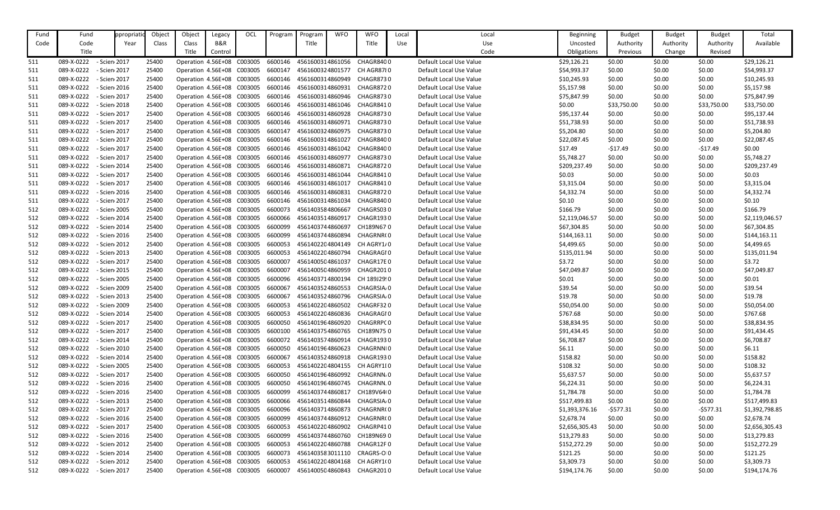| Fund | Fund       | ppropriat    | Object | Object             | Legacy                     | OCL                                | Program | Program          | <b>WFO</b> | <b>WFO</b>                  | Local | Local                   | <b>Beginning</b> | <b>Budget</b> | <b>Budget</b> | <b>Budget</b> | Total          |
|------|------------|--------------|--------|--------------------|----------------------------|------------------------------------|---------|------------------|------------|-----------------------------|-------|-------------------------|------------------|---------------|---------------|---------------|----------------|
| Code | Code       | Year         | Class  | Class              | B&R                        |                                    |         | Title            |            | Title                       | Use   | Use                     | Uncosted         | Authority     | Authority     | Authority     | Available      |
|      | Title      |              |        | Title              | Control                    |                                    |         |                  |            |                             |       | Code                    | Obligations      | Previous      | Change        | Revised       |                |
| 511  | 089-X-0222 | - Scien 2017 | 25400  |                    | Operation 4.56E+08 C003005 |                                    | 6600146 | 4561600314861056 |            | CHAGR8400                   |       | Default Local Use Value | \$29,126.21      | \$0.00        | \$0.00        | \$0.00        | \$29,126.21    |
| 511  | 089-X-0222 | - Scien 2017 | 25400  |                    | Operation 4.56E+08 C003005 |                                    | 6600147 | 4561600324801577 |            | CH AGR87{0                  |       | Default Local Use Value | \$54,993.37      | \$0.00        | \$0.00        | \$0.00        | \$54,993.37    |
| 511  | 089-X-0222 | - Scien 2017 | 25400  | Operation 4.56E+08 |                            | C003005                            | 6600146 | 4561600314860949 |            | CHAGR8730                   |       | Default Local Use Value | \$10,245.93      | \$0.00        | \$0.00        | \$0.00        | \$10,245.93    |
| 511  | 089-X-0222 | - Scien 2016 | 25400  |                    | Operation 4.56E+08 C003005 |                                    | 6600146 | 4561600314860931 |            | CHAGR8720                   |       | Default Local Use Value | \$5,157.98       | \$0.00        | \$0.00        | \$0.00        | \$5,157.98     |
| 511  | 089-X-0222 | - Scien 2017 | 25400  | Operation 4.56E+08 |                            | C003005                            | 6600146 | 4561600314860946 |            | CHAGR8730                   |       | Default Local Use Value | \$75,847.99      | \$0.00        | \$0.00        | \$0.00        | \$75,847.99    |
| 511  | 089-X-0222 | - Scien 2018 | 25400  |                    | Operation 4.56E+08 C003005 |                                    | 6600146 | 4561600314861046 |            | CHAGR8410                   |       | Default Local Use Value | \$0.00           | \$33,750.00   | \$0.00        | \$33,750.00   | \$33,750.00    |
| 511  | 089-X-0222 | - Scien 2017 | 25400  |                    | Operation 4.56E+08 C003005 |                                    | 6600146 | 4561600314860928 |            | CHAGR8730                   |       | Default Local Use Value | \$95,137.44      | \$0.00        | \$0.00        | \$0.00        | \$95,137.44    |
| 511  | 089-X-0222 | - Scien 2017 | 25400  |                    | Operation 4.56E+08 C003005 |                                    | 6600146 | 4561600314860971 |            | CHAGR8730                   |       | Default Local Use Value | \$51,738.93      | \$0.00        | \$0.00        | \$0.00        | \$51,738.93    |
| 511  | 089-X-0222 | - Scien 2017 | 25400  |                    | Operation 4.56E+08 C003005 |                                    | 6600147 | 4561600324860975 |            | CHAGR8730                   |       | Default Local Use Value | \$5,204.80       | \$0.00        | \$0.00        | \$0.00        | \$5,204.80     |
| 511  | 089-X-0222 | - Scien 2017 | 25400  |                    | Operation 4.56E+08 C003005 |                                    | 6600146 | 4561600314861027 |            | CHAGR8400                   |       | Default Local Use Value | \$22,087.45      | \$0.00        | \$0.00        | \$0.00        | \$22,087.45    |
|      |            |              |        |                    |                            |                                    | 6600146 |                  |            |                             |       |                         |                  |               |               |               |                |
| 511  | 089-X-0222 | - Scien 2017 | 25400  |                    | Operation 4.56E+08 C003005 |                                    |         | 4561600314861042 |            | CHAGR8400                   |       | Default Local Use Value | \$17.49          | $-517.49$     | \$0.00        | $-517.49$     | \$0.00         |
| 511  | 089-X-0222 | - Scien 2017 | 25400  | Operation 4.56E+08 |                            | C003005                            | 6600146 | 4561600314860977 |            | CHAGR8730                   |       | Default Local Use Value | \$5,748.27       | \$0.00        | \$0.00        | \$0.00        | \$5,748.27     |
| 511  | 089-X-0222 | - Scien 2014 | 25400  |                    | Operation 4.56E+08 C003005 |                                    | 6600146 | 4561600314860871 |            | CHAGR8720                   |       | Default Local Use Value | \$209,237.49     | \$0.00        | \$0.00        | \$0.00        | \$209,237.49   |
| 511  | 089-X-0222 | - Scien 2017 | 25400  |                    | Operation 4.56E+08 C003005 |                                    | 6600146 | 4561600314861044 |            | CHAGR8410                   |       | Default Local Use Value | \$0.03\$         | \$0.00        | \$0.00        | \$0.00        | \$0.03         |
| 511  | 089-X-0222 | - Scien 2017 | 25400  |                    | Operation 4.56E+08 C003005 |                                    | 6600146 | 4561600314861017 |            | CHAGR8410                   |       | Default Local Use Value | \$3,315.04       | \$0.00        | \$0.00        | \$0.00        | \$3,315.04     |
| 511  | 089-X-0222 | - Scien 2016 | 25400  |                    | Operation 4.56E+08 C003005 |                                    | 6600146 | 4561600314860831 |            | <b>CHAGR8720</b>            |       | Default Local Use Value | \$4,332.74       | \$0.00        | \$0.00        | \$0.00        | \$4,332.74     |
| 511  | 089-X-0222 | - Scien 2017 | 25400  | Operation 4.56E+08 |                            | C003005                            | 6600146 | 4561600314861034 |            | CHAGR8400                   |       | Default Local Use Value | \$0.10           | \$0.00        | \$0.00        | \$0.00        | \$0.10         |
| 512  | 089-X-0222 | - Scien 2005 | 25400  |                    | Operation 4.56E+08 C003005 |                                    | 6600073 | 4561403584806667 |            | CHAGRS030                   |       | Default Local Use Value | \$166.79         | \$0.00        | \$0.00        | \$0.00        | \$166.79       |
| 512  | 089-X-0222 | - Scien 2014 | 25400  |                    | Operation 4.56E+08 C003005 |                                    | 6600066 | 4561403514860917 |            | CHAGR1930                   |       | Default Local Use Value | \$2,119,046.57   | \$0.00        | \$0.00        | \$0.00        | \$2,119,046.57 |
| 512  | 089-X-0222 | - Scien 2014 | 25400  |                    | Operation 4.56E+08 C003005 |                                    | 6600099 | 4561403744860697 |            | CH189N670                   |       | Default Local Use Value | \$67,304.85      | \$0.00        | \$0.00        | \$0.00        | \$67,304.85    |
| 512  | 089-X-0222 | - Scien 2016 | 25400  |                    | Operation 4.56E+08 C003005 |                                    | 6600099 | 4561403744860894 |            | CHAGRNR(0                   |       | Default Local Use Value | \$144,163.11     | \$0.00        | \$0.00        | \$0.00        | \$144,163.11   |
| 512  | 089-X-0222 | - Scien 2012 | 25400  | Operation 4.56E+08 |                            | C003005                            | 6600053 | 4561402204804149 |            | CH AGRY1/0                  |       | Default Local Use Value | \$4,499.65       | \$0.00        | \$0.00        | \$0.00        | \$4,499.65     |
| 512  | 089-X-0222 | - Scien 2013 | 25400  |                    | Operation 4.56E+08 C003005 |                                    | 6600053 | 4561402204860794 |            | CHAGRAGI0                   |       | Default Local Use Value | \$135,011.94     | \$0.00        | \$0.00        | \$0.00        | \$135,011.94   |
| 512  | 089-X-0222 | - Scien 2017 | 25400  |                    | Operation 4.56E+08 C003005 |                                    | 6600007 | 4561400504861037 |            | CHAGR17E0                   |       | Default Local Use Value | \$3.72           | \$0.00        | \$0.00        | \$0.00        | \$3.72         |
| 512  | 089-X-0222 | - Scien 2015 | 25400  |                    | Operation 4.56E+08 C003005 |                                    | 6600007 | 4561400504860959 |            | CHAGR2010                   |       | Default Local Use Value | \$47,049.87      | \$0.00        | \$0.00        | \$0.00        | \$47,049.87    |
| 512  | 089-X-0222 | - Scien 2005 | 25400  |                    | Operation 4.56E+08 C003005 |                                    | 6600096 | 4561403714800194 |            | CH 189J29!0                 |       | Default Local Use Value | \$0.01           | \$0.00        | \$0.00        | \$0.00        | \$0.01         |
| 512  | 089-X-0222 | - Scien 2009 | 25400  | Operation 4.56E+08 |                            | C003005                            | 6600067 | 4561403524860553 |            | CHAGRSIA <sub>/</sub> 0     |       | Default Local Use Value | \$39.54          | \$0.00        | \$0.00        | \$0.00        | \$39.54        |
| 512  | 089-X-0222 | - Scien 2013 | 25400  |                    | Operation 4.56E+08 C003005 |                                    | 6600067 |                  |            | 4561403524860796 CHAGRSIA/0 |       | Default Local Use Value | \$19.78          | \$0.00        | \$0.00        | \$0.00        | \$19.78        |
| 512  | 089-X-0222 | - Scien 2009 | 25400  |                    | Operation 4.56E+08 C003005 |                                    | 6600053 | 4561402204860502 |            | CHAGRF320                   |       | Default Local Use Value | \$50,054.00      | \$0.00        | \$0.00        | \$0.00        | \$50,054.00    |
| 512  | 089-X-0222 | - Scien 2014 | 25400  |                    | Operation 4.56E+08 C003005 |                                    | 6600053 | 4561402204860836 |            | CHAGRAGI0                   |       | Default Local Use Value | \$767.68         | \$0.00        | \$0.00        | \$0.00        | \$767.68       |
| 512  | 089-X-0222 | - Scien 2017 | 25400  |                    | Operation 4.56E+08 C003005 |                                    | 6600050 | 4561401964860920 |            | CHAGRRPC 0                  |       | Default Local Use Value | \$38,834.95      | \$0.00        | \$0.00        | \$0.00        | \$38,834.95    |
| 512  | 089-X-0222 | - Scien 2017 | 25400  |                    | Operation 4.56E+08 C003005 |                                    | 6600100 | 4561403754860765 |            | CH189N750                   |       | Default Local Use Value | \$91,434.45      | \$0.00        | \$0.00        | \$0.00        | \$91,434.45    |
| 512  | 089-X-0222 | - Scien 2014 | 25400  |                    | Operation 4.56E+08 C003005 |                                    | 6600072 | 4561403574860914 |            | CHAGR1930                   |       | Default Local Use Value | \$6,708.87       | \$0.00        | \$0.00        | \$0.00        | \$6,708.87     |
| 512  | 089-X-0222 | - Scien 2010 | 25400  |                    | Operation 4.56E+08 C003005 |                                    | 6600050 | 4561401964860623 |            | CHAGRNNI0                   |       | Default Local Use Value | \$6.11           | \$0.00        | \$0.00        | \$0.00        | \$6.11         |
| 512  | 089-X-0222 | - Scien 2014 | 25400  |                    | Operation 4.56E+08 C003005 |                                    | 6600067 | 4561403524860918 |            | CHAGR1930                   |       | Default Local Use Value | \$158.82         | \$0.00        | \$0.00        | \$0.00        | \$158.82       |
| 512  | 089-X-0222 | - Scien 2005 | 25400  |                    | Operation 4.56E+08 C003005 |                                    | 6600053 | 4561402204804155 |            | CH AGRY1I 0                 |       | Default Local Use Value | \$108.32         | \$0.00        | \$0.00        | \$0.00        | \$108.32       |
| 512  | 089-X-0222 | - Scien 2017 | 25400  |                    | Operation 4.56E+08 C003005 |                                    | 6600050 | 4561401964860992 |            | CHAGRNN <sub></sub> O       |       | Default Local Use Value | \$5,637.57       | \$0.00        | \$0.00        | \$0.00        | \$5,637.57     |
| 512  | 089-X-0222 | - Scien 2016 | 25400  |                    | Operation 4.56E+08 C003005 |                                    | 6600050 | 4561401964860745 |            | CHAGRNN.0                   |       | Default Local Use Value | \$6,224.31       | \$0.00        | \$0.00        | \$0.00        | \$6,224.31     |
| 512  | 089-X-0222 | - Scien 2016 | 25400  |                    | Operation 4.56E+08 C003005 |                                    | 6600099 | 4561403744860817 |            | CH189V64(0                  |       | Default Local Use Value | \$1,784.78       | \$0.00        | \$0.00        | \$0.00        | \$1,784.78     |
| 512  | 089-X-0222 | - Scien 2013 | 25400  |                    | Operation 4.56E+08 C003005 |                                    | 6600066 | 4561403514860844 |            | CHAGRSIA <sub>/</sub> 0     |       | Default Local Use Value | \$517,499.83     | \$0.00        | \$0.00        | \$0.00        | \$517,499.83   |
| 512  | 089-X-0222 | - Scien 2017 | 25400  |                    | Operation 4.56E+08 C003005 |                                    | 6600096 | 4561403714860873 |            | CHAGRNR(0                   |       | Default Local Use Value | \$1,393,376.16   | -\$577.31     | \$0.00        | $-5577.31$    | \$1,392,798.85 |
| 512  | 089-X-0222 | - Scien 2016 | 25400  |                    | Operation 4.56E+08 C003005 |                                    | 6600099 | 4561403744860912 |            | CHAGRNR(0                   |       | Default Local Use Value | \$2,678.74       | \$0.00        | \$0.00        | \$0.00        | \$2,678.74     |
| 512  | 089-X-0222 | - Scien 2017 | 25400  |                    | Operation 4.56E+08 C003005 |                                    | 6600053 | 4561402204860902 |            | CHAGRP410                   |       | Default Local Use Value | \$2,656,305.43   | \$0.00        | \$0.00        | \$0.00        | \$2,656,305.43 |
| 512  | 089-X-0222 | - Scien 2016 | 25400  |                    | Operation 4.56E+08 C003005 |                                    | 6600099 | 4561403744860760 |            | CH189N690                   |       | Default Local Use Value | \$13,279.83      | \$0.00        | \$0.00        | \$0.00        | \$13,279.83    |
| 512  | 089-X-0222 | - Scien 2012 | 25400  |                    | Operation 4.56E+08 C003005 |                                    | 6600053 | 4561402204860788 |            | CHAGR12F0                   |       | Default Local Use Value | \$152,272.29     | \$0.00        | \$0.00        | \$0.00        | \$152,272.29   |
| 512  | 089-X-0222 | - Scien 2014 | 25400  |                    | Operation 4.56E+08 C003005 |                                    | 6600073 | 4561403583011110 |            | CRAGRS-OI0                  |       | Default Local Use Value | \$121.25         | \$0.00        | \$0.00        | \$0.00        | \$121.25       |
| 512  | 089-X-0222 | - Scien 2012 | 25400  |                    | Operation 4.56E+08 C003005 |                                    | 6600053 | 4561402204804168 |            | CH AGRY1(0                  |       | Default Local Use Value | \$3,309.73       | \$0.00        | \$0.00        | \$0.00        | \$3,309.73     |
| 512  | 089-X-0222 | - Scien 2017 | 25400  |                    |                            | Operation 4.56E+08 C003005 6600007 |         | 4561400504860843 |            | CHAGR2010                   |       | Default Local Use Value | \$194,174.76     | \$0.00        | \$0.00        | \$0.00        | \$194,174.76   |
|      |            |              |        |                    |                            |                                    |         |                  |            |                             |       |                         |                  |               |               |               |                |

| Beginning      | <b>Budget</b> | <b>Budget</b> | <b>Budget</b> | Total          |
|----------------|---------------|---------------|---------------|----------------|
| Uncosted       | Authority     | Authority     | Authority     | Available      |
| Obligations    | Previous      | Change        | Revised       |                |
| \$29,126.21    | \$0.00        | \$0.00        | \$0.00        | \$29,126.21    |
| \$54,993.37    | \$0.00        | \$0.00        | \$0.00        | \$54,993.37    |
| \$10,245.93    | \$0.00        | \$0.00        | \$0.00        | \$10,245.93    |
| \$5,157.98     | \$0.00        | \$0.00        | \$0.00        | \$5,157.98     |
| \$75,847.99    | \$0.00        | \$0.00        | \$0.00        | \$75,847.99    |
| \$0.00         | \$33,750.00   | \$0.00        | \$33,750.00   | \$33,750.00    |
| \$95,137.44    | \$0.00        | \$0.00        | \$0.00        | \$95,137.44    |
| \$51,738.93    | \$0.00        | \$0.00        | \$0.00        | \$51,738.93    |
| \$5,204.80     | \$0.00        | \$0.00        | \$0.00        | \$5,204.80     |
| \$22,087.45    | \$0.00        | \$0.00        | \$0.00        | \$22,087.45    |
| \$17.49        | $-517.49$     | \$0.00        | $-$17.49$     | \$0.00         |
| \$5,748.27     | \$0.00        | \$0.00        | \$0.00        | \$5,748.27     |
| \$209,237.49   | \$0.00        | \$0.00        | \$0.00        | \$209,237.49   |
| \$0.03         | \$0.00        | \$0.00        | \$0.00        | \$0.03         |
| \$3,315.04     | \$0.00        | \$0.00        | \$0.00        | \$3,315.04     |
| \$4,332.74     | \$0.00        | \$0.00        | \$0.00        | \$4,332.74     |
| \$0.10         | \$0.00        | \$0.00        | \$0.00        | \$0.10         |
| \$166.79       | \$0.00        | \$0.00        | \$0.00        | \$166.79       |
| \$2,119,046.57 | \$0.00        | \$0.00        | \$0.00        | \$2,119,046.57 |
| \$67,304.85    | \$0.00        | \$0.00        | \$0.00        | \$67,304.85    |
| \$144,163.11   | \$0.00        | \$0.00        | \$0.00        | \$144,163.11   |
| \$4,499.65     | \$0.00        | \$0.00        | \$0.00        | \$4,499.65     |
| \$135,011.94   | \$0.00        | \$0.00        | \$0.00        | \$135,011.94   |
| \$3.72         | \$0.00        | \$0.00        | \$0.00        | \$3.72         |
| \$47,049.87    | \$0.00        | \$0.00        | \$0.00        | \$47,049.87    |
| \$0.01         | \$0.00        | \$0.00        | \$0.00        | \$0.01         |
| \$39.54        | \$0.00        | \$0.00        | \$0.00        | \$39.54        |
| \$19.78        | \$0.00        | \$0.00        | \$0.00        | \$19.78        |
| \$50,054.00    | \$0.00        | \$0.00        | \$0.00        | \$50,054.00    |
| \$767.68       | \$0.00        | \$0.00        | \$0.00        | \$767.68       |
| \$38,834.95    | \$0.00        | \$0.00        | \$0.00        | \$38,834.95    |
| \$91,434.45    | \$0.00        | \$0.00        | \$0.00        | \$91,434.45    |
| \$6,708.87     | \$0.00        | \$0.00        | \$0.00        | \$6,708.87     |
| \$6.11         | \$0.00        | \$0.00        | \$0.00        | \$6.11         |
| \$158.82       | \$0.00        | \$0.00        | \$0.00        | \$158.82       |
| \$108.32       | \$0.00        | \$0.00        | \$0.00        | \$108.32       |
| \$5,637.57     | \$0.00        | \$0.00        | \$0.00        | \$5,637.57     |
| \$6,224.31     | \$0.00        | \$0.00        | \$0.00        | \$6,224.31     |
| \$1,784.78     | \$0.00        | \$0.00        | \$0.00        | \$1,784.78     |
| \$517,499.83   | \$0.00        | \$0.00        | \$0.00        | \$517,499.83   |
| \$1,393,376.16 | $-5577.31$    | \$0.00        | $-5577.31$    | \$1,392,798.85 |
| \$2,678.74     | \$0.00        | \$0.00        | \$0.00        | \$2,678.74     |
| \$2,656,305.43 | \$0.00        | \$0.00        | \$0.00        | \$2,656,305.43 |
| \$13,279.83    | \$0.00        | \$0.00        | \$0.00        | \$13,279.83    |
| \$152,272.29   | \$0.00        | \$0.00        | \$0.00        | \$152,272.29   |
| \$121.25       | \$0.00        | \$0.00        | \$0.00        | \$121.25       |
| \$3,309.73     | \$0.00        | \$0.00        | \$0.00        | \$3,309.73     |
| \$194,174.76   | \$0.00        | \$0.00        | \$0.00        | \$194,174.76   |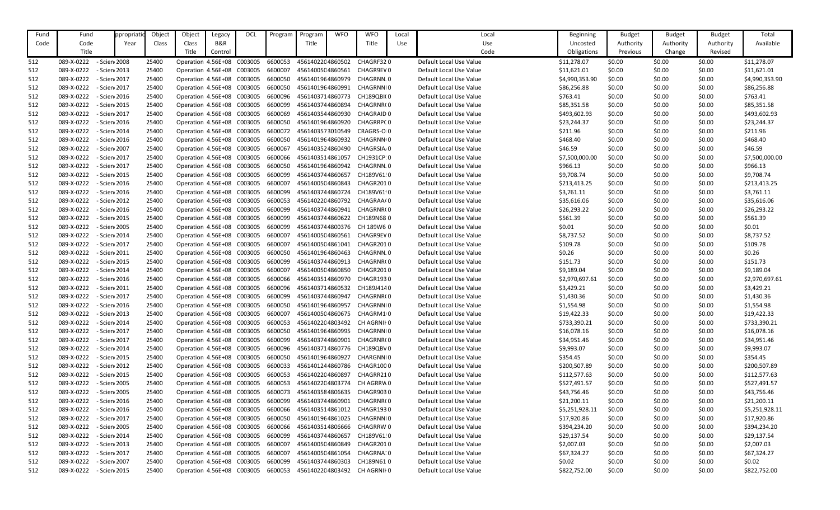| Fund | Fund                       | ppropriat    | Object | Object                             | Legacy                     | OCL     | Program | Program          | <b>WFO</b> | <b>WFO</b>              | Local | Local                   | <b>Beginning</b> | <b>Budget</b> | <b>Budget</b> | <b>Budget</b> | Total          |
|------|----------------------------|--------------|--------|------------------------------------|----------------------------|---------|---------|------------------|------------|-------------------------|-------|-------------------------|------------------|---------------|---------------|---------------|----------------|
| Code | Code                       | Year         | Class  | Class                              | B&R                        |         |         | Title            |            | Title                   | Use   | Use                     | Uncosted         | Authority     | Authority     | Authority     | Available      |
|      | Title                      |              |        | Title                              | Control                    |         |         |                  |            |                         |       | Code                    | Obligations      | Previous      | Change        | Revised       |                |
| 512  | 089-X-0222                 | - Scien 2008 | 25400  |                                    | Operation 4.56E+08 C003005 |         | 6600053 | 4561402204860502 |            | CHAGRF320               |       | Default Local Use Value | \$11,278.07      | \$0.00        | \$0.00        | \$0.00        | \$11,278.07    |
| 512  | 089-X-0222<br>- Scien 2013 |              | 25400  |                                    | Operation 4.56E+08 C003005 |         | 6600007 | 4561400504860561 |            | CHAGR9EV0               |       | Default Local Use Value | \$11,621.01      | \$0.00        | \$0.00        | \$0.00        | \$11,621.01    |
| 512  | 089-X-0222                 | - Scien 2017 | 25400  | Operation 4.56E+08                 |                            | C003005 | 6600050 | 4561401964860979 |            | CHAGRNN.0               |       | Default Local Use Value | \$4,990,353.90   | \$0.00        | \$0.00        | \$0.00        | \$4,990,353.90 |
| 512  | 089-X-0222                 | - Scien 2017 | 25400  |                                    | Operation 4.56E+08 C003005 |         | 6600050 | 4561401964860991 |            | CHAGRNNI0               |       | Default Local Use Value | \$86,256.88      | \$0.00        | \$0.00        | \$0.00        | \$86,256.88    |
| 512  | 089-X-0222                 | - Scien 2016 | 25400  | Operation 4.56E+08 C003005         |                            |         | 6600096 | 4561403714860773 |            | <b>CH189QBI(0</b>       |       | Default Local Use Value | \$763.41         | \$0.00        | \$0.00        | \$0.00        | \$763.41       |
| 512  | 089-X-0222                 | - Scien 2015 | 25400  |                                    | Operation 4.56E+08 C003005 |         | 6600099 | 4561403744860894 |            | CHAGRNR(0               |       | Default Local Use Value | \$85,351.58      | \$0.00        | \$0.00        | \$0.00        | \$85,351.58    |
| 512  | 089-X-0222<br>- Scien 2017 |              | 25400  |                                    | Operation 4.56E+08 C003005 |         | 6600069 | 4561403544860930 |            | CHAGRAID 0              |       | Default Local Use Value | \$493,602.93     | \$0.00        | \$0.00        | \$0.00        | \$493,602.93   |
| 512  | 089-X-0222                 | - Scien 2016 | 25400  | Operation 4.56E+08                 |                            | C003005 | 6600050 | 4561401964860920 |            | CHAGRRPC 0              |       | Default Local Use Value | \$23,244.37      | \$0.00        | \$0.00        | \$0.00        | \$23,244.37    |
| 512  | 089-X-0222                 | - Scien 2014 | 25400  |                                    | Operation 4.56E+08 C003005 |         | 6600072 | 4561403573010549 |            | CRAGRS-OI0              |       | Default Local Use Value | \$211.96         | \$0.00        | \$0.00        | \$0.00        | \$211.96       |
| 512  | 089-X-0222                 | - Scien 2016 | 25400  | Operation 4.56E+08 C003005         |                            |         | 6600050 | 4561401964860932 |            | CHAGRNN(0               |       | Default Local Use Value | \$468.40         | \$0.00        | \$0.00        | \$0.00        | \$468.40       |
| 512  | 089-X-0222<br>- Scien 2007 |              | 25400  |                                    | Operation 4.56E+08 C003005 |         | 6600067 | 4561403524860490 |            | CHAGRSIA <sub>/</sub> 0 |       | Default Local Use Value | \$46.59          | \$0.00        | \$0.00        | \$0.00        | \$46.59        |
| 512  | 089-X-0222                 | - Scien 2017 | 25400  |                                    | Operation 4.56E+08 C003005 |         | 6600066 | 4561403514861057 |            | CH1931CP: 0             |       | Default Local Use Value | \$7,500,000.00   | \$0.00        | \$0.00        | \$0.00        | \$7,500,000.00 |
| 512  | 089-X-0222                 | - Scien 2017 | 25400  |                                    | Operation 4.56E+08 C003005 |         | 6600050 | 4561401964860942 |            | CHAGRNN.0               |       | Default Local Use Value | \$966.13         | \$0.00        | \$0.00        | \$0.00        | \$966.13       |
| 512  | 089-X-0222                 | - Scien 2015 | 25400  |                                    | Operation 4.56E+08 C003005 |         | 6600099 | 4561403744860657 |            | CH189V61!0              |       | Default Local Use Value | \$9,708.74       | \$0.00        | \$0.00        | \$0.00        | \$9,708.74     |
| 512  | 089-X-0222                 | - Scien 2016 | 25400  | Operation 4.56E+08                 |                            | C003005 | 6600007 | 4561400504860843 |            | CHAGR2010               |       | Default Local Use Value | \$213,413.25     | \$0.00        | \$0.00        | \$0.00        | \$213,413.25   |
| 512  | 089-X-0222                 | - Scien 2016 | 25400  |                                    | Operation 4.56E+08 C003005 |         | 6600099 | 4561403744860724 |            | CH189V61!0              |       | Default Local Use Value | \$3,761.11       | \$0.00        | \$0.00        | \$0.00        | \$3,761.11     |
| 512  | 089-X-0222                 | - Scien 2012 | 25400  | Operation 4.56E+08                 |                            | C003005 | 6600053 | 4561402204860792 |            | CHAGRAA/0               |       | Default Local Use Value | \$35,616.06      | \$0.00        | \$0.00        | \$0.00        | \$35,616.06    |
| 512  | 089-X-0222                 | - Scien 2016 | 25400  |                                    | Operation 4.56E+08 C003005 |         | 6600099 | 4561403744860941 |            | CHAGRNR(0               |       | Default Local Use Value | \$26,293.22      | \$0.00        | \$0.00        | \$0.00        | \$26,293.22    |
| 512  | 089-X-0222                 | - Scien 2015 | 25400  |                                    | Operation 4.56E+08 C003005 |         | 6600099 | 4561403744860622 |            | CH189N680               |       | Default Local Use Value | \$561.39         | \$0.00        | \$0.00        | \$0.00        | \$561.39       |
| 512  | 089-X-0222                 | - Scien 2005 | 25400  | Operation 4.56E+08                 |                            | C003005 | 6600099 | 4561403744800376 |            | CH 189W6 0              |       | Default Local Use Value | \$0.01           | \$0.00        | \$0.00        | \$0.00        | \$0.01         |
| 512  | 089-X-0222                 | - Scien 2014 | 25400  |                                    | Operation 4.56E+08 C003005 |         | 6600007 | 4561400504860561 |            | CHAGR9EV0               |       | Default Local Use Value | \$8,737.52       | \$0.00        | \$0.00        | \$0.00        | \$8,737.52     |
| 512  | 089-X-0222                 | - Scien 2017 | 25400  | Operation 4.56E+08                 |                            | C003005 | 6600007 | 4561400504861041 |            | CHAGR2010               |       | Default Local Use Value | \$109.78         | \$0.00        | \$0.00        | \$0.00        | \$109.78       |
| 512  | 089-X-0222                 | - Scien 2011 | 25400  |                                    | Operation 4.56E+08 C003005 |         | 6600050 | 4561401964860463 |            | CHAGRNN.0               |       | Default Local Use Value | \$0.26           | \$0.00        | \$0.00        | \$0.00        | \$0.26         |
| 512  | 089-X-0222                 | - Scien 2015 | 25400  |                                    | Operation 4.56E+08 C003005 |         | 6600099 | 4561403744860913 |            | CHAGRNR(0               |       | Default Local Use Value | \$151.73         | \$0.00        | \$0.00        | \$0.00        | \$151.73       |
| 512  | 089-X-0222<br>- Scien 2014 |              | 25400  | Operation 4.56E+08                 |                            | C003005 | 6600007 | 4561400504860850 |            | CHAGR2010               |       | Default Local Use Value | \$9,189.04       | \$0.00        | \$0.00        | \$0.00        | \$9,189.04     |
| 512  | 089-X-0222                 | - Scien 2016 | 25400  |                                    | Operation 4.56E+08 C003005 |         | 6600066 | 4561403514860970 |            | CHAGR1930               |       | Default Local Use Value | \$2,970,697.61   | \$0.00        | \$0.00        | \$0.00        | \$2,970,697.61 |
| 512  | 089-X-0222                 | - Scien 2011 | 25400  | Operation 4.56E+08                 |                            | C003005 | 6600096 | 4561403714860532 |            | CH189J4140              |       | Default Local Use Value | \$3,429.21       | \$0.00        | \$0.00        | \$0.00        | \$3,429.21     |
| 512  | 089-X-0222<br>- Scien 2017 |              | 25400  |                                    | Operation 4.56E+08 C003005 |         | 6600099 | 4561403744860947 |            | CHAGRNR(0               |       | Default Local Use Value | \$1,430.36       | \$0.00        | \$0.00        | \$0.00        | \$1,430.36     |
| 512  | 089-X-0222<br>- Scien 2016 |              | 25400  | Operation 4.56E+08 C003005         |                            |         | 6600050 | 4561401964860957 |            | CHAGRNNI0               |       | Default Local Use Value | \$1,554.98       | \$0.00        | \$0.00        | \$0.00        | \$1,554.98     |
| 512  | 089-X-0222                 | - Scien 2013 | 25400  | Operation 4.56E+08 C003005         |                            |         | 6600007 | 4561400504860675 |            | CHAGRM10                |       | Default Local Use Value | \$19,422.33      | \$0.00        | \$0.00        | \$0.00        | \$19,422.33    |
| 512  | 089-X-0222<br>- Scien 2014 |              | 25400  | Operation 4.56E+08 C003005         |                            |         | 6600053 | 4561402204803492 |            | CH AGRNII 0             |       | Default Local Use Value | \$733,390.21     | \$0.00        | \$0.00        | \$0.00        | \$733,390.21   |
| 512  | 089-X-0222                 | - Scien 2017 | 25400  | Operation 4.56E+08 C003005         |                            |         | 6600050 | 4561401964860995 |            | CHAGRNNI0               |       | Default Local Use Value | \$16,078.16      | \$0.00        | \$0.00        | \$0.00        | \$16,078.16    |
| 512  | 089-X-0222                 | - Scien 2017 | 25400  |                                    | Operation 4.56E+08 C003005 |         | 6600099 | 4561403744860901 |            | CHAGRNR(0               |       | Default Local Use Value | \$34,951.46      | \$0.00        | \$0.00        | \$0.00        | \$34,951.46    |
| 512  | 089-X-0222                 | - Scien 2014 | 25400  | Operation 4.56E+08 C003005         |                            |         | 6600096 | 4561403714860776 |            | CH189QBV0               |       | Default Local Use Value | \$9,993.07       | \$0.00        | \$0.00        | \$0.00        | \$9,993.07     |
| 512  | 089-X-0222                 | - Scien 2015 | 25400  | Operation 4.56E+08 C003005         |                            |         | 6600050 | 4561401964860927 |            | CHARGNNI0               |       | Default Local Use Value | \$354.45         | \$0.00        | \$0.00        | \$0.00        | \$354.45       |
| 512  | 089-X-0222                 | - Scien 2012 | 25400  | Operation 4.56E+08 C003005         |                            |         | 6600033 | 4561401244860786 |            | CHAGR1000               |       | Default Local Use Value | \$200,507.89     | \$0.00        | \$0.00        | \$0.00        | \$200,507.89   |
| 512  | 089-X-0222<br>- Scien 2015 |              | 25400  | Operation 4.56E+08 C003005         |                            |         | 6600053 | 4561402204860897 |            | CHAGRR210               |       | Default Local Use Value | \$112,577.63     | \$0.00        | \$0.00        | \$0.00        | \$112,577.63   |
| 512  | 089-X-0222                 | - Scien 2005 | 25400  |                                    | Operation 4.56E+08 C003005 |         | 6600053 | 4561402204803774 |            | CH AGRRW0               |       | Default Local Use Value | \$527,491.57     | \$0.00        | \$0.00        | \$0.00        | \$527,491.57   |
| 512  | 089-X-0222                 | - Scien 2005 | 25400  | Operation 4.56E+08 C003005         |                            |         | 6600073 | 4561403584806635 |            | CHAGR9030               |       | Default Local Use Value | \$43,756.46      | \$0.00        | \$0.00        | \$0.00        | \$43,756.46    |
| 512  | 089-X-0222                 | - Scien 2016 | 25400  | Operation 4.56E+08 C003005         |                            |         | 6600099 | 4561403744860901 |            | CHAGRNR(0               |       | Default Local Use Value | \$21,200.11      | \$0.00        | \$0.00        | \$0.00        | \$21,200.11    |
| 512  | 089-X-0222                 | - Scien 2016 | 25400  | Operation 4.56E+08 C003005         |                            |         | 6600066 | 4561403514861012 |            | CHAGR1930               |       | Default Local Use Value | \$5,251,928.11   | \$0.00        | \$0.00        | \$0.00        | \$5,251,928.11 |
| 512  | 089-X-0222                 | - Scien 2017 | 25400  | Operation 4.56E+08 C003005         |                            |         | 6600050 | 4561401964861025 |            | CHAGRNNI0               |       | Default Local Use Value | \$17,920.86      | \$0.00        | \$0.00        | \$0.00        | \$17,920.86    |
| 512  | 089-X-0222<br>- Scien 2005 |              | 25400  |                                    | Operation 4.56E+08 C003005 |         | 6600066 | 4561403514806666 |            | CHAGRRW 0               |       | Default Local Use Value | \$394,234.20     | \$0.00        | \$0.00        | \$0.00        | \$394,234.20   |
| 512  | 089-X-0222                 | - Scien 2014 | 25400  | Operation 4.56E+08 C003005         |                            |         | 6600099 | 4561403744860657 |            | CH189V61!0              |       | Default Local Use Value | \$29,137.54      | \$0.00        | \$0.00        | \$0.00        | \$29,137.54    |
| 512  | 089-X-0222                 | - Scien 2013 | 25400  | Operation 4.56E+08 C003005         |                            |         | 6600007 | 4561400504860849 |            | CHAGR2010               |       | Default Local Use Value | \$2,007.03       | \$0.00        | \$0.00        | \$0.00        | \$2,007.03     |
| 512  | 089-X-0222                 | - Scien 2017 | 25400  | Operation 4.56E+08 C003005         |                            |         | 6600007 | 4561400504861054 |            | CHAGRNA: 0              |       | Default Local Use Value | \$67,324.27      | \$0.00        | \$0.00        | \$0.00        | \$67,324.27    |
| 512  | 089-X-0222                 | - Scien 2007 | 25400  | Operation 4.56E+08 C003005         |                            |         | 6600099 | 4561403744860303 |            | CH189N610               |       | Default Local Use Value | \$0.02\$         | \$0.00        | \$0.00        | \$0.00        | \$0.02\$       |
| 512  | 089-X-0222<br>- Scien 2015 |              | 25400  | Operation 4.56E+08 C003005 6600053 |                            |         |         | 4561402204803492 |            | CH AGRNII 0             |       | Default Local Use Value | \$822,752.00     | \$0.00        | \$0.00        | \$0.00        | \$822,752.00   |

| <b>Beginning</b> | <b>Budget</b> | <b>Budget</b> | <b>Budget</b> | Total          |
|------------------|---------------|---------------|---------------|----------------|
| Uncosted         | Authority     | Authority     | Authority     | Available      |
| Obligations      | Previous      | Change        | Revised       |                |
| \$11,278.07      | \$0.00        | \$0.00        | \$0.00        | \$11,278.07    |
| \$11,621.01      | \$0.00        | \$0.00        | \$0.00        | \$11,621.01    |
| \$4,990,353.90   | \$0.00        | \$0.00        | \$0.00        | \$4,990,353.90 |
| \$86,256.88      | \$0.00        | \$0.00        | \$0.00        | \$86,256.88    |
| \$763.41         | \$0.00        | \$0.00        | \$0.00        | \$763.41       |
| \$85,351.58      | \$0.00        | \$0.00        | \$0.00        | \$85,351.58    |
| \$493,602.93     | \$0.00        | \$0.00        | \$0.00        | \$493,602.93   |
| \$23,244.37      | \$0.00        | \$0.00        | \$0.00        | \$23,244.37    |
| \$211.96         | \$0.00        | \$0.00        | \$0.00        | \$211.96       |
| \$468.40         | \$0.00        | \$0.00        | \$0.00        | \$468.40       |
| \$46.59          | \$0.00        | \$0.00        | \$0.00        | \$46.59        |
| \$7,500,000.00   | \$0.00        | \$0.00        | \$0.00        | \$7,500,000.00 |
| \$966.13         | \$0.00        | \$0.00        | \$0.00        | \$966.13       |
| \$9,708.74       | \$0.00        | \$0.00        | \$0.00        | \$9,708.74     |
| \$213,413.25     | \$0.00        | \$0.00        | \$0.00        | \$213,413.25   |
| \$3,761.11       | \$0.00        | \$0.00        | \$0.00        | \$3,761.11     |
| \$35,616.06      | \$0.00        | \$0.00        | \$0.00        | \$35,616.06    |
| \$26,293.22      | \$0.00        | \$0.00        | \$0.00        | \$26,293.22    |
| \$561.39         | \$0.00        | \$0.00        | \$0.00        | \$561.39       |
| \$0.01           | \$0.00        | \$0.00        | \$0.00        | \$0.01         |
| \$8,737.52       | \$0.00        | \$0.00        | \$0.00        | \$8,737.52     |
| \$109.78         | \$0.00        | \$0.00        | \$0.00        | \$109.78       |
| \$0.26           | \$0.00        | \$0.00        | \$0.00        | \$0.26         |
| \$151.73         | \$0.00        | \$0.00        | \$0.00        | \$151.73       |
| \$9,189.04       | \$0.00        | \$0.00        | \$0.00        | \$9,189.04     |
| \$2,970,697.61   | \$0.00        | \$0.00        | \$0.00        | \$2,970,697.61 |
| \$3,429.21       | \$0.00        | \$0.00        | \$0.00        | \$3,429.21     |
| \$1,430.36       | \$0.00        | \$0.00        | \$0.00        | \$1,430.36     |
| \$1,554.98       | \$0.00        | \$0.00        | \$0.00        | \$1,554.98     |
| \$19,422.33      | \$0.00        | \$0.00        | \$0.00        | \$19,422.33    |
| \$733,390.21     | \$0.00        | \$0.00        | \$0.00        | \$733,390.21   |
| \$16,078.16      | \$0.00        | \$0.00        | \$0.00        | \$16,078.16    |
| \$34,951.46      | \$0.00        | \$0.00        | \$0.00        | \$34,951.46    |
| \$9,993.07       | \$0.00        | \$0.00        | \$0.00        | \$9,993.07     |
| \$354.45         | \$0.00        | \$0.00        | \$0.00        | \$354.45       |
| \$200,507.89     | \$0.00        | \$0.00        | \$0.00        | \$200,507.89   |
| \$112,577.63     | \$0.00        | \$0.00        | \$0.00        | \$112,577.63   |
| \$527,491.57     | \$0.00        | \$0.00        | \$0.00        | \$527,491.57   |
| \$43,756.46      | \$0.00        | \$0.00        | \$0.00        | \$43,756.46    |
| \$21,200.11      | \$0.00        | \$0.00        | \$0.00        | \$21,200.11    |
| \$5,251,928.11   | \$0.00        | \$0.00        | \$0.00        | \$5,251,928.11 |
| \$17,920.86      | \$0.00        | \$0.00        | \$0.00        | \$17,920.86    |
| \$394,234.20     | \$0.00        | \$0.00        | \$0.00        | \$394,234.20   |
| \$29,137.54      | \$0.00        | \$0.00        | \$0.00        | \$29,137.54    |
| \$2,007.03       | \$0.00        | \$0.00        | \$0.00        | \$2,007.03     |
| \$67,324.27      | \$0.00        | \$0.00        | \$0.00        | \$67,324.27    |
| \$0.02           | \$0.00        | \$0.00        | \$0.00        | \$0.02         |
| \$822,752.00     | \$0.00        | \$0.00        | \$0.00        | \$822,752.00   |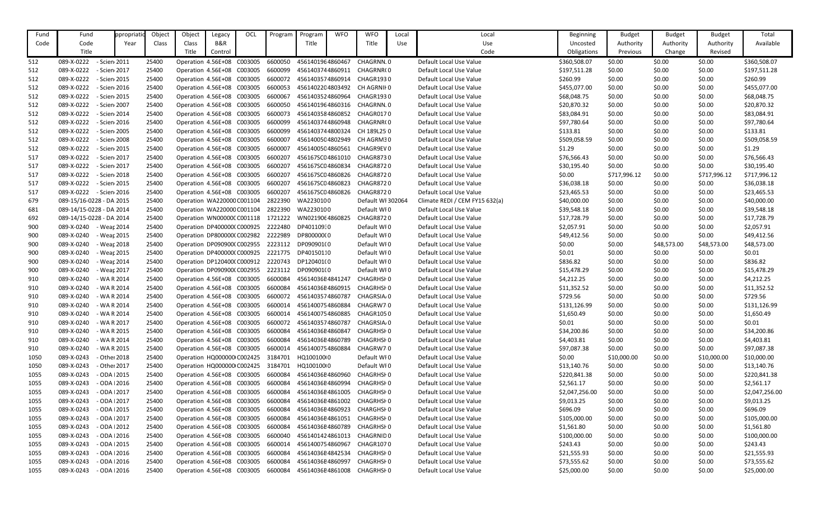| Fund | Fund                          | ppropriat | Object | Object                     | Legacy                     | OCL     | Program | Program          | <b>WFO</b> | <b>WFO</b>              | Local | Local                          | <b>Beginning</b> | <b>Budget</b> | <b>Budget</b> | <b>Budget</b> | Total          |
|------|-------------------------------|-----------|--------|----------------------------|----------------------------|---------|---------|------------------|------------|-------------------------|-------|--------------------------------|------------------|---------------|---------------|---------------|----------------|
| Code | Code                          | Year      | Class  | Class                      | B&R                        |         |         | Title            |            | Title                   | Use   | Use                            | Uncosted         | Authority     | Authority     | Authority     | Available      |
|      | Title                         |           |        | Title                      | Control                    |         |         |                  |            |                         |       | Code                           | Obligations      | Previous      | Change        | Revised       |                |
| 512  | 089-X-0222<br>- Scien 2011    |           | 25400  |                            | Operation 4.56E+08 C003005 |         | 6600050 | 4561401964860467 |            | CHAGRNN.0               |       | Default Local Use Value        | \$360,508.07     | \$0.00        | \$0.00        | \$0.00        | \$360,508.07   |
| 512  | 089-X-0222<br>- Scien 2017    |           | 25400  |                            | Operation 4.56E+08 C003005 |         | 6600099 | 4561403744860911 |            | CHAGRNR(0               |       | Default Local Use Value        | \$197,511.28     | \$0.00        | \$0.00        | \$0.00        | \$197,511.28   |
| 512  | 089-X-0222<br>- Scien 2015    |           | 25400  | Operation 4.56E+08         |                            | C003005 | 6600072 | 4561403574860914 |            | CHAGR1930               |       | Default Local Use Value        | \$260.99         | \$0.00        | \$0.00        | \$0.00        | \$260.99       |
| 512  | 089-X-0222<br>- Scien 2016    |           | 25400  |                            | Operation 4.56E+08 C003005 |         | 6600053 | 4561402204803492 |            | CH AGRNII 0             |       | Default Local Use Value        | \$455,077.00     | \$0.00        | \$0.00        | \$0.00        | \$455,077.00   |
| 512  | 089-X-0222<br>- Scien 2015    |           | 25400  | Operation 4.56E+08 C003005 |                            |         | 6600067 | 4561403524860964 |            | CHAGR1930               |       | Default Local Use Value        | \$68,048.75      | \$0.00        | \$0.00        | \$0.00        | \$68,048.75    |
| 512  | 089-X-0222<br>- Scien 2007    |           | 25400  | Operation 4.56E+08 C003005 |                            |         | 6600050 | 4561401964860316 |            | CHAGRNN.0               |       | Default Local Use Value        | \$20,870.32      | \$0.00        | \$0.00        | \$0.00        | \$20,870.32    |
| 512  | 089-X-0222<br>- Scien 2014    |           | 25400  |                            | Operation 4.56E+08 C003005 |         | 6600073 | 4561403584860852 |            | CHAGR0170               |       | Default Local Use Value        | \$83,084.91      | \$0.00        | \$0.00        | \$0.00        | \$83,084.91    |
| 512  | 089-X-0222<br>- Scien 2016    |           | 25400  |                            | Operation 4.56E+08         | C003005 | 6600099 | 4561403744860948 |            | CHAGRNR(0               |       | Default Local Use Value        | \$97,780.64      | \$0.00        | \$0.00        | \$0.00        | \$97,780.64    |
| 512  | 089-X-0222<br>- Scien 2005    |           | 25400  |                            | Operation 4.56E+08 C003005 |         | 6600099 | 4561403744800324 |            | CH 189L25 0             |       | Default Local Use Value        | \$133.81         | \$0.00        | \$0.00        | \$0.00        | \$133.81       |
| 512  | 089-X-0222<br>- Scien 2008    |           | 25400  | Operation 4.56E+08 C003005 |                            |         | 6600007 | 4561400504802949 |            | CH AGRM30               |       | Default Local Use Value        | \$509,058.59     | \$0.00        | \$0.00        | \$0.00        | \$509,058.59   |
| 512  | 089-X-0222<br>- Scien 2015    |           | 25400  |                            | Operation 4.56E+08 C003005 |         | 6600007 | 4561400504860561 |            | CHAGR9EV 0              |       | Default Local Use Value        | \$1.29           | \$0.00        | \$0.00        | \$0.00        | \$1.29         |
| 517  | 089-X-0222<br>- Scien 2017    |           | 25400  |                            | Operation 4.56E+08 C003005 |         | 6600207 | 456167SC04861010 |            | CHAGR8730               |       | Default Local Use Value        | \$76,566.43      | \$0.00        | \$0.00        | \$0.00        | \$76,566.43    |
| 517  | 089-X-0222<br>- Scien 2017    |           | 25400  |                            | Operation 4.56E+08 C003005 |         | 6600207 | 456167SC04860834 |            | CHAGR8720               |       | Default Local Use Value        | \$30,195.40      | \$0.00        | \$0.00        | \$0.00        | \$30,195.40    |
| 517  | 089-X-0222<br>- Scien 2018    |           | 25400  |                            | Operation 4.56E+08 C003005 |         | 6600207 | 456167SC04860826 |            | CHAGR8720               |       | Default Local Use Value        | \$0.00           | \$717,996.12  | \$0.00        | \$717,996.12  | \$717,996.12   |
| 517  | 089-X-0222<br>- Scien 2015    |           | 25400  | Operation 4.56E+08 C003005 |                            |         | 6600207 | 456167SC04860823 |            | <b>CHAGR8720</b>        |       | Default Local Use Value        | \$36,038.18      | \$0.00        | \$0.00        | \$0.00        | \$36,038.18    |
| 517  | 089-X-0222<br>- Scien 2016    |           | 25400  |                            | Operation 4.56E+08 C003005 |         | 6600207 | 456167SC04860826 |            | <b>CHAGR8720</b>        |       | Default Local Use Value        | \$23,465.53      | \$0.00        | \$0.00        | \$0.00        | \$23,465.53    |
| 679  | 089-15/16-0228 - DA 2015      |           | 25400  |                            | Operation WA220000 C001104 |         | 2822390 | WA2230100        |            | Default WI 302064       |       | Climate REDI / CEM FY15 632(a) | \$40,000.00      | \$0.00        | \$0.00        | \$0.00        | \$40,000.00    |
| 681  | 089-14/15-0228 - DA 2014      |           | 25400  |                            | Operation WA220000 C001104 |         | 2822390 | WA2230100        |            | Default WI0             |       | Default Local Use Value        | \$39,548.18      | \$0.00        | \$0.00        | \$0.00        | \$39,548.18    |
| 692  | 089-14/15-0228 - DA 2014      |           | 25400  |                            | Operation WN00000CC001118  |         | 1721222 | WN0219064860825  |            | <b>CHAGR8720</b>        |       | Default Local Use Value        | \$17,728.79      | \$0.00        | \$0.00        | \$0.00        | \$17,728.79    |
| 900  | 089-X-0240<br>- Wear 2014     |           | 25400  |                            | Operation DP400000(C000925 |         | 2222480 | DP401109:0       |            | Default WI0             |       | Default Local Use Value        | \$2,057.91       | \$0.00        | \$0.00        | \$0.00        | \$2,057.91     |
| 900  | 089-X-0240<br>- Wear 2015     |           | 25400  |                            | Operation DP800000(C002982 |         | 2222989 | DP800000(0       |            | Default WI0             |       | Default Local Use Value        | \$49,412.56      | \$0.00        | \$0.00        | \$0.00        | \$49,412.56    |
| 900  | 089-X-0240<br>- Wear 2018     |           | 25400  | Operation DP090900(C002955 |                            |         | 2223112 | DP090901(0       |            | Default WI0             |       | Default Local Use Value        | \$0.00           | \$0.00        | \$48,573.00   | \$48,573.00   | \$48,573.00    |
| 900  | 089-X-0240<br>- Wear 2015     |           | 25400  |                            | Operation DP400000(C000925 |         | 2221775 | DP40150110       |            | Default WI0             |       | Default Local Use Value        | \$0.01           | \$0.00        | \$0.00        | \$0.00        | \$0.01         |
| 900  | 089-X-0240<br>- Wear 2014     |           | 25400  |                            | Operation DP120400(C000912 |         | 2220743 | DP120401(0       |            | Default WI0             |       | Default Local Use Value        | \$836.82         | \$0.00        | \$0.00        | \$0.00        | \$836.82       |
| 900  | 089-X-0240<br>- Wear 2017     |           | 25400  | Operation DP090900(C002955 |                            |         | 2223112 | DP090901(0       |            | Default WI0             |       | Default Local Use Value        | \$15,478.29      | \$0.00        | \$0.00        | \$0.00        | \$15,478.29    |
| 910  | 089-X-0240<br>- WA R 2014     |           | 25400  |                            | Operation 4.56E+08 C003005 |         | 6600084 | 45614036E4841247 |            | <b>CHAGRHSF0</b>        |       | Default Local Use Value        | \$4,212.25       | \$0.00        | \$0.00        | \$0.00        | \$4,212.25     |
| 910  | 089-X-0240<br>- WA R 2014     |           | 25400  | Operation 4.56E+08         |                            | C003005 | 6600084 | 45614036E4860915 |            | <b>CHAGRHSHO</b>        |       | Default Local Use Value        | \$11,352.52      | \$0.00        | \$0.00        | \$0.00        | \$11,352.52    |
| 910  | - WA R 2014<br>089-X-0240     |           | 25400  |                            | Operation 4.56E+08 C003005 |         | 6600072 | 4561403574860787 |            | CHAGRSIA <sub>/</sub> 0 |       | Default Local Use Value        | \$729.56         | \$0.00        | \$0.00        | \$0.00        | \$729.56       |
| 910  | - WA R 2014<br>089-X-0240     |           | 25400  | Operation 4.56E+08 C003005 |                            |         | 6600014 | 4561400754860884 |            | CHAGRW70                |       | Default Local Use Value        | \$131,126.99     | \$0.00        | \$0.00        | \$0.00        | \$131,126.99   |
| 910  | - WA R 2014<br>089-X-0240     |           | 25400  | Operation 4.56E+08 C003005 |                            |         | 6600014 | 4561400754860885 |            | <b>CHAGR1050</b>        |       | Default Local Use Value        | \$1,650.49       | \$0.00        | \$0.00        | \$0.00        | \$1,650.49     |
| 910  | 089-X-0240<br>- WA R 2017     |           | 25400  | Operation 4.56E+08 C003005 |                            |         | 6600072 | 4561403574860787 |            | CHAGRSIA <sub>0</sub>   |       | Default Local Use Value        | \$0.01           | \$0.00        | \$0.00        | \$0.00        | \$0.01         |
| 910  | 089-X-0240<br>- WA R 2015     |           | 25400  | Operation 4.56E+08 C003005 |                            |         | 6600084 | 45614036E4860847 |            | CHAGRHSF0               |       | Default Local Use Value        | \$34,200.86      | \$0.00        | \$0.00        | \$0.00        | \$34,200.86    |
| 910  | 089-X-0240<br>- WA R 2014     |           | 25400  |                            | Operation 4.56E+08 C003005 |         | 6600084 | 45614036E4860789 |            | <b>CHAGRHSHO</b>        |       | Default Local Use Value        | \$4,403.81       | \$0.00        | \$0.00        | \$0.00        | \$4,403.81     |
| 910  | 089-X-0240<br>- WA R 2015     |           | 25400  | Operation 4.56E+08 C003005 |                            |         | 6600014 | 4561400754860884 |            | CHAGRW70                |       | Default Local Use Value        | \$97,087.38      | \$0.00        | \$0.00        | \$0.00        | \$97,087.38    |
| 1050 | 089-X-0243<br>- Other 2018    |           | 25400  | Operation HQ000000 C002425 |                            |         | 3184701 | HQ100100 0       |            | Default WI0             |       | Default Local Use Value        | \$0.00           | \$10,000.00   | \$0.00        | \$10,000.00   | \$10,000.00    |
| 1050 | 089-X-0243<br>- Other 2017    |           | 25400  | Operation HQ000000 C002425 |                            |         | 3184701 | HQ100100 0       |            | Default WI0             |       | Default Local Use Value        | \$13,140.76      | \$0.00        | \$0.00        | \$0.00        | \$13,140.76    |
| 1055 | 089-X-0243<br>$-$ ODA $12015$ |           | 25400  | Operation 4.56E+08 C003005 |                            |         | 6600084 | 45614036E4860960 |            | <b>CHAGRHSHO</b>        |       | Default Local Use Value        | \$220,841.38     | \$0.00        | \$0.00        | \$0.00        | \$220,841.38   |
| 1055 | 089-X-0243<br>$-$ ODA $12016$ |           | 25400  |                            | Operation 4.56E+08 C003005 |         | 6600084 | 45614036E4860994 |            | <b>CHAGRHSHO</b>        |       | Default Local Use Value        | \$2,561.17       | \$0.00        | \$0.00        | \$0.00        | \$2,561.17     |
| 1055 | 089-X-0243<br>$-$ ODA $12017$ |           | 25400  | Operation 4.56E+08 C003005 |                            |         | 6600084 | 45614036E4861005 |            | <b>CHAGRHSHO</b>        |       | Default Local Use Value        | \$2,047,256.00   | \$0.00        | \$0.00        | \$0.00        | \$2,047,256.00 |
| 1055 | 089-X-0243<br>$-$ ODA $12017$ |           | 25400  | Operation 4.56E+08 C003005 |                            |         | 6600084 | 45614036E4861002 |            | CHAGRHSI 0              |       | Default Local Use Value        | \$9,013.25       | \$0.00        | \$0.00        | \$0.00        | \$9,013.25     |
| 1055 | 089-X-0243<br>$-$ ODA $12015$ |           | 25400  | Operation 4.56E+08 C003005 |                            |         | 6600084 | 45614036E4860923 |            | CHARGHSF0               |       | Default Local Use Value        | \$696.09         | \$0.00        | \$0.00        | \$0.00        | \$696.09       |
| 1055 | 089-X-0243<br>$-$ ODA $12017$ |           | 25400  | Operation 4.56E+08 C003005 |                            |         | 6600084 | 45614036E4861051 |            | <b>CHAGRHSHO</b>        |       | Default Local Use Value        | \$105,000.00     | \$0.00        | \$0.00        | \$0.00        | \$105,000.00   |
| 1055 | 089-X-0243<br>$-$ ODA $12012$ |           | 25400  |                            | Operation 4.56E+08 C003005 |         | 6600084 | 45614036E4860789 |            | CHAGRHSF0               |       | Default Local Use Value        | \$1,561.80       | \$0.00        | \$0.00        | \$0.00        | \$1,561.80     |
| 1055 | 089-X-0243<br>$-$ ODA $12016$ |           | 25400  | Operation 4.56E+08 C003005 |                            |         | 6600040 | 4561401424861013 |            | <b>CHAGRNID0</b>        |       | Default Local Use Value        | \$100,000.00     | \$0.00        | \$0.00        | \$0.00        | \$100,000.00   |
| 1055 | 089-X-0243<br>$-$ ODA $12015$ |           | 25400  |                            | Operation 4.56E+08 C003005 |         | 6600014 | 4561400754860967 |            | CHAGR1070               |       | Default Local Use Value        | \$243.43         | \$0.00        | \$0.00        | \$0.00        | \$243.43       |
| 1055 | 089-X-0243<br>$-$ ODA $12016$ |           | 25400  | Operation 4.56E+08 C003005 |                            |         | 6600084 | 45614036E4842534 |            | CHAGRHSI 0              |       | Default Local Use Value        | \$21,555.93      | \$0.00        | \$0.00        | \$0.00        | \$21,555.93    |
| 1055 | 089-X-0243<br>$-$ ODA $12016$ |           | 25400  | Operation 4.56E+08 C003005 |                            |         | 6600084 | 45614036E4860997 |            | <b>CHAGRHSHO</b>        |       | Default Local Use Value        | \$73,555.62      | \$0.00        | \$0.00        | \$0.00        | \$73,555.62    |
| 1055 | 089-X-0243<br>$-$ ODA $12016$ |           | 25400  | Operation 4.56E+08 C003005 |                            |         | 6600084 | 45614036E4861008 |            | <b>CHAGRHSHO</b>        |       | Default Local Use Value        | \$25,000.00      | \$0.00        | \$0.00        | \$0.00        | \$25,000.00    |
|      |                               |           |        |                            |                            |         |         |                  |            |                         |       |                                |                  |               |               |               |                |

| <b>Beginning</b> | <b>Budget</b> | <b>Budget</b> | <b>Budget</b> | Total          |
|------------------|---------------|---------------|---------------|----------------|
| Uncosted         | Authority     | Authority     | Authority     | Available      |
| Obligations      | Previous      | Change        | Revised       |                |
| \$360,508.07     | \$0.00        | \$0.00        | \$0.00        | \$360,508.07   |
| \$197,511.28     | \$0.00        | \$0.00        | \$0.00        | \$197,511.28   |
| \$260.99         | \$0.00        | \$0.00        | \$0.00        | \$260.99       |
| \$455,077.00     | \$0.00        | \$0.00        | \$0.00        | \$455,077.00   |
| \$68,048.75      | \$0.00        | \$0.00        | \$0.00        | \$68,048.75    |
| \$20,870.32      | \$0.00        | \$0.00        | \$0.00        | \$20,870.32    |
| \$83,084.91      | \$0.00        | \$0.00        | \$0.00        | \$83,084.91    |
| \$97,780.64      | \$0.00        | \$0.00        | \$0.00        | \$97,780.64    |
| \$133.81         | \$0.00        | \$0.00        | \$0.00        | \$133.81       |
| \$509,058.59     | \$0.00        | \$0.00        | \$0.00        | \$509,058.59   |
| \$1.29           | \$0.00        | \$0.00        | \$0.00        | \$1.29         |
| \$76,566.43      | \$0.00        | \$0.00        | \$0.00        | \$76,566.43    |
| \$30,195.40      | \$0.00        | \$0.00        | \$0.00        | \$30,195.40    |
| \$0.00           | \$717,996.12  | \$0.00        | \$717,996.12  | \$717,996.12   |
| \$36,038.18      | \$0.00        | \$0.00        | \$0.00        | \$36,038.18    |
| \$23,465.53      | \$0.00        | \$0.00        | \$0.00        | \$23,465.53    |
| \$40,000.00      | \$0.00        | \$0.00        | \$0.00        | \$40,000.00    |
| \$39,548.18      | \$0.00        | \$0.00        | \$0.00        | \$39,548.18    |
| \$17,728.79      | \$0.00        | \$0.00        | \$0.00        | \$17,728.79    |
| \$2,057.91       | \$0.00        | \$0.00        | \$0.00        | \$2,057.91     |
| \$49,412.56      | \$0.00        | \$0.00        | \$0.00        | \$49,412.56    |
| \$0.00           | \$0.00        | \$48,573.00   | \$48,573.00   | \$48,573.00    |
| \$0.01           | \$0.00        | \$0.00        | \$0.00        | \$0.01         |
| \$836.82         | \$0.00        | \$0.00        | \$0.00        | \$836.82       |
| \$15,478.29      | \$0.00        | \$0.00        | \$0.00        | \$15,478.29    |
| \$4,212.25       | \$0.00        | \$0.00        | \$0.00        | \$4,212.25     |
| \$11,352.52      | \$0.00        | \$0.00        | \$0.00        | \$11,352.52    |
| \$729.56         | \$0.00        | \$0.00        | \$0.00        | \$729.56       |
| \$131,126.99     | \$0.00        | \$0.00        | \$0.00        | \$131,126.99   |
| \$1,650.49       | \$0.00        | \$0.00        | \$0.00        | \$1,650.49     |
| \$0.01           | \$0.00        | \$0.00        | \$0.00        | \$0.01         |
| \$34,200.86      | \$0.00        | \$0.00        | \$0.00        | \$34,200.86    |
| \$4,403.81       | \$0.00        | \$0.00        | \$0.00        | \$4,403.81     |
| \$97,087.38      | \$0.00        | \$0.00        | \$0.00        | \$97,087.38    |
| \$0.00           | \$10,000.00   | \$0.00        | \$10,000.00   | \$10,000.00    |
| \$13,140.76      | \$0.00        | \$0.00        | \$0.00        | \$13,140.76    |
| \$220,841.38     | \$0.00        | \$0.00        | \$0.00        | \$220,841.38   |
| \$2,561.17       | \$0.00        | \$0.00        | \$0.00        | \$2,561.17     |
| \$2,047,256.00   | \$0.00        | \$0.00        | \$0.00        | \$2,047,256.00 |
| \$9,013.25       | \$0.00        | \$0.00        | \$0.00        | \$9,013.25     |
| \$696.09         | \$0.00        | \$0.00        | \$0.00        | \$696.09       |
| \$105,000.00     | \$0.00        | \$0.00        | \$0.00        | \$105,000.00   |
| \$1,561.80       | \$0.00        | \$0.00        | \$0.00        | \$1,561.80     |
| \$100,000.00     | \$0.00        | \$0.00        | \$0.00        | \$100,000.00   |
| \$243.43         | \$0.00        | \$0.00        | \$0.00        | \$243.43       |
| \$21,555.93      | \$0.00        | \$0.00        | \$0.00        | \$21,555.93    |
| \$73,555.62      | \$0.00        | \$0.00        | \$0.00        | \$73,555.62    |
| \$25,000.00      | \$0.00        | \$0.00        | \$0.00        | \$25,000.00    |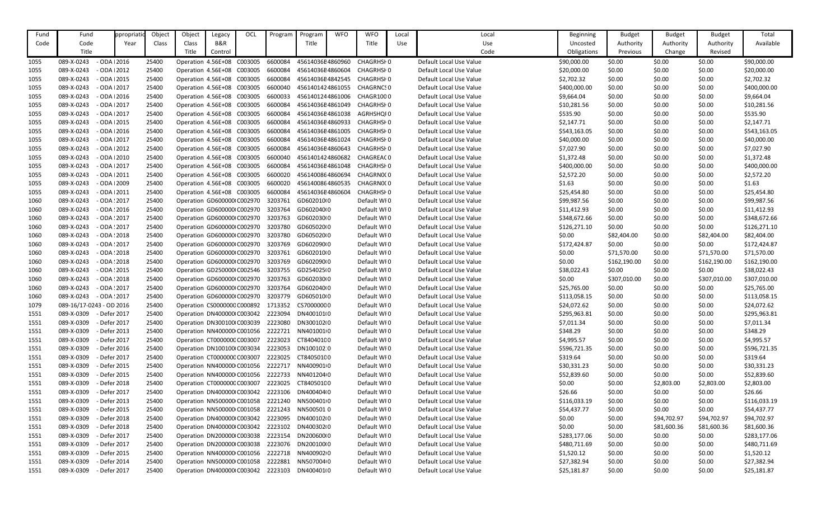| Fund         | Fund                                   | ppropriat                    | Object | Object                              | Legacy         | OCL | Program | Program                                      | <b>WFO</b> | <b>WFO</b>       | Local | Local                   | <b>Beginning</b>            | <b>Budget</b> | <b>Budget</b> | <b>Budget</b> | Total        |
|--------------|----------------------------------------|------------------------------|--------|-------------------------------------|----------------|-----|---------|----------------------------------------------|------------|------------------|-------|-------------------------|-----------------------------|---------------|---------------|---------------|--------------|
| Code         | Code                                   | Year                         | Class  | Class                               | <b>B&amp;R</b> |     |         | Title                                        |            | Title            | Use   | Use                     | Uncosted                    | Authority     | Authority     | Authority     | Available    |
|              | Title                                  |                              |        | Title                               | Control        |     |         |                                              |            |                  |       | Code                    | Obligations                 | Previous      | Change        | Revised       |              |
| 1055         | 089-X-0243                             | $-$ ODA $12016$              | 25400  | Operation 4.56E+08 C003005          |                |     | 6600084 | 45614036E4860960                             |            | CHAGRHSI 0       |       | Default Local Use Value | \$90,000.00                 | \$0.00        | \$0.00        | \$0.00        | \$90,000.00  |
| 1055         | 089-X-0243                             | $-$ ODA $ 2012$              | 25400  | Operation 4.56E+08 C003005          |                |     | 6600084 | 45614036E4860604                             |            | CHAGRHSI 0       |       | Default Local Use Value | \$20,000.00                 | \$0.00        | \$0.00        | \$0.00        | \$20,000.00  |
| 1055         | 089-X-0243                             | $-$ ODA $12015$              | 25400  | Operation 4.56E+08 C003005          |                |     | 6600084 | 45614036E4842545                             |            | CHAGRHSI 0       |       | Default Local Use Value | \$2,702.32                  | \$0.00        | \$0.00        | \$0.00        | \$2,702.32   |
| 1055         | 089-X-0243                             | $-$ ODA $12017$              | 25400  | Operation 4.56E+08 C003005          |                |     | 6600040 | 4561401424861055                             |            | <b>CHAGRNCSO</b> |       | Default Local Use Value | \$400,000.00                | \$0.00        | \$0.00        | \$0.00        | \$400,000.00 |
| 1055         | 089-X-0243                             | $-$ ODA $ 2016$              | 25400  | Operation 4.56E+08 C003005          |                |     | 6600033 | 4561401244861006                             |            | CHAGR1000        |       | Default Local Use Value | \$9,664.04                  | \$0.00        | \$0.00        | \$0.00        | \$9,664.04   |
| 1055         | 089-X-0243                             | $-$ ODA $12017$              | 25400  | Operation 4.56E+08 C003005          |                |     | 6600084 | 45614036E4861049                             |            | CHAGRHSI 0       |       | Default Local Use Value | \$10,281.56                 | \$0.00        | \$0.00        | \$0.00        | \$10,281.56  |
| 1055         | 089-X-0243                             | $-$ ODA $12017$              | 25400  | Operation 4.56E+08 C003005          |                |     | 6600084 | 45614036E4861038                             |            | AGRHSHQI0        |       | Default Local Use Value | \$535.90                    | \$0.00        | \$0.00        | \$0.00        | \$535.90     |
| 1055         | 089-X-0243                             | $-$ ODA $ 2015$              | 25400  | Operation 4.56E+08 C003005          |                |     | 6600084 | 45614036E4860933                             |            | CHAGRHSI 0       |       | Default Local Use Value | \$2,147.71                  | \$0.00        | \$0.00        | \$0.00        | \$2,147.71   |
| 1055         | 089-X-0243                             | $-$ ODA $ 2016$              | 25400  | Operation 4.56E+08 C003005          |                |     | 6600084 | 45614036E4861005                             |            | CHAGRHSI 0       |       | Default Local Use Value | \$543,163.05                | \$0.00        | \$0.00        | \$0.00        | \$543,163.05 |
| 1055         | 089-X-0243                             | $-$ ODA $12017$              | 25400  | Operation 4.56E+08 C003005          |                |     | 6600084 | 45614036E4861024                             |            | CHAGRHSI 0       |       | Default Local Use Value | \$40,000.00                 | \$0.00        | \$0.00        | \$0.00        | \$40,000.00  |
| 1055         | 089-X-0243                             | $-$ ODA $12012$              | 25400  | Operation 4.56E+08 C003005          |                |     | 6600084 | 45614036E4860643                             |            | CHAGRHSI 0       |       | Default Local Use Value | \$7,027.90                  | \$0.00        | \$0.00        | \$0.00        | \$7,027.90   |
| 1055         | 089-X-0243                             | $-$ ODA $12010$              | 25400  | Operation 4.56E+08 C003005          |                |     | 6600040 | 4561401424860682                             |            | CHAGREAC 0       |       | Default Local Use Value | \$1,372.48                  | \$0.00        | \$0.00        | \$0.00        | \$1,372.48   |
| 1055         | 089-X-0243                             | $-$ ODA $12017$              | 25400  | Operation 4.56E+08 C003005          |                |     | 6600084 | 45614036E4861048                             |            | CHAGRHSI 0       |       | Default Local Use Value | \$400,000.00                | \$0.00        | \$0.00        | \$0.00        | \$400,000.00 |
| 1055         | 089-X-0243                             | $-$ ODA $ 2011$              | 25400  | Operation 4.56E+08 C003005          |                |     | 6600020 | 4561400864860694                             |            | CHAGRN000        |       | Default Local Use Value | \$2,572.20                  | \$0.00        | \$0.00        | \$0.00        | \$2,572.20   |
| 1055         | 089-X-0243                             | $-$ ODA $12009$              | 25400  | Operation 4.56E+08 C003005          |                |     | 6600020 | 4561400864860535                             |            | CHAGRN000        |       | Default Local Use Value | \$1.63                      | \$0.00        | \$0.00        | \$0.00        | \$1.63       |
| 1055         | 089-X-0243                             | $-$ ODA $ 2011$              | 25400  | Operation 4.56E+08 C003005          |                |     | 6600084 | 45614036E4860604                             |            | CHAGRHSI 0       |       | Default Local Use Value | \$25,454.80                 | \$0.00        | \$0.00        | \$0.00        | \$25,454.80  |
| 1060         | 089-X-0243                             | $-$ ODA $:2017$              | 25400  | Operation GD600000 C002970          |                |     | 3203761 | GD602010(0                                   |            | Default WI0      |       | Default Local Use Value | \$99,987.56                 | \$0.00        | \$0.00        | \$0.00        | \$99,987.56  |
| 1060         | 089-X-0243                             | $-$ ODA $:2016$              | 25400  | Operation GD600000 C002970          |                |     | 3203764 | GD602040(0                                   |            | Default WI0      |       | Default Local Use Value | \$11,412.93                 | \$0.00        | \$0.00        | \$0.00        | \$11,412.93  |
| 1060         | 089-X-0243                             | $-$ ODA $:2017$              | 25400  | Operation GD600000 C002970 3203763  |                |     |         | GD602030(0                                   |            | Default WI0      |       | Default Local Use Value | \$348,672.66                | \$0.00        | \$0.00        | \$0.00        | \$348,672.66 |
| 1060         | 089-X-0243                             | $-$ ODA $:2017$              | 25400  | Operation GD600000 C002970 3203780  |                |     |         | GD605020(0                                   |            | Default WI0      |       | Default Local Use Value | \$126,271.10                | \$0.00        | \$0.00        | \$0.00        | \$126,271.10 |
| 1060         | 089-X-0243                             | $-$ ODA $:2018$              | 25400  | Operation GD600000 C002970 3203780  |                |     |         | GD605020(0                                   |            | Default WI0      |       | Default Local Use Value | \$0.00                      | \$82,404.00   | \$0.00        | \$82,404.00   | \$82,404.00  |
| 1060         | 089-X-0243                             | $-$ ODA $:2017$              | 25400  | Operation GD600000 C002970          |                |     | 3203769 | GD602090(0                                   |            | Default WI0      |       | Default Local Use Value | \$172,424.87                | \$0.00        | \$0.00        | \$0.00        | \$172,424.87 |
| 1060         | 089-X-0243                             | $-$ ODA $:2018$              | 25400  | Operation GD600000 C002970          |                |     | 3203761 | GD602010(0                                   |            | Default WI0      |       | Default Local Use Value | \$0.00                      | \$71,570.00   | \$0.00        | \$71,570.00   | \$71,570.00  |
| 1060         | 089-X-0243                             | $-$ ODA $:2018$              | 25400  | Operation GD600000 C002970 3203769  |                |     |         | GD602090(0                                   |            | Default WI0      |       | Default Local Use Value | \$0.00                      | \$162,190.00  | \$0.00        | \$162,190.00  | \$162,190.00 |
| 1060         | 089-X-0243                             | $-$ ODA $:2015$              | 25400  | Operation GD250000 C002546 3203755  |                |     |         | GD254025(0                                   |            | Default WI0      |       | Default Local Use Value | \$38,022.43                 | \$0.00        | \$0.00        | \$0.00        | \$38,022.43  |
| 1060         | 089-X-0243                             | $-$ ODA $:2018$              | 25400  | Operation GD600000 C002970 3203763  |                |     |         | GD602030(0                                   |            | Default WI0      |       | Default Local Use Value | \$0.00                      | \$307,010.00  | \$0.00        | \$307,010.00  | \$307,010.00 |
|              | 089-X-0243                             | $-$ ODA : 2017               | 25400  | Operation GD600000 C002970 3203764  |                |     |         | GD602040(0                                   |            | Default WI0      |       | Default Local Use Value |                             | \$0.00        | \$0.00        | \$0.00        |              |
| 1060<br>1060 |                                        |                              | 25400  | Operation GD600000 C002970 3203779  |                |     |         | GD605010(0                                   |            |                  |       |                         | \$25,765.00<br>\$113,058.15 | \$0.00        | \$0.00        | \$0.00        | \$25,765.00  |
|              | 089-X-0243<br>089-16/17-0243 - OD 2016 | $-$ ODA $:2017$              |        |                                     |                |     |         |                                              |            | Default WI0      |       | Default Local Use Value |                             |               |               |               | \$113,058.15 |
| 1079         |                                        |                              | 25400  | Operation CS0000000 C000892 1713352 |                |     |         | CS70000000                                   |            | Default WI0      |       | Default Local Use Value | \$24,072.62                 | \$0.00        | \$0.00        | \$0.00        | \$24,072.62  |
| 1551         | 089-X-0309                             | - Defer 2017                 | 25400  | Operation DN400000 C003042 2223094  |                |     |         | DN400101(0                                   |            | Default WI0      |       | Default Local Use Value | \$295,963.81                | \$0.00        | \$0.00        | \$0.00        | \$295,963.81 |
| 1551         | 089-X-0309                             | - Defer 2017<br>- Defer 2013 | 25400  | Operation DN300100 C003039 2223080  |                |     |         | DN300102(0                                   |            | Default WI0      |       | Default Local Use Value | \$7,011.34                  | \$0.00        | \$0.00        | \$0.00        | \$7,011.34   |
| 1551         | 089-X-0309                             |                              | 25400  | Operation NN400000 C001056 2222721  |                |     |         | NN401001 0                                   |            | Default WI0      |       | Default Local Use Value | \$348.29                    | \$0.00        | \$0.00        | \$0.00        | \$348.29     |
| 1551         | 089-X-0309                             | - Defer 2017                 | 25400  | Operation CT000000C C003007 2223023 |                |     |         | CT840401C0                                   |            | Default WI0      |       | Default Local Use Value | \$4,995.57                  | \$0.00        | \$0.00        | \$0.00        | \$4,995.57   |
| 1551         | 089-X-0309                             | - Defer 2016                 | 25400  | Operation DN100100 C003034          |                |     | 2223053 | DN100102.0                                   |            | Default WI0      |       | Default Local Use Value | \$596,721.35                | \$0.00        | \$0.00        | \$0.00        | \$596,721.35 |
| 1551         | 089-X-0309                             | - Defer 2017                 | 25400  | Operation CT000000C C003007         |                |     | 2223025 | CT840501C0                                   |            | Default WI0      |       | Default Local Use Value | \$319.64                    | \$0.00        | \$0.00        | \$0.00        | \$319.64     |
| 1551         | 089-X-0309                             | - Defer 2015                 | 25400  | Operation NN400000 C001056          |                |     | 2222717 | NN4009010                                    |            | Default WI0      |       | Default Local Use Value | \$30,331.23                 | \$0.00        | \$0.00        | \$0.00        | \$30,331.23  |
| 1551         | 089-X-0309                             | - Defer 2015                 | 25400  | Operation NN400000 C001056 2222733  |                |     |         | NN4012040                                    |            | Default WI0      |       | Default Local Use Value | \$52,839.60                 | \$0.00        | \$0.00        | \$0.00        | \$52,839.60  |
| 1551         | 089-X-0309                             | - Defer 2018                 | 25400  | Operation CT000000C C003007 2223025 |                |     |         | CT840501C0                                   |            | Default WI0      |       | Default Local Use Value | \$0.00                      | \$0.00        | \$2,803.00    | \$2,803.00    | \$2,803.00   |
| 1551         | 089-X-0309                             | - Defer 2017                 | 25400  | Operation DN400000 C003042 2223106  |                |     |         | DN400404(0                                   |            | Default WI0      |       | Default Local Use Value | \$26.66                     | \$0.00        | \$0.00        | \$0.00        | \$26.66      |
| 1551         | 089-X-0309                             | - Defer 2013                 | 25400  |                                     |                |     |         | Operation NN500000 C001058 2221240 NN5004010 |            | Default WI0      |       | Default Local Use Value | \$116,033.19                | \$0.00        | \$0.00        | \$0.00        | \$116,033.19 |
| 1551         | 089-X-0309                             | - Defer 2015                 | 25400  | Operation NN500000 C001058          |                |     | 2221243 | NN5005010                                    |            | Default WI0      |       | Default Local Use Value | \$54,437.77                 | \$0.00        | \$0.00        | \$0.00        | \$54,437.77  |
| 1551         | 089-X-0309                             | - Defer 2018                 | 25400  | Operation DN400000 C003042 2223095  |                |     |         | DN400102(0                                   |            | Default WI0      |       | Default Local Use Value | \$0.00                      | \$0.00        | \$94,702.97   | \$94,702.97   | \$94,702.97  |
| 1551         | 089-X-0309                             | - Defer 2018                 | 25400  | Operation DN400000 C003042 2223102  |                |     |         | DN400302(0                                   |            | Default WI0      |       | Default Local Use Value | \$0.00                      | \$0.00        | \$81,600.36   | \$81,600.36   | \$81,600.36  |
| 1551         | 089-X-0309                             | - Defer 2017                 | 25400  | Operation DN200000 C003038          |                |     | 2223154 | DN20060000                                   |            | Default WI0      |       | Default Local Use Value | \$283,177.06                | \$0.00        | \$0.00        | \$0.00        | \$283,177.06 |
| 1551         | 089-X-0309                             | - Defer 2017                 | 25400  | Operation DN200000 C003038 2223076  |                |     |         | DN200100(0                                   |            | Default WI0      |       | Default Local Use Value | \$480,711.69                | \$0.00        | \$0.00        | \$0.00        | \$480,711.69 |
| 1551         | 089-X-0309                             | - Defer 2015                 | 25400  | Operation NN400000 C001056 2222718  |                |     |         | NN400902+0                                   |            | Default WI0      |       | Default Local Use Value | \$1,520.12                  | \$0.00        | \$0.00        | \$0.00        | \$1,520.12   |
| 1551         | 089-X-0309                             | - Defer 2014                 | 25400  | Operation NN500000 C001058 2222881  |                |     |         | NN5070040                                    |            | Default WI0      |       | Default Local Use Value | \$27,382.94                 | \$0.00        | \$0.00        | \$0.00        | \$27,382.94  |
| 1551         | 089-X-0309                             | - Defer 2017                 | 25400  | Operation DN400000 C003042 2223103  |                |     |         | DN400401(0                                   |            | Default WI0      |       | Default Local Use Value | \$25,181.87                 | \$0.00        | \$0.00        | \$0.00        | \$25,181.87  |

| <b>Beginning</b> | <b>Budget</b> | <b>Budget</b> | <b>Budget</b> | Total        |
|------------------|---------------|---------------|---------------|--------------|
| Uncosted         | Authority     | Authority     | Authority     | Available    |
| Obligations      | Previous      | Change        | Revised       |              |
| \$90,000.00      | \$0.00        | \$0.00        | \$0.00        | \$90,000.00  |
| \$20,000.00      | \$0.00        | \$0.00        | \$0.00        | \$20,000.00  |
| \$2,702.32       | \$0.00        | \$0.00        | \$0.00        | \$2,702.32   |
| \$400,000.00     | \$0.00        | \$0.00        | \$0.00        | \$400,000.00 |
| \$9,664.04       | \$0.00        | \$0.00        | \$0.00        | \$9,664.04   |
| \$10,281.56      | \$0.00        | \$0.00        | \$0.00        | \$10,281.56  |
| \$535.90         | \$0.00        | \$0.00        | \$0.00        | \$535.90     |
| \$2,147.71       | \$0.00        | \$0.00        | \$0.00        | \$2,147.71   |
| \$543,163.05     | \$0.00        | \$0.00        | \$0.00        | \$543,163.05 |
| \$40,000.00      | \$0.00        | \$0.00        | \$0.00        | \$40,000.00  |
| \$7,027.90       | \$0.00        | \$0.00        | \$0.00        | \$7,027.90   |
| \$1,372.48       | \$0.00        | \$0.00        | \$0.00        | \$1,372.48   |
| \$400,000.00     | \$0.00        | \$0.00        | \$0.00        | \$400,000.00 |
| \$2,572.20       | \$0.00        | \$0.00        | \$0.00        | \$2,572.20   |
| \$1.63           | \$0.00        | \$0.00        | \$0.00        | \$1.63       |
| \$25,454.80      | \$0.00        | \$0.00        | \$0.00        | \$25,454.80  |
| \$99,987.56      | \$0.00        | \$0.00        | \$0.00        | \$99,987.56  |
| \$11,412.93      | \$0.00        | \$0.00        | \$0.00        | \$11,412.93  |
| \$348,672.66     | \$0.00        | \$0.00        | \$0.00        | \$348,672.66 |
| \$126,271.10     | \$0.00        | \$0.00        | \$0.00        | \$126,271.10 |
| \$0.00           | \$82,404.00   | \$0.00        | \$82,404.00   | \$82,404.00  |
| \$172,424.87     | \$0.00        | \$0.00        | \$0.00        | \$172,424.87 |
| \$0.00           | \$71,570.00   | \$0.00        | \$71,570.00   | \$71,570.00  |
| \$0.00           | \$162,190.00  | \$0.00        | \$162,190.00  | \$162,190.00 |
| \$38,022.43      | \$0.00        | \$0.00        | \$0.00        | \$38,022.43  |
| \$0.00           | \$307,010.00  | \$0.00        | \$307,010.00  | \$307,010.00 |
| \$25,765.00      | \$0.00        | \$0.00        | \$0.00        | \$25,765.00  |
| \$113,058.15     | \$0.00        | \$0.00        | \$0.00        | \$113,058.15 |
| \$24,072.62      | \$0.00        | \$0.00        | \$0.00        | \$24,072.62  |
| \$295,963.81     | \$0.00        | \$0.00        | \$0.00        | \$295,963.81 |
| \$7,011.34       | \$0.00        | \$0.00        | \$0.00        | \$7,011.34   |
| \$348.29         | \$0.00        | \$0.00        | \$0.00        | \$348.29     |
| \$4,995.57       | \$0.00        | \$0.00        | \$0.00        | \$4,995.57   |
| \$596,721.35     | \$0.00        | \$0.00        | \$0.00        | \$596,721.35 |
| \$319.64         | \$0.00        | \$0.00        | \$0.00        | \$319.64     |
| \$30,331.23      | \$0.00        | \$0.00        | \$0.00        | \$30,331.23  |
| \$52,839.60      | \$0.00        | \$0.00        | \$0.00        | \$52,839.60  |
| \$0.00           | \$0.00        | \$2,803.00    | \$2,803.00    | \$2,803.00   |
| \$26.66          | \$0.00        | \$0.00        | \$0.00        | \$26.66      |
| \$116,033.19     | \$0.00        | \$0.00        | \$0.00        | \$116,033.19 |
| \$54,437.77      | \$0.00        | \$0.00        | \$0.00        | \$54,437.77  |
| \$0.00           | \$0.00        | \$94,702.97   | \$94,702.97   | \$94,702.97  |
| \$0.00           | \$0.00        | \$81,600.36   | \$81,600.36   | \$81,600.36  |
| \$283,177.06     | \$0.00        | \$0.00        | \$0.00        | \$283,177.06 |
| \$480,711.69     | \$0.00        | \$0.00        | \$0.00        | \$480,711.69 |
| \$1,520.12       | \$0.00        | \$0.00        | \$0.00        | \$1,520.12   |
| \$27,382.94      | \$0.00        | \$0.00        | \$0.00        | \$27,382.94  |
| \$25,181.87      | \$0.00        | \$0.00        | \$0.00        | \$25,181.87  |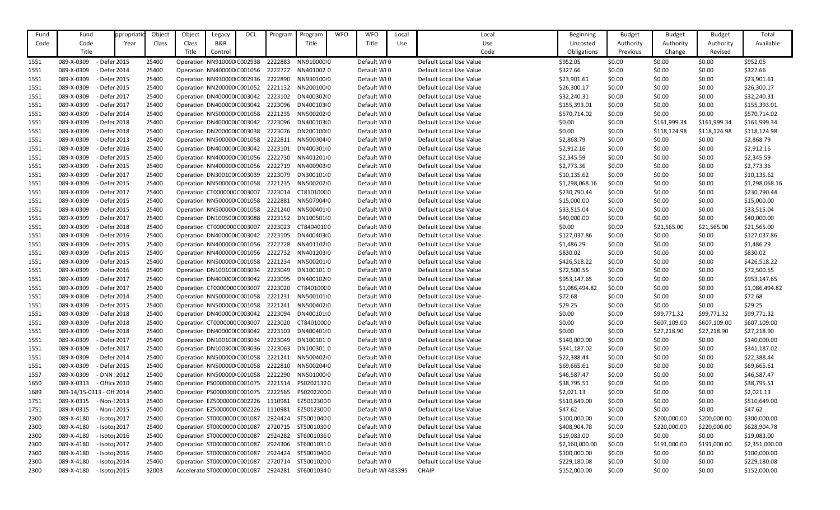| Fund         | Fund                        | ppropriat                 | Object         | Object | Legacy                                                             | OCL | Program                                        | Program    | <b>WFO</b> | <b>WFO</b>        | Local | Local                   | <b>Beginning</b>             | <b>Budget</b>    | <b>Budget</b>    | <b>Budget</b>    | Total                      |
|--------------|-----------------------------|---------------------------|----------------|--------|--------------------------------------------------------------------|-----|------------------------------------------------|------------|------------|-------------------|-------|-------------------------|------------------------------|------------------|------------------|------------------|----------------------------|
| Code         | Code                        | Year                      | Class          | Class  | B&R                                                                |     |                                                | Title      |            | Title             | Use   | Use                     | Uncosted                     | Authority        | Authority        | Authority        | Available                  |
|              | Title                       |                           |                | Title  | Control                                                            |     |                                                |            |            |                   |       | Code                    | Obligations                  | Previous         | Change           | Revised          |                            |
| 1551         | 089-X-0309                  | - Defer 2015              | 25400          |        | Operation NN910000 C002938                                         |     | 2222883                                        | NN91000000 |            | Default WI0       |       | Default Local Use Value | \$952.05                     | \$0.00           | \$0.00           | \$0.00           | \$952.05                   |
| 1551         | 089-X-0309                  | - Defer 2014              | 25400          |        | Operation NN400000 C001056                                         |     | 2222722                                        | NN4010020  |            | Default WI0       |       | Default Local Use Value | \$327.66                     | \$0.00           | \$0.00           | \$0.00           | \$327.66                   |
| 1551         | 089-X-0309                  | - Defer 2015              | 25400          |        | Operation NN930000 C002936                                         |     | 2222890                                        | NN9301000  |            | Default WI0       |       | Default Local Use Value | \$23,901.61                  | \$0.00           | \$0.00           | \$0.00           | \$23,901.61                |
| 1551         | 089-X-0309                  | - Defer 2015              | 25400          |        | Operation NN200000 C001052                                         |     | 2221132                                        | NN20010000 |            | Default WI0       |       | Default Local Use Value | \$26,300.17                  | \$0.00           | \$0.00           | \$0.00           | \$26,300.17                |
| 1551         | 089-X-0309                  | - Defer 2017              | 25400          |        | Operation DN400000 C003042                                         |     | 2223102                                        | DN400302I0 |            | Default WI0       |       | Default Local Use Value | \$32,240.31                  | \$0.00           | \$0.00           | \$0.00           | \$32,240.31                |
| 1551         | 089-X-0309                  | - Defer 2017              | 25400          |        | Operation DN400000 C003042                                         |     | 2223096                                        | DN400103(0 |            | Default WI0       |       | Default Local Use Value | \$155,393.01                 | \$0.00           | \$0.00           | \$0.00           | \$155,393.01               |
| 1551         | 089-X-0309                  | - Defer 2014              | 25400          |        | Operation NN500000 C001058                                         |     | 2221235                                        | NN50020200 |            | Default WI0       |       | Default Local Use Value | \$570,714.02                 | \$0.00           | \$0.00           | \$0.00           | \$570,714.02               |
| 1551         | 089-X-0309                  | - Defer 2018              | 25400          |        | Operation DN400000 C003042                                         |     | 2223096                                        | DN400103(0 |            | Default WI0       |       | Default Local Use Value | \$0.00                       | \$0.00           | \$161,999.34     | \$161,999.34     | \$161,999.34               |
| 1551         | 089-X-0309                  | - Defer 2018              | 25400          |        | Operation DN200000 C003038                                         |     | 2223076                                        | DN20010000 |            | Default WI0       |       | Default Local Use Value | \$0.00                       | \$0.00           | \$118,124.98     | \$118,124.98     | \$118,124.98               |
| 1551         | 089-X-0309                  | - Defer 2013              | 25400          |        | Operation NN500000 C001058                                         |     | 2222811                                        | NN5003040  |            | Default WI0       |       | Default Local Use Value | \$2,868.79                   | \$0.00           | \$0.00           | \$0.00           | \$2,868.79                 |
| 1551         | 089-X-0309                  | - Defer 2016              | 25400          |        | Operation DN400000 C003042                                         |     | 2223101                                        | DN4003010  |            | Default WI0       |       | Default Local Use Value | \$2,912.16                   | \$0.00           | \$0.00           | \$0.00           | \$2,912.16                 |
| 1551         | 089-X-0309                  | - Defer 2015              | 25400          |        | Operation NN400000 C001056                                         |     | 2222730                                        | NN4012010  |            | Default WI0       |       | Default Local Use Value | \$2,345.59                   | \$0.00           | \$0.00           | \$0.00           | \$2,345.59                 |
| 1551         | 089-X-0309                  | - Defer 2015              | 25400          |        | Operation NN400000 C001056                                         |     | 2222719                                        | NN4009030  |            | Default WI0       |       | Default Local Use Value | \$2,773.36                   | \$0.00           | \$0.00           | \$0.00           | \$2,773.36                 |
| 1551         | 089-X-0309                  | - Defer 2017              | 25400          |        | Operation DN300100 C003039                                         |     | 2223079                                        | DN3001010  |            | Default WI0       |       | Default Local Use Value | \$10,135.62                  | \$0.00           | \$0.00           | \$0.00           | \$10,135.62                |
| 1551         | 089-X-0309                  | - Defer 2015              | 25400          |        | Operation NN500000 C001058                                         |     | 2221235                                        | NN5002020  |            | Default WI0       |       | Default Local Use Value | \$1,298,068.16               | \$0.00           | \$0.00           | \$0.00           | \$1,298,068.16             |
| 1551         | 089-X-0309                  | - Defer 2017              | 25400          |        | Operation CT000000C C003007                                        |     | 2223014                                        | CT810100C0 |            | Default WI0       |       | Default Local Use Value | \$230,790.44                 | \$0.00           | \$0.00           | \$0.00           | \$230,790.44               |
| 1551         | 089-X-0309                  | - Defer 2015              | 25400          |        | Operation NN500000 C001058                                         |     | 2222881                                        | NN5070040  |            | Default WI0       |       | Default Local Use Value | \$15,000.00                  | \$0.00           | \$0.00           | \$0.00           | \$15,000.00                |
| 1551         | 089-X-0309                  | - Defer 2015              | 25400          |        | Operation NN500000 C001058                                         |     | 2221240                                        | NN5004010  |            | Default WI0       |       | Default Local Use Value | \$33,515.04                  | \$0.00           | \$0.00           | \$0.00           | \$33,515.04                |
| 1551         | 089-X-0309                  | - Defer 2017              | 25400          |        | Operation DN100500 C003088                                         |     | 2223152                                        | DN1005010  |            | Default WI0       |       | Default Local Use Value | \$40,000.00                  | \$0.00           | \$0.00           | \$0.00           | \$40,000.00                |
| 1551         | 089-X-0309                  | - Defer 2018              | 25400          |        | Operation CT000000C C003007                                        |     | 2223023                                        | CT840401C0 |            | Default WI0       |       | Default Local Use Value | \$0.00                       | \$0.00           | \$21,565.00      | \$21,565.00      | \$21,565.00                |
| 1551         | 089-X-0309                  | - Defer 2016              | 25400          |        | Operation DN400000 C003042                                         |     | 2223105                                        | DN400403(0 |            | Default WI0       |       | Default Local Use Value | \$127,037.86                 | \$0.00           | \$0.00           | \$0.00           | \$127,037.86               |
| 1551         | 089-X-0309                  | - Defer 2015              | 25400          |        | Operation NN400000 C001056                                         |     | 2222728                                        | NN4011020  |            | Default WI0       |       | Default Local Use Value | \$1,486.29                   | \$0.00           | \$0.00           | \$0.00           | \$1,486.29                 |
| 1551         | 089-X-0309                  | - Defer 2015              | 25400          |        | Operation NN400000 C001056                                         |     | 2222732                                        | NN4012030  |            | Default WI0       |       | Default Local Use Value | \$830.02                     | \$0.00           | \$0.00           | \$0.00           | \$830.02                   |
| 1551         | 089-X-0309                  | - Defer 2015              | 25400          |        | Operation NN500000 C001058                                         |     | 2221234                                        | NN5002010  |            | Default WI0       |       | Default Local Use Value | \$426,518.22                 | \$0.00           | \$0.00           | \$0.00           | \$426,518.22               |
| 1551         | 089-X-0309                  | - Defer 2016              | 25400          |        | Operation DN100100 C003034                                         |     | 2223049                                        | DN1001010  |            | Default WI0       |       | Default Local Use Value | \$72,500.55                  | \$0.00           | \$0.00           | \$0.00           | \$72,500.55                |
| 1551         | 089-X-0309                  | - Defer 2017              | 25400          |        | Operation DN400000 C003042                                         |     | 2223095                                        | DN40010210 |            | Default WI0       |       | Default Local Use Value | \$953,147.65                 | \$0.00           | \$0.00           | \$0.00           | \$953,147.65               |
| 1551         | 089-X-0309                  | - Defer 2017              | 25400          |        | Operation CT000000C C003007                                        |     | 2223020                                        | CT840100C0 |            | Default WI0       |       | Default Local Use Value | \$1,086,494.82               | \$0.00           | \$0.00           | \$0.00           | \$1,086,494.82             |
| 1551         | 089-X-0309                  | - Defer 2014              | 25400          |        | Operation NN500000 C001058                                         |     | 2221231                                        | NN5001010  |            | Default WI0       |       | Default Local Use Value | \$72.68                      | \$0.00           | \$0.00           | \$0.00           | \$72.68                    |
| 1551         | 089-X-0309                  | - Defer 2015              | 25400          |        | Operation NN500000 C001058                                         |     | 2221241                                        | NN5004020  |            | Default WI0       |       | Default Local Use Value | \$29.25                      | \$0.00           | \$0.00           | \$0.00           | \$29.25                    |
|              | 089-X-0309                  | - Defer 2018              | 25400          |        | Operation DN400000 C003042                                         |     | 2223094                                        | DN4001010  |            | Default WI0       |       | Default Local Use Value | \$0.00                       | \$0.00           | \$99,771.32      | \$99,771.32      | \$99,771.32                |
| 1551         | 089-X-0309                  | - Defer 2018              | 25400          |        | Operation CT000000C C003007                                        |     | 2223020                                        | CT840100C0 |            | Default WI0       |       | Default Local Use Value | \$0.00                       | \$0.00           | \$607,109.00     | \$607,109.00     | \$607,109.00               |
| 1551         | 089-X-0309                  | - Defer 2018              |                |        | Operation DN400000 C003042                                         |     | 2223103                                        | DN4004010  |            | Default WI0       |       | Default Local Use Value | \$0.00                       |                  |                  | \$27,218.90      | \$27,218.90                |
| 1551         | 089-X-0309                  | - Defer 2017              | 25400          |        |                                                                    |     | 2223049                                        | DN100101 0 |            | Default WI0       |       | Default Local Use Value |                              | \$0.00           | \$27,218.90      |                  |                            |
| 1551         | 089-X-0309                  | - Defer 2017              | 25400<br>25400 |        | Operation DN100100 C003034<br>Operation DN100300 C003036           |     | 2223063                                        | DN100301 0 |            | Default WI0       |       | Default Local Use Value | \$140,000.00<br>\$341,187.02 | \$0.00           | \$0.00<br>\$0.00 | \$0.00<br>\$0.00 | \$140,000.00               |
| 1551         | 089-X-0309                  | - Defer 2014              | 25400          |        | Operation NN500000 C001058                                         |     | 2221241                                        | NN5004020  |            | Default WI0       |       | Default Local Use Value | \$22,388.44                  | \$0.00<br>\$0.00 | \$0.00           |                  | \$341,187.02               |
| 1551         | 089-X-0309                  | - Defer 2015              | 25400          |        | Operation NN500000 C001058                                         |     | 2222810                                        | NN5002040  |            | Default WI0       |       | Default Local Use Value | \$69,665.61                  | \$0.00           | \$0.00           | \$0.00<br>\$0.00 | \$22,388.44<br>\$69,665.61 |
| 1551<br>1557 | 089-X-0309                  | $-DNN:2012$               | 25400          |        | Operation NN500000 C001058                                         |     | 2222290                                        | NN5010000  |            | Default WI0       |       | Default Local Use Value | \$46,587.47                  | \$0.00           | \$0.00           | \$0.00           | \$46,587.47                |
|              | - Office 2010<br>089-X-0313 |                           | 25400          |        |                                                                    |     | Operation PS0000000 C001075 2221514 PS02021320 |            |            | Default WI0       |       | Default Local Use Value | \$38,795.51                  | \$0.00           | \$0.00           | \$0.00           | \$38,795.51                |
| 1650         | 089-14/15-0313 - Off 2014   |                           |                |        |                                                                    |     |                                                | PS02022000 |            | Default WI0       |       | Default Local Use Value |                              |                  |                  |                  |                            |
| 1689         | 089-X-0315                  | - Non-I 2013              | 25400          |        | Operation PS0000000 C001075<br>Operation EZ5000000 C002226 1110981 |     | 2222565                                        | EZ50123000 |            | Default WI0       |       | Default Local Use Value | \$2,021.13<br>\$510,649.00   | \$0.00           | \$0.00<br>\$0.00 | \$0.00           | \$2,021.13                 |
| 1751         | 089-X-0315                  | - Non-I 2015              | 25400<br>25400 |        | Operation EZ5000000 C002226                                        |     | 1110981                                        | EZ50123000 |            | Default WI0       |       | Default Local Use Value | \$47.62                      | \$0.00           | \$0.00           | \$0.00<br>\$0.00 | \$510,649.00<br>\$47.62    |
| 1751         |                             |                           |                |        |                                                                    |     | 2924424                                        |            |            |                   |       |                         |                              | \$0.00           |                  |                  |                            |
| 2300         | 089-X-4180                  | - Isoto <sub>l</sub> 2017 | 25400          |        | Operation ST0000000 C001087                                        |     |                                                | ST50010400 |            | Default WI0       |       | Default Local Use Value | \$100,000.00                 | \$0.00           | \$200,000.00     | \$200,000.00     | \$300,000.00               |
| 2300         | 089-X-4180                  | - Isoto <sub>l</sub> 2017 | 25400          |        | Operation ST0000000 C001087                                        |     | 2720715                                        | ST50010300 |            | Default WI0       |       | Default Local Use Value | \$408,904.78                 | \$0.00           | \$220,000.00     | \$220,000.00     | \$628,904.78               |
| 2300         | 089-X-4180                  | - Isoto <sub>l</sub> 2016 | 25400          |        | Operation ST0000000 C001087                                        |     | 2924282                                        | ST60010360 |            | Default WI0       |       | Default Local Use Value | \$19,083.00                  | \$0.00           | \$0.00           | \$0.00           | \$19,083.00                |
| 2300         | 089-X-4180                  | - Isoto <sub>l</sub> 2017 | 25400          |        | Operation ST0000000 C001087                                        |     | 2924306                                        | ST60010310 |            | Default WI0       |       | Default Local Use Value | \$2,160,000.00               | \$0.00           | \$191,000.00     | \$191,000.00     | \$2,351,000.00             |
| 2300         | 089-X-4180                  | - Isoto <sub>l</sub> 2016 | 25400          |        | Operation ST0000000 C001087                                        |     | 2924424                                        | ST50010400 |            | Default WI0       |       | Default Local Use Value | \$100,000.00                 | \$0.00           | \$0.00           | \$0.00           | \$100,000.00               |
| 2300         | 089-X-4180                  | - Isoto <sub>l</sub> 2014 | 25400          |        | Operation ST0000000 C001087                                        |     | 2720714                                        | ST50010200 |            | Default WI0       |       | Default Local Use Value | \$229,180.08                 | \$0.00           | \$0.00           | \$0.00           | \$229,180.08               |
| 2300         | 089-X-4180                  | - Isoto <sub>l</sub> 2015 | 32003          |        | Accelerato ST0000000 C001087                                       |     | 2924281                                        | ST60010340 |            | Default WI 485395 |       | <b>CHAIP</b>            | \$152,000.00                 | \$0.00           | \$0.00           | \$0.00           | \$152,000.00               |

| Beginning      | <b>Budget</b> | <b>Budget</b> | <b>Budget</b> | Total          |
|----------------|---------------|---------------|---------------|----------------|
| Uncosted       | Authority     | Authority     | Authority     | Available      |
| Obligations    | Previous      | Change        | Revised       |                |
| \$952.05       | \$0.00        | \$0.00        | \$0.00        | \$952.05       |
| \$327.66       | \$0.00        | \$0.00        | \$0.00        | \$327.66       |
| \$23,901.61    | \$0.00        | \$0.00        | \$0.00        | \$23,901.61    |
| \$26,300.17    | \$0.00        | \$0.00        | \$0.00        | \$26,300.17    |
| \$32,240.31    | \$0.00        | \$0.00        | \$0.00        | \$32,240.31    |
| \$155,393.01   | \$0.00        | \$0.00        | \$0.00        | \$155,393.01   |
| \$570,714.02   | \$0.00        | \$0.00        | \$0.00        | \$570,714.02   |
| \$0.00         | \$0.00        | \$161,999.34  | \$161,999.34  | \$161,999.34   |
| \$0.00         | \$0.00        | \$118,124.98  | \$118,124.98  | \$118,124.98   |
| \$2,868.79     | \$0.00        | \$0.00        | \$0.00        | \$2,868.79     |
| \$2,912.16     | \$0.00        | \$0.00        | \$0.00        | \$2,912.16     |
| \$2,345.59     | \$0.00        | \$0.00        | \$0.00        | \$2,345.59     |
| \$2,773.36     | \$0.00        | \$0.00        | \$0.00        | \$2,773.36     |
| \$10,135.62    | \$0.00        | \$0.00        | \$0.00        | \$10,135.62    |
| \$1,298,068.16 | \$0.00        | \$0.00        | \$0.00        | \$1,298,068.16 |
| \$230,790.44   | \$0.00        | \$0.00        | \$0.00        | \$230,790.44   |
| \$15,000.00    | \$0.00        | \$0.00        | \$0.00        | \$15,000.00    |
| \$33,515.04    | \$0.00        | \$0.00        | \$0.00        | \$33,515.04    |
| \$40,000.00    | \$0.00        | \$0.00        | \$0.00        | \$40,000.00    |
| \$0.00         | \$0.00        | \$21,565.00   | \$21,565.00   | \$21,565.00    |
| \$127,037.86   | \$0.00        | \$0.00        | \$0.00        | \$127,037.86   |
| \$1,486.29     | \$0.00        | \$0.00        | \$0.00        | \$1,486.29     |
| \$830.02       | \$0.00        | \$0.00        | \$0.00        | \$830.02       |
| \$426,518.22   | \$0.00        | \$0.00        | \$0.00        | \$426,518.22   |
| \$72,500.55    | \$0.00        | \$0.00        | \$0.00        | \$72,500.55    |
| \$953,147.65   | \$0.00        | \$0.00        | \$0.00        | \$953,147.65   |
| \$1,086,494.82 | \$0.00        | \$0.00        | \$0.00        | \$1,086,494.82 |
| \$72.68        | \$0.00        | \$0.00        | \$0.00        | \$72.68        |
| \$29.25        | \$0.00        | \$0.00        | \$0.00        | \$29.25        |
| \$0.00         | \$0.00        | \$99,771.32   | \$99,771.32   | \$99,771.32    |
| \$0.00         | \$0.00        | \$607,109.00  | \$607,109.00  | \$607,109.00   |
| \$0.00         | \$0.00        | \$27,218.90   | \$27,218.90   | \$27,218.90    |
| \$140,000.00   | \$0.00        | \$0.00        | \$0.00        | \$140,000.00   |
| \$341,187.02   | \$0.00        | \$0.00        | \$0.00        | \$341,187.02   |
| \$22,388.44    | \$0.00        | \$0.00        | \$0.00        | \$22,388.44    |
| \$69,665.61    | \$0.00        | \$0.00        | \$0.00        | \$69,665.61    |
| \$46,587.47    | \$0.00        | \$0.00        | \$0.00        | \$46,587.47    |
| \$38,795.51    | \$0.00        | \$0.00        | \$0.00        | \$38,795.51    |
| \$2,021.13     | \$0.00        | \$0.00        | \$0.00        | \$2,021.13     |
| \$510,649.00   | \$0.00        | \$0.00        | \$0.00        | \$510,649.00   |
| \$47.62        | \$0.00        | \$0.00        | \$0.00        | \$47.62        |
| \$100,000.00   | \$0.00        | \$200,000.00  | \$200,000.00  | \$300,000.00   |
| \$408,904.78   | \$0.00        | \$220,000.00  | \$220,000.00  | \$628,904.78   |
| \$19,083.00    | \$0.00        | \$0.00        | \$0.00        | \$19,083.00    |
| \$2,160,000.00 | \$0.00        | \$191,000.00  | \$191,000.00  | \$2,351,000.00 |
| \$100,000.00   | \$0.00        | \$0.00        | \$0.00        | \$100,000.00   |
| \$229,180.08   | \$0.00        | \$0.00        | \$0.00        | \$229,180.08   |
| \$152,000.00   | \$0.00        | \$0.00        | \$0.00        | \$152,000.00   |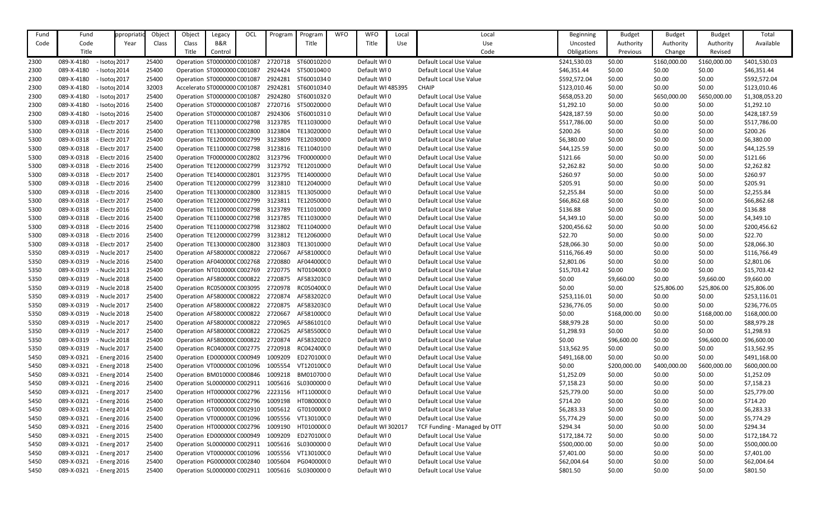| Fund | Fund       | ppropriat                 | Object | Object | Legacy                              | OCL | Program                                       | Program    | <b>WFO</b> | <b>WFO</b>        | Local | Local                        | <b>Beginning</b> | <b>Budget</b> | <b>Budget</b> | <b>Budget</b> | Total          |
|------|------------|---------------------------|--------|--------|-------------------------------------|-----|-----------------------------------------------|------------|------------|-------------------|-------|------------------------------|------------------|---------------|---------------|---------------|----------------|
| Code | Code       | Year                      | Class  | Class  | B&R                                 |     |                                               | Title      |            | Title             | Use   | Use                          | Uncosted         | Authority     | Authority     | Authority     | Available      |
|      | Title      |                           |        | Title  | Control                             |     |                                               |            |            |                   |       | Code                         | Obligations      | Previous      | Change        | Revised       |                |
| 2300 | 089-X-4180 | - Isoto <sub>l</sub> 2017 | 25400  |        | Operation ST0000000 C001087         |     | 2720718                                       | ST60010200 |            | Default WI0       |       | Default Local Use Value      | \$241,530.03     | \$0.00        | \$160,000.00  | \$160,000.00  | \$401,530.03   |
| 2300 | 089-X-4180 | - Isotoj 2014             | 25400  |        | Operation ST0000000 C001087         |     | 2924424                                       | ST50010400 |            | Default WI0       |       | Default Local Use Value      | \$46,351.44      | \$0.00        | \$0.00        | \$0.00        | \$46,351.44    |
| 2300 | 089-X-4180 | - Isoto <sub>l</sub> 2017 | 25400  |        | Operation ST0000000 C001087         |     | 2924281                                       | ST60010340 |            | Default WI0       |       | Default Local Use Value      | \$592,572.04     | \$0.00        | \$0.00        | \$0.00        | \$592,572.04   |
| 2300 | 089-X-4180 | - Isoto <sub>l</sub> 2014 | 32003  |        | Accelerato ST0000000 C001087        |     | 2924281                                       | ST60010340 |            | Default WI 485395 |       | <b>CHAIP</b>                 | \$123,010.46     | \$0.00        | \$0.00        | \$0.00        | \$123,010.46   |
| 2300 | 089-X-4180 | - Isoto <sub>l</sub> 2017 | 25400  |        | Operation ST0000000 C001087         |     | 2924280                                       | ST60010320 |            | Default WI0       |       | Default Local Use Value      | \$658,053.20     | \$0.00        | \$650,000.00  | \$650,000.00  | \$1,308,053.20 |
| 2300 | 089-X-4180 | - Isoto <sub>l</sub> 2016 | 25400  |        | Operation ST0000000 C001087         |     | 2720716                                       | ST50020000 |            | Default WI0       |       | Default Local Use Value      | \$1,292.10       | \$0.00        | \$0.00        | \$0.00        | \$1,292.10     |
| 2300 | 089-X-4180 | - Isoto <sub>l</sub> 2016 | 25400  |        | Operation ST0000000 C001087         |     | 2924306                                       | ST60010310 |            | Default WI0       |       | Default Local Use Value      | \$428,187.59     | \$0.00        | \$0.00        | \$0.00        | \$428,187.59   |
| 5300 | 089-X-0318 | - Electr 2017             | 25400  |        | Operation TE1100000 C002798         |     | 3123785                                       | TE11030000 |            | Default WI0       |       | Default Local Use Value      | \$517,786.00     | \$0.00        | \$0.00        | \$0.00        | \$517,786.00   |
| 5300 | 089-X-0318 | - Electr 2016             | 25400  |        | Operation TE1300000 C002800         |     | 3123804                                       | TE13020000 |            | Default WI0       |       | Default Local Use Value      | \$200.26         | \$0.00        | \$0.00        | \$0.00        | \$200.26       |
| 5300 | 089-X-0318 | - Electr 2017             | 25400  |        | Operation TE1200000 C002799         |     | 3123809                                       | TE12030000 |            | Default WI0       |       | Default Local Use Value      | \$6,380.00       | \$0.00        | \$0.00        | \$0.00        | \$6,380.00     |
| 5300 | 089-X-0318 | - Electr 2017             | 25400  |        | Operation TE1100000 C002798         |     | 3123816 TE11040100                            |            |            | Default WI0       |       | Default Local Use Value      | \$44,125.59      | \$0.00        | \$0.00        | \$0.00        | \$44,125.59    |
| 5300 | 089-X-0318 | - Electr 2016             | 25400  |        | Operation TF0000000 C002802         |     | 3123796                                       | TF00000000 |            | Default WI0       |       | Default Local Use Value      | \$121.66         | \$0.00        | \$0.00        | \$0.00        | \$121.66       |
| 5300 | 089-X-0318 | - Electr 2016             | 25400  |        | Operation TE1200000 C002799         |     | 3123792                                       | TE12010000 |            | Default WI0       |       | Default Local Use Value      | \$2,262.82       | \$0.00        | \$0.00        | \$0.00        | \$2,262.82     |
| 5300 | 089-X-0318 | - Electr 2017             | 25400  |        | Operation TE1400000 C002801         |     | 3123795                                       | TE14000000 |            | Default WI0       |       | Default Local Use Value      | \$260.97         | \$0.00        | \$0.00        | \$0.00        | \$260.97       |
| 5300 | 089-X-0318 | - Electr 2016             | 25400  |        | Operation TE1200000 C002799         |     | 3123810                                       | TE12040000 |            | Default WI0       |       | Default Local Use Value      | \$205.91         | \$0.00        | \$0.00        | \$0.00        | \$205.91       |
| 5300 | 089-X-0318 | - Electr 2016             | 25400  |        | Operation TE1300000 C002800         |     | 3123815 TE13050000                            |            |            | Default WI0       |       | Default Local Use Value      | \$2,255.84       | \$0.00        | \$0.00        | \$0.00        | \$2,255.84     |
| 5300 | 089-X-0318 | - Electr 2017             | 25400  |        | Operation TE1200000 C002799         |     | 3123811                                       | TE12050000 |            | Default WI0       |       | Default Local Use Value      | \$66,862.68      | \$0.00        | \$0.00        | \$0.00        | \$66,862.68    |
| 5300 | 089-X-0318 | - Electr 2016             | 25400  |        | Operation TE1100000 C002798         |     | 3123789                                       | TE11010000 |            | Default WI0       |       | Default Local Use Value      | \$136.88         | \$0.00        | \$0.00        | \$0.00        | \$136.88       |
| 5300 | 089-X-0318 | - Electr 2016             | 25400  |        | Operation TE1100000 C002798         |     | 3123785                                       | TE11030000 |            | Default WI0       |       | Default Local Use Value      | \$4,349.10       | \$0.00        | \$0.00        | \$0.00        | \$4,349.10     |
| 5300 | 089-X-0318 | - Electr 2016             | 25400  |        | Operation TE1100000 C002798 3123802 |     |                                               | TE11040000 |            | Default WI0       |       | Default Local Use Value      | \$200,456.62     | \$0.00        | \$0.00        | \$0.00        | \$200,456.62   |
| 5300 | 089-X-0318 | - Electr 2016             | 25400  |        | Operation TE1200000 C002799         |     | 3123812                                       | TE12060000 |            | Default WI0       |       | Default Local Use Value      | \$22.70          | \$0.00        | \$0.00        | \$0.00        | \$22.70        |
| 5300 | 089-X-0318 | - Electr 2017             | 25400  |        | Operation TE1300000 C002800         |     | 3123803                                       | TE13010000 |            | Default WI0       |       | Default Local Use Value      | \$28,066.30      | \$0.00        | \$0.00        | \$0.00        | \$28,066.30    |
| 5350 | 089-X-0319 | - Nucle 2017              | 25400  |        | Operation AF580000C C000822         |     | 2720667                                       | AF581000C0 |            | Default WI0       |       | Default Local Use Value      | \$116,766.49     | \$0.00        | \$0.00        | \$0.00        | \$116,766.49   |
| 5350 | 089-X-0319 | - Nucle 2016              | 25400  |        | Operation AF040000C C002768         |     | 2720880                                       | AF044000C0 |            | Default WI0       |       | Default Local Use Value      | \$2,801.06       | \$0.00        | \$0.00        | \$0.00        | \$2,801.06     |
| 5350 | 089-X-0319 | - Nucle 2013              | 25400  |        | Operation NT010000(C002769          |     | 2720775                                       | NT010400(0 |            | Default WI0       |       | Default Local Use Value      | \$15,703.42      | \$0.00        | \$0.00        | \$0.00        | \$15,703.42    |
| 5350 | 089-X-0319 | - Nucle 2018              | 25400  |        | Operation AF580000C C000822         |     | 2720875                                       | AF583203C0 |            | Default WI0       |       | Default Local Use Value      | \$0.00           | \$9,660.00    | \$0.00        | \$9,660.00    | \$9,660.00     |
| 5350 | 089-X-0319 | - Nucle 2018              | 25400  |        | Operation RC050000(C003095          |     | 2720978                                       | RC05040000 |            | Default WI0       |       | Default Local Use Value      | \$0.00           | \$0.00        | \$25,806.00   | \$25,806.00   | \$25,806.00    |
| 5350 | 089-X-0319 | - Nucle 2017              | 25400  |        |                                     |     | Operation AF580000CC000822 2720874 AF583202C0 |            |            | Default WI0       |       | Default Local Use Value      | \$253,116.01     | \$0.00        | \$0.00        | \$0.00        | \$253,116.01   |
| 5350 | 089-X-0319 | - Nucle 2017              | 25400  |        | Operation AF580000C C000822 2720875 |     |                                               | AF583203C0 |            | Default WI0       |       | Default Local Use Value      | \$236,776.05     | \$0.00        | \$0.00        | \$0.00        | \$236,776.05   |
| 5350 | 089-X-0319 | - Nucle 2018              | 25400  |        | Operation AF580000C C000822 2720667 |     |                                               | AF581000C0 |            | Default WI0       |       | Default Local Use Value      | \$0.00           | \$168,000.00  | \$0.00        | \$168,000.00  | \$168,000.00   |
| 5350 | 089-X-0319 | - Nucle 2017              | 25400  |        | Operation AF580000C C000822 2720965 |     |                                               | AF586101C0 |            | Default WI0       |       | Default Local Use Value      | \$88,979.28      | \$0.00        | \$0.00        | \$0.00        | \$88,979.28    |
| 5350 | 089-X-0319 | - Nucle 2017              | 25400  |        | Operation AF580000C C000822 2720625 |     |                                               | AF585500C0 |            | Default WI0       |       | Default Local Use Value      | \$1,298.93       | \$0.00        | \$0.00        | \$0.00        | \$1,298.93     |
| 5350 | 089-X-0319 | - Nucle 2018              | 25400  |        | Operation AF580000C C000822 2720874 |     |                                               | AF583202C0 |            | Default WI0       |       | Default Local Use Value      | \$0.00           | \$96,600.00   | \$0.00        | \$96,600.00   | \$96,600.00    |
| 5350 | 089-X-0319 | - Nucle 2017              | 25400  |        | Operation RC040000(C002775          |     | 2720918                                       | RC04240000 |            | Default WI0       |       | Default Local Use Value      | \$13,562.95      | \$0.00        | \$0.00        | \$0.00        | \$13,562.95    |
| 5450 | 089-X-0321 | - Energ 2016              | 25400  |        | Operation ED000000(C000949          |     | 1009209                                       | ED270100(0 |            | Default WI0       |       | Default Local Use Value      | \$491,168.00     | \$0.00        | \$0.00        | \$0.00        | \$491,168.00   |
| 5450 | 089-X-0321 | - Energ 2018              | 25400  |        | Operation VT000000C C001096         |     | 1005554                                       | VT12010000 |            | Default WI0       |       | Default Local Use Value      | \$0.00           | \$200,000.00  | \$400,000.00  | \$600,000.00  | \$600,000.00   |
| 5450 | 089-X-0321 | - Energ 2014              | 25400  |        | Operation BM010000 C000846          |     | 1009218                                       | BM0107000  |            | Default WI0       |       | Default Local Use Value      | \$1,252.09       | \$0.00        | \$0.00        | \$0.00        | \$1,252.09     |
| 5450 | 089-X-0321 | - Energ 2016              | 25400  |        | Operation SL0000000 C002911         |     | 1005616                                       | SL03000000 |            | Default WI0       |       | Default Local Use Value      | \$7,158.23       | \$0.00        | \$0.00        | \$0.00        | \$7,158.23     |
| 5450 | 089-X-0321 | - Energ 2017              | 25400  |        | Operation HT0000000 C002796         |     | 2223156                                       | HT110000(0 |            | Default WI0       |       | Default Local Use Value      | \$25,779.00      | \$0.00        | \$0.00        | \$0.00        | \$25,779.00    |
| 5450 | 089-X-0321 | - Energ 2016              | 25400  |        | Operation HT0000000 C002796         |     | 1009198                                       | HT080000(0 |            | Default WI0       |       | Default Local Use Value      | \$714.20         | \$0.00        | \$0.00        | \$0.00        | \$714.20       |
| 5450 | 089-X-0321 | - Energ 2014              | 25400  |        | Operation GT000000(C002910          |     | 1005612                                       | GT010000(0 |            | Default WI0       |       | Default Local Use Value      | \$6,283.33       | \$0.00        | \$0.00        | \$0.00        | \$6,283.33     |
| 5450 | 089-X-0321 | - Energ 2016              | 25400  |        | Operation VT000000C C001096         |     | 1005556                                       | VT13010000 |            | Default WI0       |       | Default Local Use Value      | \$5,774.29       | \$0.00        | \$0.00        | \$0.00        | \$5,774.29     |
| 5450 | 089-X-0321 | - Energ 2016              | 25400  |        | Operation HT000000(C002796          |     | 1009190                                       | HT010000(0 |            | Default WI 302017 |       | TCF Funding - Managed by OTT | \$294.34         | \$0.00        | \$0.00        | \$0.00        | \$294.34       |
| 5450 | 089-X-0321 | - Energ 2015              | 25400  |        | Operation ED000000(C000949          |     | 1009209                                       | ED270100(0 |            | Default WI0       |       | Default Local Use Value      | \$172,184.72     | \$0.00        | \$0.00        | \$0.00        | \$172,184.72   |
| 5450 | 089-X-0321 | - Energ 2017              | 25400  |        | Operation SL0000000 C002911         |     | 1005616                                       | SL03000000 |            | Default WI0       |       | Default Local Use Value      | \$500,000.00     | \$0.00        | \$0.00        | \$0.00        | \$500,000.00   |
| 5450 | 089-X-0321 | - Energ 2017              | 25400  |        | Operation VT000000C C001096         |     | 1005556                                       | VT13010000 |            | Default WI0       |       | Default Local Use Value      | \$7,401.00       | \$0.00        | \$0.00        | \$0.00        | \$7,401.00     |
| 5450 | 089-X-0321 | - Energ 2016              | 25400  |        | Operation PG000000(C002840          |     | 1005604                                       | PG040000(0 |            | Default WI0       |       | Default Local Use Value      | \$62,004.64      | \$0.00        | \$0.00        | \$0.00        | \$62,004.64    |
| 5450 | 089-X-0321 | - Energ 2015              | 25400  |        | Operation SL0000000 C002911 1005616 |     |                                               | SL03000000 |            | Default WI0       |       | Default Local Use Value      | \$801.50         | \$0.00        | \$0.00        | \$0.00        | \$801.50       |
|      |            |                           |        |        |                                     |     |                                               |            |            |                   |       |                              |                  |               |               |               |                |

| <b>Beginning</b> | <b>Budget</b> | <b>Budget</b> | <b>Budget</b> | Total          |
|------------------|---------------|---------------|---------------|----------------|
| Uncosted         | Authority     | Authority     | Authority     | Available      |
| Obligations      | Previous      | Change        | Revised       |                |
| \$241,530.03     | \$0.00        | \$160,000.00  | \$160,000.00  | \$401,530.03   |
| \$46,351.44      | \$0.00        | \$0.00        | \$0.00        | \$46,351.44    |
| \$592,572.04     | \$0.00        | \$0.00        | \$0.00        | \$592,572.04   |
| \$123,010.46     | \$0.00        | \$0.00        | \$0.00        | \$123,010.46   |
| \$658,053.20     | \$0.00        | \$650,000.00  | \$650,000.00  | \$1,308,053.20 |
| \$1,292.10       | \$0.00        | \$0.00        | \$0.00        | \$1,292.10     |
| \$428,187.59     | \$0.00        | \$0.00        | \$0.00        | \$428,187.59   |
| \$517,786.00     | \$0.00        | \$0.00        | \$0.00        | \$517,786.00   |
| \$200.26         | \$0.00        | \$0.00        | \$0.00        | \$200.26       |
| \$6,380.00       | \$0.00        | \$0.00        | \$0.00        | \$6,380.00     |
| \$44,125.59      | \$0.00        | \$0.00        | \$0.00        | \$44,125.59    |
| \$121.66         | \$0.00        | \$0.00        | \$0.00        | \$121.66       |
| \$2,262.82       | \$0.00        | \$0.00        | \$0.00        | \$2,262.82     |
| \$260.97         | \$0.00        | \$0.00        | \$0.00        | \$260.97       |
| \$205.91         | \$0.00        | \$0.00        | \$0.00        | \$205.91       |
| \$2,255.84       | \$0.00        | \$0.00        | \$0.00        | \$2,255.84     |
| \$66,862.68      | \$0.00        | \$0.00        | \$0.00        | \$66,862.68    |
| \$136.88         | \$0.00        | \$0.00        | \$0.00        | \$136.88       |
| \$4,349.10       | \$0.00        | \$0.00        | \$0.00        | \$4,349.10     |
| \$200,456.62     | \$0.00        | \$0.00        | \$0.00        | \$200,456.62   |
| \$22.70          | \$0.00        | \$0.00        | \$0.00        | \$22.70        |
| \$28,066.30      | \$0.00        | \$0.00        | \$0.00        | \$28,066.30    |
| \$116,766.49     | \$0.00        | \$0.00        | \$0.00        | \$116,766.49   |
| \$2,801.06       | \$0.00        | \$0.00        | \$0.00        | \$2,801.06     |
| \$15,703.42      | \$0.00        | \$0.00        | \$0.00        | \$15,703.42    |
| \$0.00           | \$9,660.00    | \$0.00        | \$9,660.00    | \$9,660.00     |
| \$0.00           | \$0.00        | \$25,806.00   | \$25,806.00   | \$25,806.00    |
| \$253,116.01     | \$0.00        | \$0.00        | \$0.00        | \$253,116.01   |
| \$236,776.05     | \$0.00        | \$0.00        | \$0.00        | \$236,776.05   |
| \$0.00           | \$168,000.00  | \$0.00        | \$168,000.00  | \$168,000.00   |
| \$88,979.28      | \$0.00        | \$0.00        | \$0.00        | \$88,979.28    |
| \$1,298.93       | \$0.00        | \$0.00        | \$0.00        | \$1,298.93     |
| \$0.00           | \$96,600.00   | \$0.00        | \$96,600.00   | \$96,600.00    |
| \$13,562.95      | \$0.00        | \$0.00        | \$0.00        | \$13,562.95    |
| \$491,168.00     | \$0.00        | \$0.00        | \$0.00        | \$491,168.00   |
| \$0.00           | \$200,000.00  | \$400,000.00  | \$600,000.00  | \$600,000.00   |
| \$1,252.09       | \$0.00        | \$0.00        | \$0.00        | \$1,252.09     |
| \$7,158.23       | \$0.00        | \$0.00        | \$0.00        | \$7,158.23     |
| \$25,779.00      | \$0.00        | \$0.00        | \$0.00        | \$25,779.00    |
| \$714.20         | \$0.00        | \$0.00        | \$0.00        | \$714.20       |
| \$6,283.33       | \$0.00        | \$0.00        | \$0.00        | \$6,283.33     |
| \$5,774.29       | \$0.00        | \$0.00        | \$0.00        | \$5,774.29     |
| \$294.34         | \$0.00        | \$0.00        | \$0.00        | \$294.34       |
| \$172,184.72     | \$0.00        | \$0.00        | \$0.00        | \$172,184.72   |
| \$500,000.00     | \$0.00        | \$0.00        | \$0.00        | \$500,000.00   |
| \$7,401.00       | \$0.00        | \$0.00        | \$0.00        | \$7,401.00     |
| \$62,004.64      | \$0.00        | \$0.00        | \$0.00        | \$62,004.64    |
| \$801.50         | \$0.00        | \$0.00        | \$0.00        | \$801.50       |
|                  |               |               |               |                |